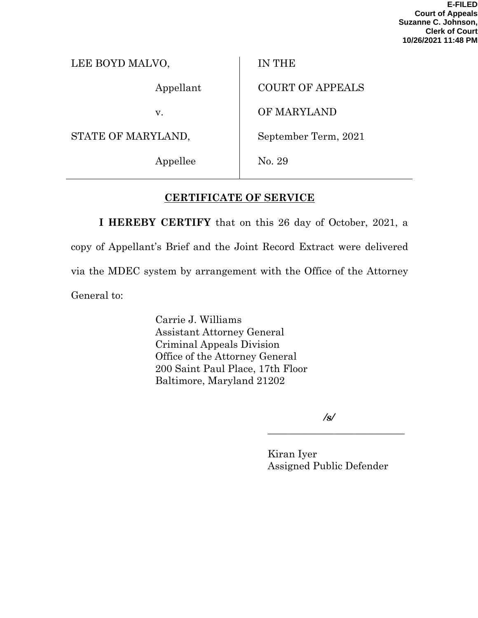**E-FILED Court of Appeals Suzanne C. Johnson, Clerk of Court 10/26/2021 11:48 PM**

| LEE BOYD MALVO, | <b>IN THE</b> |  |
|-----------------|---------------|--|
| Appellant       | COURT         |  |
| v.              | <b>OF MAF</b> |  |

STATE OF MARYLAND,

Appellee

OF APPEALS

RYLAND

September Term, 2021

No. 29

# **CERTIFICATE OF SERVICE**

**I HEREBY CERTIFY** that on this 26 day of October, 2021, a copy of Appellant's Brief and the Joint Record Extract were delivered via the MDEC system by arrangement with the Office of the Attorney General to:

> Carrie J. Williams Assistant Attorney General Criminal Appeals Division Office of the Attorney General 200 Saint Paul Place, 17th Floor Baltimore, Maryland 21202

> > */s/*

\_\_\_\_\_\_\_\_\_\_\_\_\_\_\_\_\_\_\_\_\_\_\_\_\_\_\_

Kiran Iyer Assigned Public Defender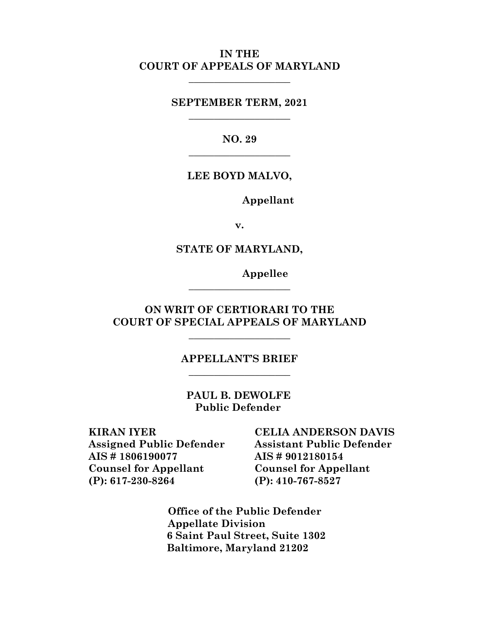## **IN THE COURT OF APPEALS OF MARYLAND**

**\_\_\_\_\_\_\_\_\_\_\_\_\_\_\_\_\_\_\_\_**

**SEPTEMBER TERM, 2021 \_\_\_\_\_\_\_\_\_\_\_\_\_\_\_\_\_\_\_\_**

> **NO. 29 \_\_\_\_\_\_\_\_\_\_\_\_\_\_\_\_\_\_\_\_**

### **LEE BOYD MALVO,**

**Appellant**

**v.**

**STATE OF MARYLAND,**

**Appellee**

**ON WRIT OF CERTIORARI TO THE COURT OF SPECIAL APPEALS OF MARYLAND**

**\_\_\_\_\_\_\_\_\_\_\_\_\_\_\_\_\_\_\_\_**

**\_\_\_\_\_\_\_\_\_\_\_\_\_\_\_\_\_\_\_\_**

## **APPELLANT'S BRIEF \_\_\_\_\_\_\_\_\_\_\_\_\_\_\_\_\_\_\_\_**

**PAUL B. DEWOLFE Public Defender**

**KIRAN IYER Assigned Public Defender AIS # 1806190077 Counsel for Appellant (P): 617-230-8264**

**CELIA ANDERSON DAVIS Assistant Public Defender AIS # 9012180154 Counsel for Appellant (P): 410-767-8527**

 **Office of the Public Defender Appellate Division 6 Saint Paul Street, Suite 1302 Baltimore, Maryland 21202**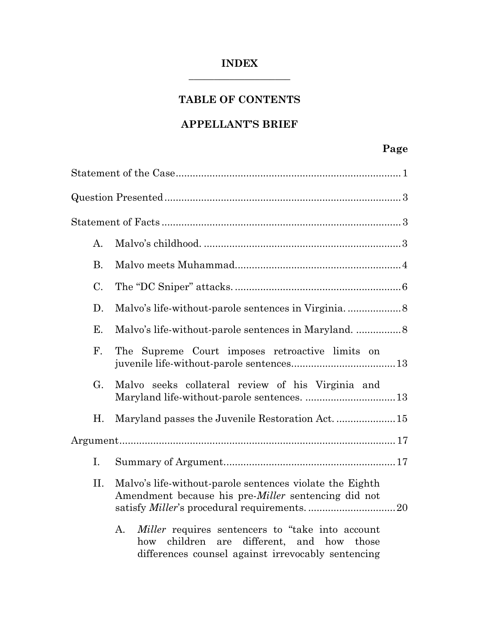## **INDEX \_\_\_\_\_\_\_\_\_\_\_\_\_\_\_\_\_\_\_\_**

# **TABLE OF CONTENTS**

## **APPELLANT'S BRIEF**

# **Page**

| A.        |                                                                                                                                                                           |
|-----------|---------------------------------------------------------------------------------------------------------------------------------------------------------------------------|
| <b>B.</b> |                                                                                                                                                                           |
| C.        |                                                                                                                                                                           |
| D.        |                                                                                                                                                                           |
| Е.        |                                                                                                                                                                           |
| F.        | The Supreme Court imposes retroactive limits on                                                                                                                           |
| G.        | Malvo seeks collateral review of his Virginia and                                                                                                                         |
| Η.        |                                                                                                                                                                           |
|           |                                                                                                                                                                           |
| I.        |                                                                                                                                                                           |
| II.       | Malvo's life-without-parole sentences violate the Eighth<br>Amendment because his pre-Miller sentencing did not                                                           |
|           | <i>Miller</i> requires sentencers to "take into account<br>A.<br>children<br>different, and how those<br>how<br>are<br>differences counsel against irrevocably sentencing |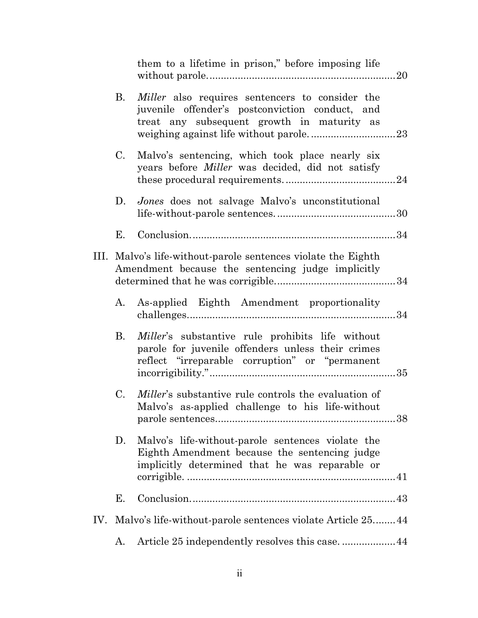|      |    | them to a lifetime in prison," before imposing life                                                                                                     |  |
|------|----|---------------------------------------------------------------------------------------------------------------------------------------------------------|--|
|      | B. | <i>Miller</i> also requires sentencers to consider the<br>juvenile offender's postconviction conduct, and<br>treat any subsequent growth in maturity as |  |
|      | C. | Malvo's sentencing, which took place nearly six<br>years before <i>Miller</i> was decided, did not satisfy                                              |  |
|      | D. | Jones does not salvage Malvo's unconstitutional                                                                                                         |  |
|      | Е. |                                                                                                                                                         |  |
| III. |    | Malvo's life-without-parole sentences violate the Eighth<br>Amendment because the sentencing judge implicitly                                           |  |
|      | А. | As-applied Eighth Amendment proportionality                                                                                                             |  |
|      | В. | Miller's substantive rule prohibits life without<br>parole for juvenile offenders unless their crimes<br>reflect "irreparable corruption" or "permanent |  |
|      | C. | <i>Miller's</i> substantive rule controls the evaluation of<br>Malvo's as-applied challenge to his life-without                                         |  |
|      | D. | Malvo's life-without-parole sentences violate the<br>Eighth Amendment because the sentencing judge<br>implicitly determined that he was reparable or    |  |
|      | Е. |                                                                                                                                                         |  |
| IV.  |    | Malvo's life-without-parole sentences violate Article 2544                                                                                              |  |
|      | А. |                                                                                                                                                         |  |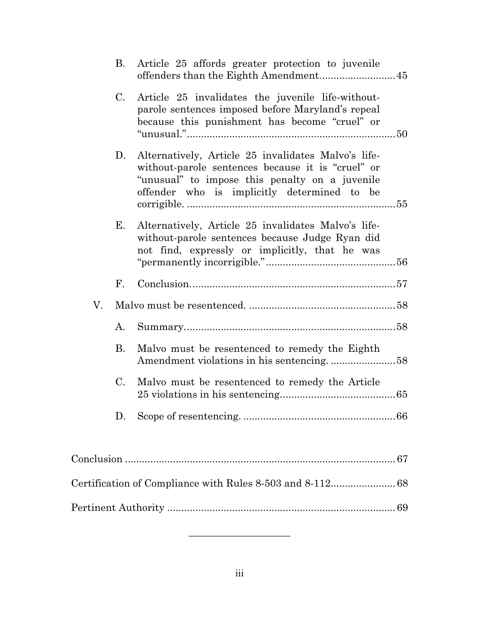|    | B.                   | Article 25 affords greater protection to juvenile<br>offenders than the Eighth Amendment 45                                                                                                               |  |
|----|----------------------|-----------------------------------------------------------------------------------------------------------------------------------------------------------------------------------------------------------|--|
|    | C.                   | Article 25 invalidates the juvenile life-without-<br>parole sentences imposed before Maryland's repeal<br>because this punishment has become "cruel" or                                                   |  |
|    | D.                   | Alternatively, Article 25 invalidates Malvo's life-<br>without-parole sentences because it is "cruel" or<br>"unusual" to impose this penalty on a juvenile<br>offender who is implicitly determined to be |  |
|    | Е.                   | Alternatively, Article 25 invalidates Malvo's life-<br>without-parole sentences because Judge Ryan did<br>not find, expressly or implicitly, that he was                                                  |  |
|    | $\mathbf{F}_{\cdot}$ |                                                                                                                                                                                                           |  |
| V. |                      |                                                                                                                                                                                                           |  |
|    | A.                   |                                                                                                                                                                                                           |  |
|    | <b>B.</b>            | Malvo must be resentenced to remedy the Eighth                                                                                                                                                            |  |
|    | $C_{\cdot}$          | Malvo must be resentenced to remedy the Article                                                                                                                                                           |  |
|    | D.                   |                                                                                                                                                                                                           |  |
|    |                      |                                                                                                                                                                                                           |  |
|    |                      | Certification of Compliance with Rules 8-503 and 8-112 68                                                                                                                                                 |  |
|    |                      |                                                                                                                                                                                                           |  |
|    |                      |                                                                                                                                                                                                           |  |

 $\overline{\phantom{a}}$  , where  $\overline{\phantom{a}}$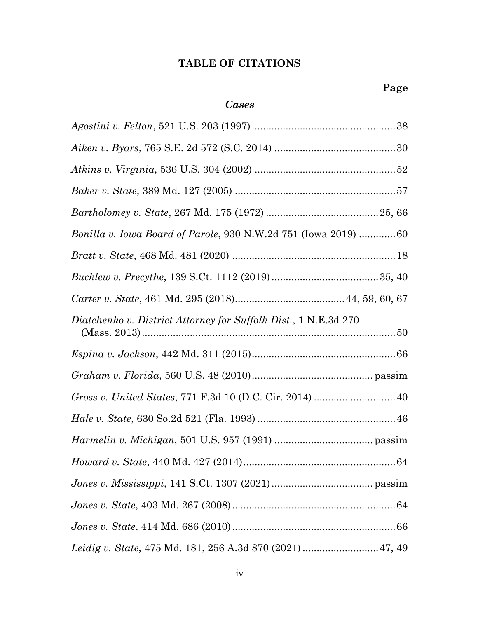# **TABLE OF CITATIONS**

## *Cases*

| Bonilla v. Iowa Board of Parole, 930 N.W.2d 751 (Iowa 2019) 60  |
|-----------------------------------------------------------------|
|                                                                 |
|                                                                 |
|                                                                 |
| Diatchenko v. District Attorney for Suffolk Dist., 1 N.E.3d 270 |
|                                                                 |
|                                                                 |
| Gross v. United States, 771 F.3d 10 (D.C. Cir. 2014)  40        |
|                                                                 |
|                                                                 |
|                                                                 |
|                                                                 |
|                                                                 |
|                                                                 |
|                                                                 |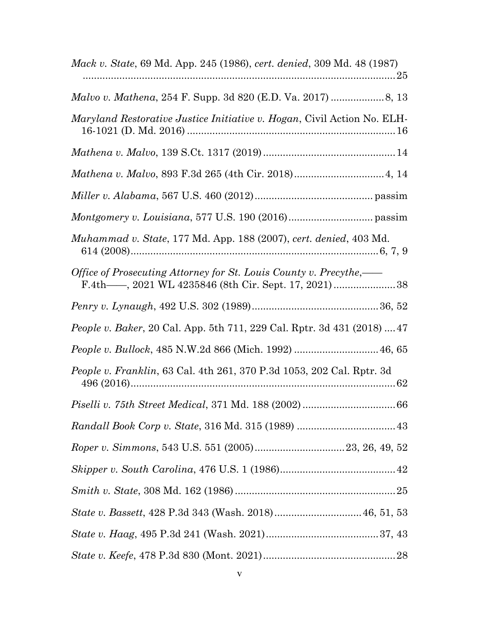| <i>Mack v. State, 69 Md. App. 245 (1986), cert. denied, 309 Md. 48 (1987)</i>   |
|---------------------------------------------------------------------------------|
|                                                                                 |
| <i>Maryland Restorative Justice Initiative v. Hogan, Civil Action No. ELH-</i>  |
|                                                                                 |
| Mathena v. Malvo, 893 F.3d 265 (4th Cir. 2018) 4, 14                            |
|                                                                                 |
|                                                                                 |
| Muhammad v. State, 177 Md. App. 188 (2007), cert. denied, 403 Md.               |
| Office of Prosecuting Attorney for St. Louis County v. Precythe,—               |
|                                                                                 |
| <i>People v. Baker</i> , 20 Cal. App. 5th 711, 229 Cal. Rptr. 3d 431 (2018)  47 |
| People v. Bullock, 485 N.W.2d 866 (Mich. 1992)  46, 65                          |
| People v. Franklin, 63 Cal. 4th 261, 370 P.3d 1053, 202 Cal. Rptr. 3d           |
|                                                                                 |
|                                                                                 |
|                                                                                 |
|                                                                                 |
|                                                                                 |
| State v. Bassett, 428 P.3d 343 (Wash. 2018) 46, 51, 53                          |
|                                                                                 |
|                                                                                 |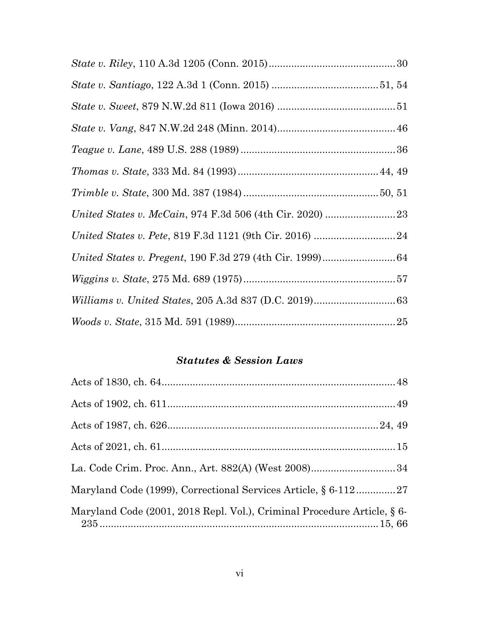# *Statutes & Session Laws*

| La. Code Crim. Proc. Ann., Art. 882(A) (West 2008)34                    |  |
|-------------------------------------------------------------------------|--|
| Maryland Code (1999), Correctional Services Article, § 6-11227          |  |
| Maryland Code (2001, 2018 Repl. Vol.), Criminal Procedure Article, § 6- |  |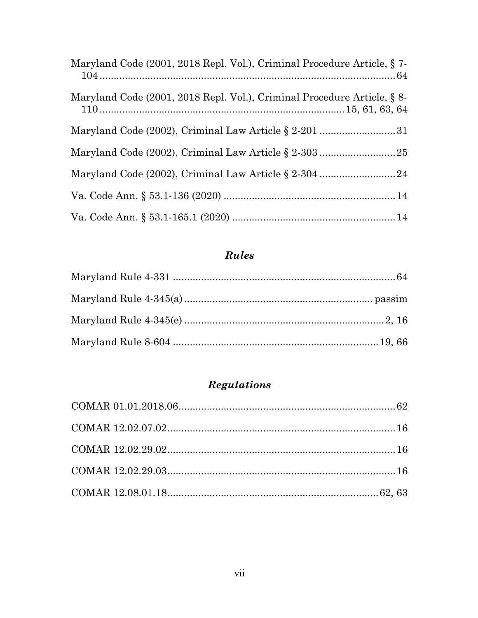| Maryland Code (2001, 2018 Repl. Vol.), Criminal Procedure Article, §7-  |  |
|-------------------------------------------------------------------------|--|
| Maryland Code (2001, 2018 Repl. Vol.), Criminal Procedure Article, § 8- |  |
|                                                                         |  |
|                                                                         |  |
|                                                                         |  |
|                                                                         |  |
|                                                                         |  |

# Rules

# Regulations

| $COMAR 12.02.29.02. \dots 16$ |  |
|-------------------------------|--|
|                               |  |
|                               |  |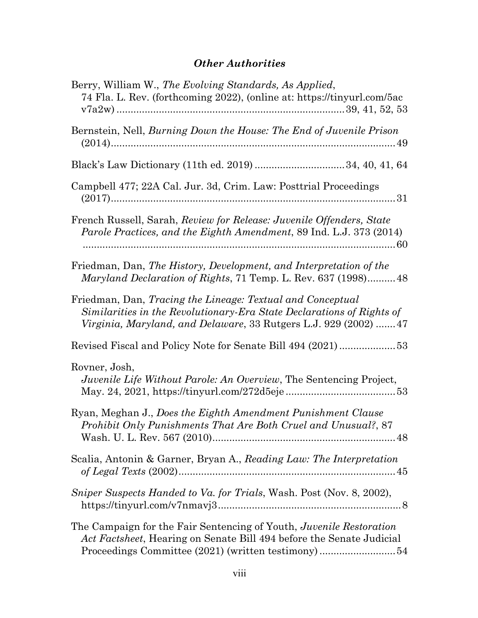# *Other Authorities*

| Berry, William W., The Evolving Standards, As Applied,<br>74 Fla. L. Rev. (forthcoming 2022), (online at: https://tinyurl.com/5ac                                                                       |
|---------------------------------------------------------------------------------------------------------------------------------------------------------------------------------------------------------|
| Bernstein, Nell, <i>Burning Down the House: The End of Juvenile Prison</i>                                                                                                                              |
|                                                                                                                                                                                                         |
| Campbell 477; 22A Cal. Jur. 3d, Crim. Law: Posttrial Proceedings                                                                                                                                        |
| French Russell, Sarah, Review for Release: Juvenile Offenders, State<br>Parole Practices, and the Eighth Amendment, 89 Ind. L.J. 373 (2014)                                                             |
| Friedman, Dan, The History, Development, and Interpretation of the<br><i>Maryland Declaration of Rights, 71 Temp. L. Rev. 637 (1998)48</i>                                                              |
| Friedman, Dan, Tracing the Lineage: Textual and Conceptual<br>Similarities in the Revolutionary-Era State Declarations of Rights of<br>Virginia, Maryland, and Delaware, 33 Rutgers L.J. 929 (2002)  47 |
|                                                                                                                                                                                                         |
| Rovner, Josh,<br><i>Juvenile Life Without Parole: An Overview</i> , The Sentencing Project,                                                                                                             |
| Ryan, Meghan J., Does the Eighth Amendment Punishment Clause<br>Prohibit Only Punishments That Are Both Cruel and Unusual?, 87                                                                          |
| Scalia, Antonin & Garner, Bryan A., Reading Law: The Interpretation                                                                                                                                     |
| Sniper Suspects Handed to Va. for Trials, Wash. Post (Nov. 8, 2002),                                                                                                                                    |
| The Campaign for the Fair Sentencing of Youth, Juvenile Restoration<br>Act Factsheet, Hearing on Senate Bill 494 before the Senate Judicial<br>Proceedings Committee (2021) (written testimony)54       |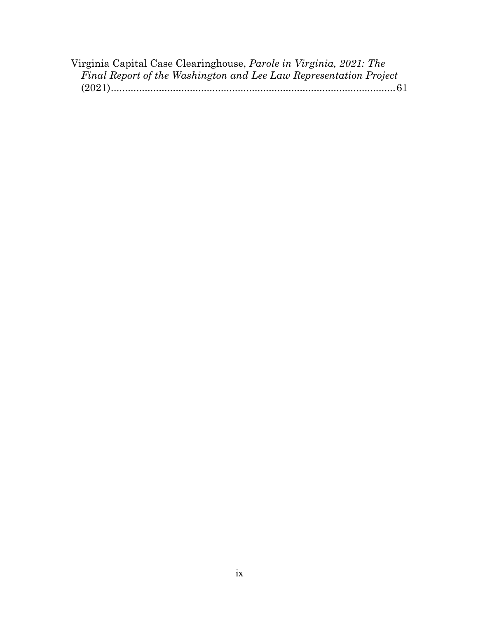| Virginia Capital Case Clearinghouse, <i>Parole in Virginia</i> , 2021: The |  |
|----------------------------------------------------------------------------|--|
| Final Report of the Washington and Lee Law Representation Project          |  |
|                                                                            |  |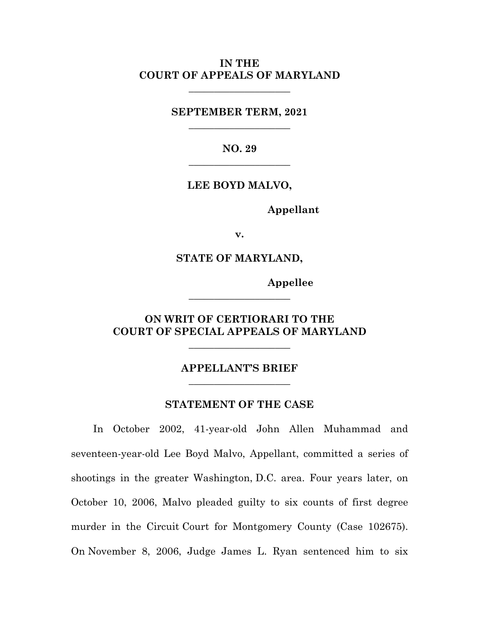### **IN THE COURT OF APPEALS OF MARYLAND**

**\_\_\_\_\_\_\_\_\_\_\_\_\_\_\_\_\_\_\_\_**

**SEPTEMBER TERM, 2021 \_\_\_\_\_\_\_\_\_\_\_\_\_\_\_\_\_\_\_\_**

> **NO. 29 \_\_\_\_\_\_\_\_\_\_\_\_\_\_\_\_\_\_\_\_**

**LEE BOYD MALVO,**

**Appellant**

**v.**

**STATE OF MARYLAND,**

**Appellee**

## **ON WRIT OF CERTIORARI TO THE COURT OF SPECIAL APPEALS OF MARYLAND**

\_\_\_\_\_\_\_\_\_\_\_\_\_\_\_\_\_\_\_\_

**\_\_\_\_\_\_\_\_\_\_\_\_\_\_\_\_\_\_\_\_**

## **APPELLANT'S BRIEF** \_\_\_\_\_\_\_\_\_\_\_\_\_\_\_\_\_\_\_\_

### **STATEMENT OF THE CASE**

In October 2002, 41-year-old John Allen Muhammad and seventeen-year-old Lee Boyd Malvo, Appellant, committed a series of shootings in the greater Washington, D.C. area. Four years later, on October 10, 2006, Malvo pleaded guilty to six counts of first degree murder in the Circuit Court for Montgomery County (Case 102675). On November 8, 2006, Judge James L. Ryan sentenced him to six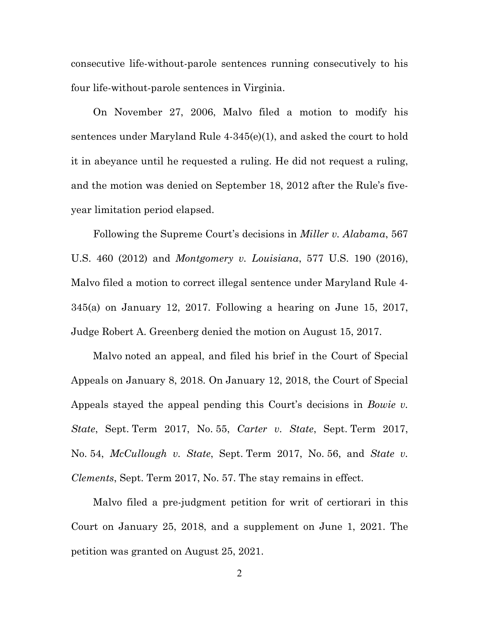consecutive life-without-parole sentences running consecutively to his four life-without-parole sentences in Virginia.

On November 27, 2006, Malvo filed a motion to modify his sentences under Maryland Rule 4-345(e)(1), and asked the court to hold it in abeyance until he requested a ruling. He did not request a ruling, and the motion was denied on September 18, 2012 after the Rule's fiveyear limitation period elapsed.

Following the Supreme Court's decisions in *Miller v. Alabama*, 567 U.S. 460 (2012) and *Montgomery v. Louisiana*, 577 U.S. 190 (2016), Malvo filed a motion to correct illegal sentence under Maryland Rule 4- 345(a) on January 12, 2017. Following a hearing on June 15, 2017, Judge Robert A. Greenberg denied the motion on August 15, 2017.

Malvo noted an appeal, and filed his brief in the Court of Special Appeals on January 8, 2018. On January 12, 2018, the Court of Special Appeals stayed the appeal pending this Court's decisions in *Bowie v. State*, Sept. Term 2017, No. 55, *Carter v. State*, Sept. Term 2017, No. 54, *McCullough v. State*, Sept. Term 2017, No. 56, and *State v. Clements*, Sept. Term 2017, No. 57. The stay remains in effect.

Malvo filed a pre-judgment petition for writ of certiorari in this Court on January 25, 2018, and a supplement on June 1, 2021. The petition was granted on August 25, 2021.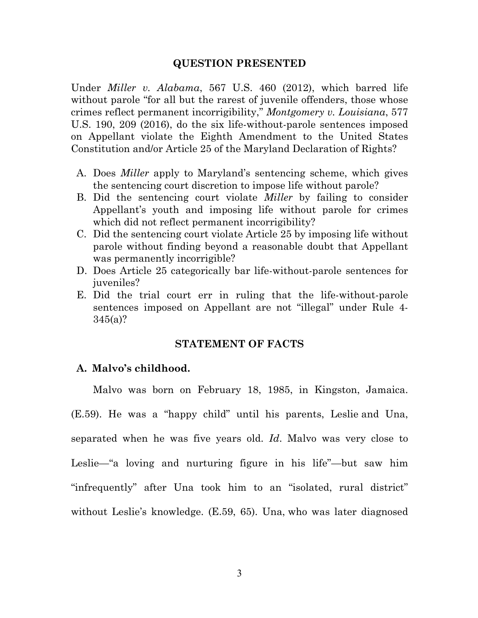#### **QUESTION PRESENTED**

Under *Miller v. Alabama*, 567 U.S. 460 (2012), which barred life without parole "for all but the rarest of juvenile offenders, those whose crimes reflect permanent incorrigibility," *Montgomery v. Louisiana*, 577 U.S. 190, 209 (2016), do the six life-without-parole sentences imposed on Appellant violate the Eighth Amendment to the United States Constitution and/or Article 25 of the Maryland Declaration of Rights?

- A. Does *Miller* apply to Maryland's sentencing scheme, which gives the sentencing court discretion to impose life without parole?
- B. Did the sentencing court violate *Miller* by failing to consider Appellant's youth and imposing life without parole for crimes which did not reflect permanent incorrigibility?
- C. Did the sentencing court violate Article 25 by imposing life without parole without finding beyond a reasonable doubt that Appellant was permanently incorrigible?
- D. Does Article 25 categorically bar life-without-parole sentences for juveniles?
- E. Did the trial court err in ruling that the life-without-parole sentences imposed on Appellant are not "illegal" under Rule 4- 345(a)?

### **STATEMENT OF FACTS**

#### **A. Malvo's childhood.**

Malvo was born on February 18, 1985, in Kingston, Jamaica.

(E.59). He was a "happy child" until his parents, Leslie and Una, separated when he was five years old. *Id*. Malvo was very close to Leslie—"a loving and nurturing figure in his life"—but saw him "infrequently" after Una took him to an "isolated, rural district" without Leslie's knowledge. (E.59, 65). Una, who was later diagnosed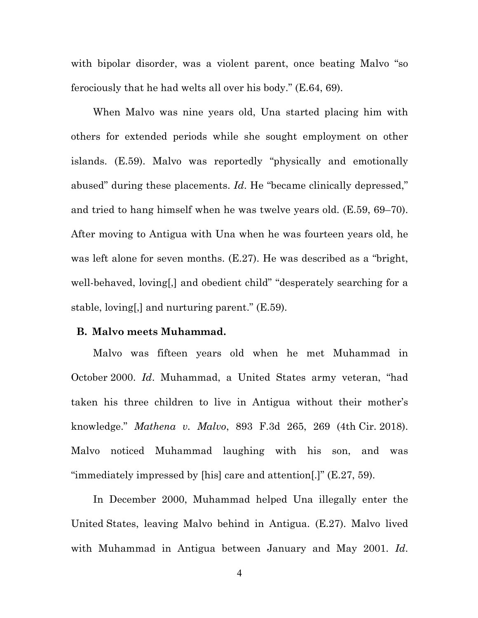with bipolar disorder, was a violent parent, once beating Malvo "so ferociously that he had welts all over his body." (E.64, 69).

When Malvo was nine years old, Una started placing him with others for extended periods while she sought employment on other islands. (E.59). Malvo was reportedly "physically and emotionally abused" during these placements. *Id*. He "became clinically depressed," and tried to hang himself when he was twelve years old. (E.59, 69–70). After moving to Antigua with Una when he was fourteen years old, he was left alone for seven months. (E.27). He was described as a "bright, well-behaved, loving[,] and obedient child" "desperately searching for a stable, loving[,] and nurturing parent." (E.59).

### **B. Malvo meets Muhammad.**

Malvo was fifteen years old when he met Muhammad in October 2000. *Id*. Muhammad, a United States army veteran, "had taken his three children to live in Antigua without their mother's knowledge." *Mathena v. Malvo*, 893 F.3d 265, 269 (4th Cir. 2018). Malvo noticed Muhammad laughing with his son, and was "immediately impressed by [his] care and attention[.]" (E.27, 59).

In December 2000, Muhammad helped Una illegally enter the United States, leaving Malvo behind in Antigua. (E.27). Malvo lived with Muhammad in Antigua between January and May 2001. *Id*.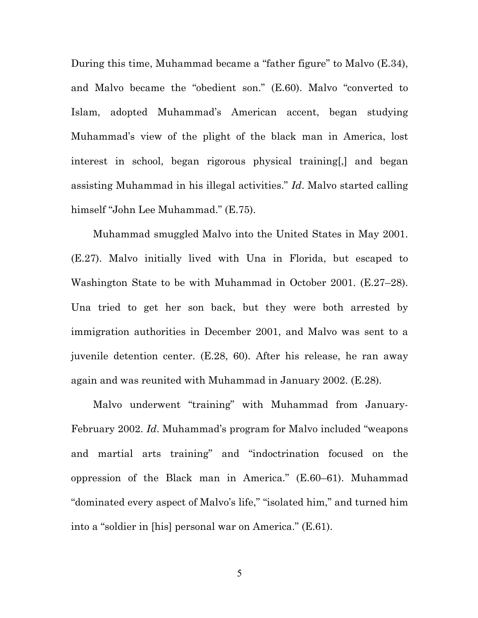During this time, Muhammad became a "father figure" to Malvo (E.34), and Malvo became the "obedient son." (E.60). Malvo "converted to Islam, adopted Muhammad's American accent, began studying Muhammad's view of the plight of the black man in America, lost interest in school, began rigorous physical training[,] and began assisting Muhammad in his illegal activities." *Id*. Malvo started calling himself "John Lee Muhammad." (E.75).

Muhammad smuggled Malvo into the United States in May 2001. (E.27). Malvo initially lived with Una in Florida, but escaped to Washington State to be with Muhammad in October 2001. (E.27–28). Una tried to get her son back, but they were both arrested by immigration authorities in December 2001, and Malvo was sent to a juvenile detention center. (E.28, 60). After his release, he ran away again and was reunited with Muhammad in January 2002. (E.28).

Malvo underwent "training" with Muhammad from January-February 2002. *Id*. Muhammad's program for Malvo included "weapons and martial arts training" and "indoctrination focused on the oppression of the Black man in America." (E.60–61). Muhammad "dominated every aspect of Malvo's life," "isolated him," and turned him into a "soldier in [his] personal war on America." (E.61).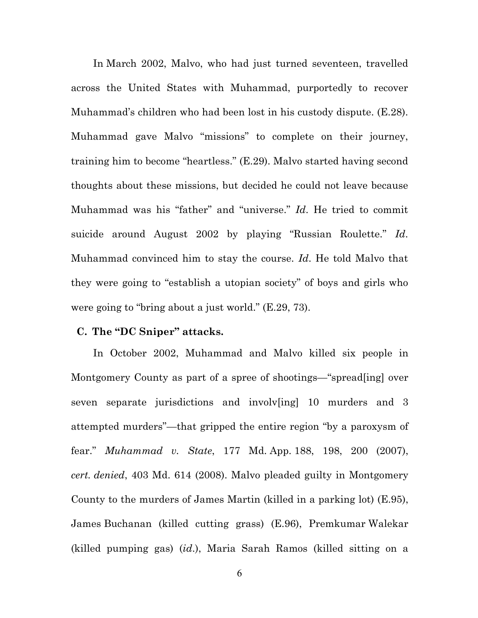In March 2002, Malvo, who had just turned seventeen, travelled across the United States with Muhammad, purportedly to recover Muhammad's children who had been lost in his custody dispute. (E.28). Muhammad gave Malvo "missions" to complete on their journey, training him to become "heartless." (E.29). Malvo started having second thoughts about these missions, but decided he could not leave because Muhammad was his "father" and "universe." *Id*. He tried to commit suicide around August 2002 by playing "Russian Roulette." *Id*. Muhammad convinced him to stay the course. *Id*. He told Malvo that they were going to "establish a utopian society" of boys and girls who were going to "bring about a just world." (E.29, 73).

#### **C. The "DC Sniper" attacks.**

In October 2002, Muhammad and Malvo killed six people in Montgomery County as part of a spree of shootings—"spread[ing] over seven separate jurisdictions and involv[ing] 10 murders and 3 attempted murders"—that gripped the entire region "by a paroxysm of fear." *Muhammad v. State*, 177 Md. App. 188, 198, 200 (2007), *cert. denied*, 403 Md. 614 (2008). Malvo pleaded guilty in Montgomery County to the murders of James Martin (killed in a parking lot) (E.95), James Buchanan (killed cutting grass) (E.96), Premkumar Walekar (killed pumping gas) (*id*.), Maria Sarah Ramos (killed sitting on a

6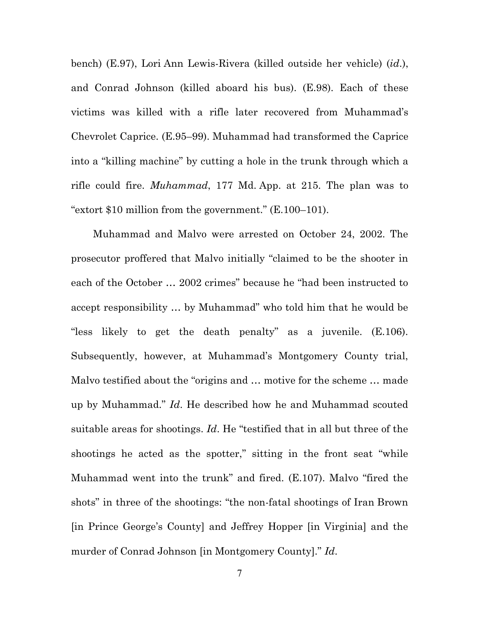bench) (E.97), Lori Ann Lewis-Rivera (killed outside her vehicle) (*id*.), and Conrad Johnson (killed aboard his bus). (E.98). Each of these victims was killed with a rifle later recovered from Muhammad's Chevrolet Caprice. (E.95–99). Muhammad had transformed the Caprice into a "killing machine" by cutting a hole in the trunk through which a rifle could fire. *Muhammad*, 177 Md. App. at 215. The plan was to "extort \$10 million from the government." (E.100–101).

Muhammad and Malvo were arrested on October 24, 2002. The prosecutor proffered that Malvo initially "claimed to be the shooter in each of the October … 2002 crimes" because he "had been instructed to accept responsibility … by Muhammad" who told him that he would be "less likely to get the death penalty" as a juvenile. (E.106). Subsequently, however, at Muhammad's Montgomery County trial, Malvo testified about the "origins and … motive for the scheme … made up by Muhammad." *Id*. He described how he and Muhammad scouted suitable areas for shootings. *Id*. He "testified that in all but three of the shootings he acted as the spotter," sitting in the front seat "while Muhammad went into the trunk" and fired. (E.107). Malvo "fired the shots" in three of the shootings: "the non-fatal shootings of Iran Brown [in Prince George's County] and Jeffrey Hopper [in Virginia] and the murder of Conrad Johnson [in Montgomery County]." *Id*.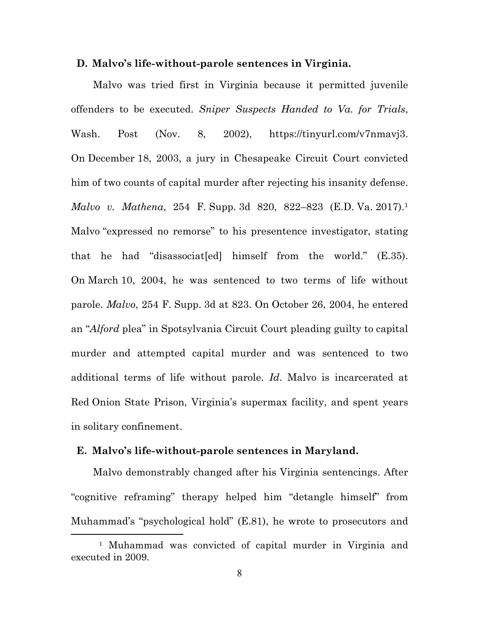#### **D. Malvo's life-without-parole sentences in Virginia.**

Malvo was tried first in Virginia because it permitted juvenile offenders to be executed. *Sniper Suspects Handed to Va. for Trials*, Wash. Post (Nov. 8, 2002), https://tinyurl.com/v7nmavj3. On December 18, 2003, a jury in Chesapeake Circuit Court convicted him of two counts of capital murder after rejecting his insanity defense. *Malvo v. Mathena*, 254 F. Supp. 3d 820, 822–823 (E.D. Va. 2017).1 Malvo "expressed no remorse" to his presentence investigator, stating that he had "disassociat[ed] himself from the world." (E.35). On March 10, 2004, he was sentenced to two terms of life without parole. *Malvo*, 254 F. Supp. 3d at 823. On October 26, 2004, he entered an "*Alford* plea" in Spotsylvania Circuit Court pleading guilty to capital murder and attempted capital murder and was sentenced to two additional terms of life without parole. *Id*. Malvo is incarcerated at Red Onion State Prison, Virginia's supermax facility, and spent years in solitary confinement.

#### **E. Malvo's life-without-parole sentences in Maryland.**

Malvo demonstrably changed after his Virginia sentencings. After "cognitive reframing" therapy helped him "detangle himself" from Muhammad's "psychological hold" (E.81), he wrote to prosecutors and

<sup>1</sup> Muhammad was convicted of capital murder in Virginia and executed in 2009.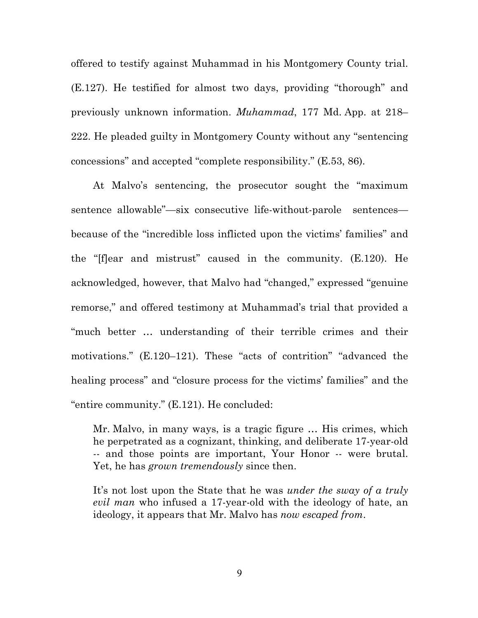offered to testify against Muhammad in his Montgomery County trial. (E.127). He testified for almost two days, providing "thorough" and previously unknown information. *Muhammad*, 177 Md. App. at 218– 222. He pleaded guilty in Montgomery County without any "sentencing concessions" and accepted "complete responsibility." (E.53, 86).

At Malvo's sentencing, the prosecutor sought the "maximum sentence allowable"—six consecutive life-without-parole sentences because of the "incredible loss inflicted upon the victims' families" and the "[f]ear and mistrust" caused in the community. (E.120). He acknowledged, however, that Malvo had "changed," expressed "genuine remorse," and offered testimony at Muhammad's trial that provided a "much better … understanding of their terrible crimes and their motivations." (E.120–121). These "acts of contrition" "advanced the healing process" and "closure process for the victims' families" and the "entire community." (E.121). He concluded:

Mr. Malvo, in many ways, is a tragic figure … His crimes, which he perpetrated as a cognizant, thinking, and deliberate 17-year-old -- and those points are important, Your Honor -- were brutal. Yet, he has *grown tremendously* since then.

It's not lost upon the State that he was *under the sway of a truly evil man* who infused a 17-year-old with the ideology of hate, an ideology, it appears that Mr. Malvo has *now escaped from*.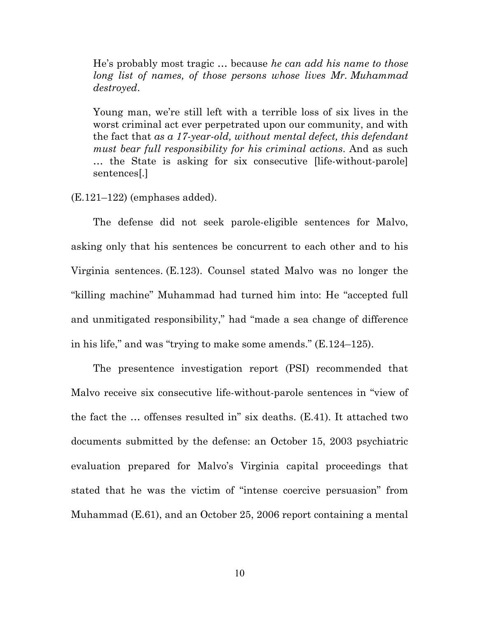He's probably most tragic … because *he can add his name to those long list of names, of those persons whose lives Mr. Muhammad destroyed*.

Young man, we're still left with a terrible loss of six lives in the worst criminal act ever perpetrated upon our community, and with the fact that *as a 17-year-old, without mental defect, this defendant must bear full responsibility for his criminal actions*. And as such … the State is asking for six consecutive [life-without-parole] sentences[.]

 $(E.121-122)$  (emphases added).

The defense did not seek parole-eligible sentences for Malvo, asking only that his sentences be concurrent to each other and to his Virginia sentences. (E.123). Counsel stated Malvo was no longer the "killing machine" Muhammad had turned him into: He "accepted full and unmitigated responsibility," had "made a sea change of difference in his life," and was "trying to make some amends." (E.124–125).

The presentence investigation report (PSI) recommended that Malvo receive six consecutive life-without-parole sentences in "view of the fact the … offenses resulted in" six deaths. (E.41). It attached two documents submitted by the defense: an October 15, 2003 psychiatric evaluation prepared for Malvo's Virginia capital proceedings that stated that he was the victim of "intense coercive persuasion" from Muhammad (E.61), and an October 25, 2006 report containing a mental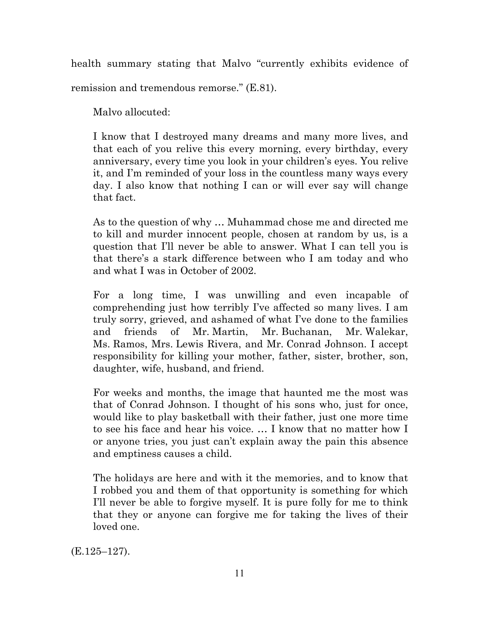health summary stating that Malvo "currently exhibits evidence of

remission and tremendous remorse." (E.81).

Malvo allocuted:

I know that I destroyed many dreams and many more lives, and that each of you relive this every morning, every birthday, every anniversary, every time you look in your children's eyes. You relive it, and I'm reminded of your loss in the countless many ways every day. I also know that nothing I can or will ever say will change that fact.

As to the question of why … Muhammad chose me and directed me to kill and murder innocent people, chosen at random by us, is a question that I'll never be able to answer. What I can tell you is that there's a stark difference between who I am today and who and what I was in October of 2002.

For a long time, I was unwilling and even incapable of comprehending just how terribly I've affected so many lives. I am truly sorry, grieved, and ashamed of what I've done to the families and friends of Mr. Martin, Mr. Buchanan, Mr. Walekar, Ms. Ramos, Mrs. Lewis Rivera, and Mr. Conrad Johnson. I accept responsibility for killing your mother, father, sister, brother, son, daughter, wife, husband, and friend.

For weeks and months, the image that haunted me the most was that of Conrad Johnson. I thought of his sons who, just for once, would like to play basketball with their father, just one more time to see his face and hear his voice. … I know that no matter how I or anyone tries, you just can't explain away the pain this absence and emptiness causes a child.

The holidays are here and with it the memories, and to know that I robbed you and them of that opportunity is something for which I'll never be able to forgive myself. It is pure folly for me to think that they or anyone can forgive me for taking the lives of their loved one.

(E.125–127).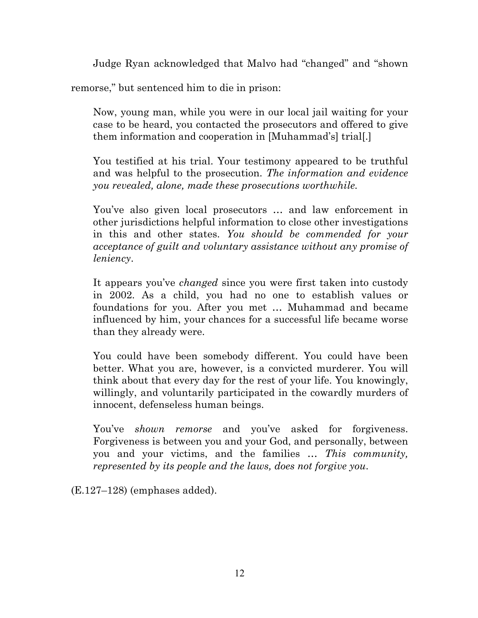Judge Ryan acknowledged that Malvo had "changed" and "shown

remorse," but sentenced him to die in prison:

Now, young man, while you were in our local jail waiting for your case to be heard, you contacted the prosecutors and offered to give them information and cooperation in [Muhammad's] trial[.]

You testified at his trial. Your testimony appeared to be truthful and was helpful to the prosecution. *The information and evidence you revealed, alone, made these prosecutions worthwhile.*

You've also given local prosecutors … and law enforcement in other jurisdictions helpful information to close other investigations in this and other states. *You should be commended for your acceptance of guilt and voluntary assistance without any promise of leniency*.

It appears you've *changed* since you were first taken into custody in 2002. As a child, you had no one to establish values or foundations for you. After you met … Muhammad and became influenced by him, your chances for a successful life became worse than they already were.

You could have been somebody different. You could have been better. What you are, however, is a convicted murderer. You will think about that every day for the rest of your life. You knowingly, willingly, and voluntarily participated in the cowardly murders of innocent, defenseless human beings.

You've *shown remorse* and you've asked for forgiveness. Forgiveness is between you and your God, and personally, between you and your victims, and the families … *This community, represented by its people and the laws, does not forgive you*.

(E.127–128) (emphases added).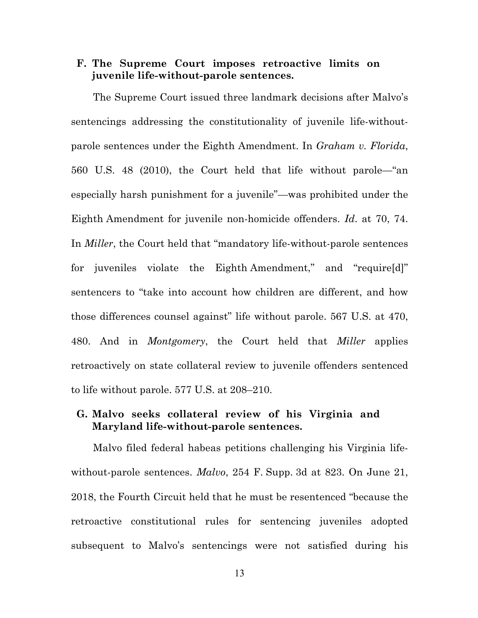### **F. The Supreme Court imposes retroactive limits on juvenile life-without-parole sentences.**

The Supreme Court issued three landmark decisions after Malvo's sentencings addressing the constitutionality of juvenile life-withoutparole sentences under the Eighth Amendment. In *Graham v. Florida*, 560 U.S. 48 (2010), the Court held that life without parole—"an especially harsh punishment for a juvenile"—was prohibited under the Eighth Amendment for juvenile non-homicide offenders. *Id*. at 70, 74. In *Miller*, the Court held that "mandatory life-without-parole sentences for juveniles violate the Eighth Amendment," and "require[d]" sentencers to "take into account how children are different, and how those differences counsel against" life without parole. 567 U.S. at 470, 480. And in *Montgomery*, the Court held that *Miller* applies retroactively on state collateral review to juvenile offenders sentenced to life without parole. 577 U.S. at 208–210.

## **G. Malvo seeks collateral review of his Virginia and Maryland life-without-parole sentences.**

Malvo filed federal habeas petitions challenging his Virginia lifewithout-parole sentences. *Malvo*, 254 F. Supp. 3d at 823. On June 21, 2018, the Fourth Circuit held that he must be resentenced "because the retroactive constitutional rules for sentencing juveniles adopted subsequent to Malvo's sentencings were not satisfied during his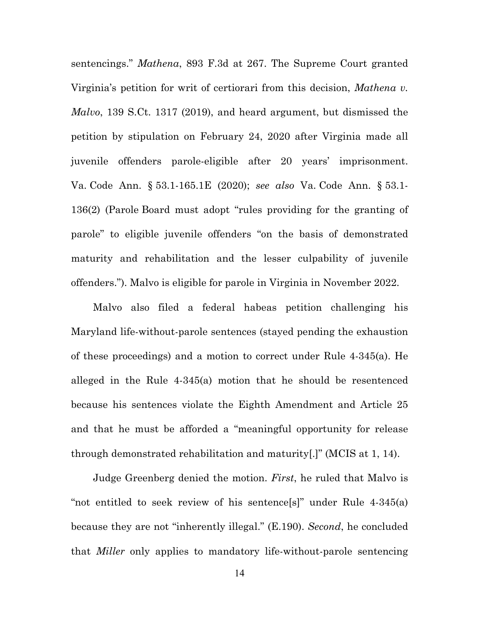sentencings." *Mathena*, 893 F.3d at 267. The Supreme Court granted Virginia's petition for writ of certiorari from this decision, *Mathena v. Malvo*, 139 S.Ct. 1317 (2019), and heard argument, but dismissed the petition by stipulation on February 24, 2020 after Virginia made all juvenile offenders parole-eligible after 20 years' imprisonment. Va. Code Ann. § 53.1-165.1E (2020); *see also* Va. Code Ann. § 53.1- 136(2) (Parole Board must adopt "rules providing for the granting of parole" to eligible juvenile offenders "on the basis of demonstrated maturity and rehabilitation and the lesser culpability of juvenile offenders."). Malvo is eligible for parole in Virginia in November 2022.

Malvo also filed a federal habeas petition challenging his Maryland life-without-parole sentences (stayed pending the exhaustion of these proceedings) and a motion to correct under Rule 4-345(a). He alleged in the Rule 4-345(a) motion that he should be resentenced because his sentences violate the Eighth Amendment and Article 25 and that he must be afforded a "meaningful opportunity for release through demonstrated rehabilitation and maturity[.]" (MCIS at 1, 14).

Judge Greenberg denied the motion. *First*, he ruled that Malvo is "not entitled to seek review of his sentence[s]" under Rule 4-345(a) because they are not "inherently illegal." (E.190). *Second*, he concluded that *Miller* only applies to mandatory life-without-parole sentencing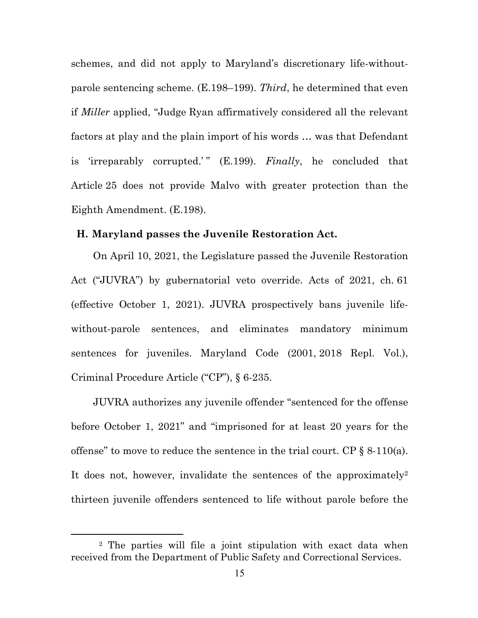schemes, and did not apply to Maryland's discretionary life-withoutparole sentencing scheme. (E.198–199). *Third*, he determined that even if *Miller* applied, "Judge Ryan affirmatively considered all the relevant factors at play and the plain import of his words … was that Defendant is 'irreparably corrupted.'" (E.199). *Finally*, he concluded that Article 25 does not provide Malvo with greater protection than the Eighth Amendment. (E.198).

#### **H. Maryland passes the Juvenile Restoration Act.**

On April 10, 2021, the Legislature passed the Juvenile Restoration Act ("JUVRA") by gubernatorial veto override. Acts of 2021, ch. 61 (effective October 1, 2021). JUVRA prospectively bans juvenile lifewithout-parole sentences, and eliminates mandatory minimum sentences for juveniles. Maryland Code (2001, 2018 Repl. Vol.), Criminal Procedure Article ("CP"), § 6-235.

JUVRA authorizes any juvenile offender "sentenced for the offense before October 1, 2021" and "imprisoned for at least 20 years for the offense" to move to reduce the sentence in the trial court. CP  $\S$  8-110(a). It does not, however, invalidate the sentences of the approximately<sup>2</sup> thirteen juvenile offenders sentenced to life without parole before the

<sup>2</sup> The parties will file a joint stipulation with exact data when received from the Department of Public Safety and Correctional Services.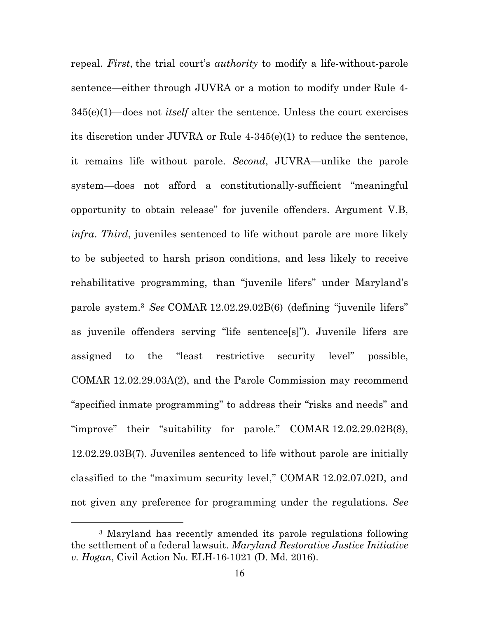repeal. *First*, the trial court's *authority* to modify a life-without-parole sentence—either through JUVRA or a motion to modify under Rule 4- 345(e)(1)—does not *itself* alter the sentence. Unless the court exercises its discretion under JUVRA or Rule 4-345(e)(1) to reduce the sentence, it remains life without parole. *Second*, JUVRA—unlike the parole system—does not afford a constitutionally-sufficient "meaningful opportunity to obtain release" for juvenile offenders. Argument V.B, *infra*. *Third*, juveniles sentenced to life without parole are more likely to be subjected to harsh prison conditions, and less likely to receive rehabilitative programming, than "juvenile lifers" under Maryland's parole system.3 *See* COMAR 12.02.29.02B(6) (defining "juvenile lifers" as juvenile offenders serving "life sentence[s]"). Juvenile lifers are assigned to the "least restrictive security level" possible, COMAR 12.02.29.03A(2), and the Parole Commission may recommend "specified inmate programming" to address their "risks and needs" and "improve" their "suitability for parole." COMAR 12.02.29.02B(8), 12.02.29.03B(7). Juveniles sentenced to life without parole are initially classified to the "maximum security level," COMAR 12.02.07.02D, and not given any preference for programming under the regulations. *See* 

<sup>3</sup> Maryland has recently amended its parole regulations following the settlement of a federal lawsuit. *Maryland Restorative Justice Initiative v. Hogan*, Civil Action No. ELH-16-1021 (D. Md. 2016).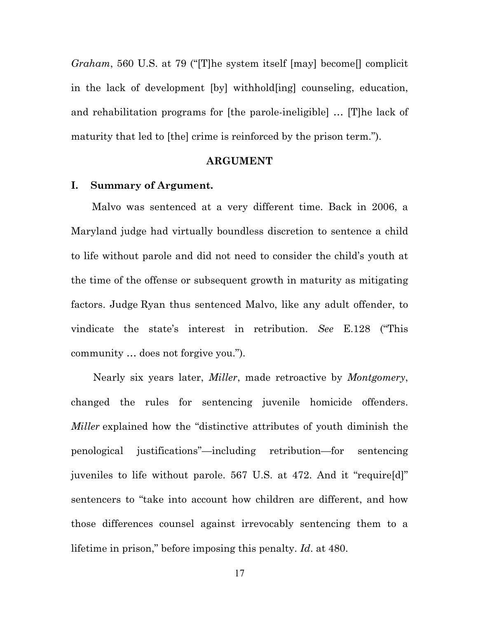*Graham*, 560 U.S. at 79 ("[T]he system itself [may] become[] complicit in the lack of development [by] withhold[ing] counseling, education, and rehabilitation programs for [the parole-ineligible] … [T]he lack of maturity that led to [the] crime is reinforced by the prison term.").

#### **ARGUMENT**

### **I. Summary of Argument.**

Malvo was sentenced at a very different time. Back in 2006, a Maryland judge had virtually boundless discretion to sentence a child to life without parole and did not need to consider the child's youth at the time of the offense or subsequent growth in maturity as mitigating factors. Judge Ryan thus sentenced Malvo, like any adult offender, to vindicate the state's interest in retribution. *See* E.128 ("This community … does not forgive you.").

Nearly six years later, *Miller*, made retroactive by *Montgomery*, changed the rules for sentencing juvenile homicide offenders. *Miller* explained how the "distinctive attributes of youth diminish the penological justifications"—including retribution—for sentencing juveniles to life without parole. 567 U.S. at 472. And it "require[d]" sentencers to "take into account how children are different, and how those differences counsel against irrevocably sentencing them to a lifetime in prison," before imposing this penalty. *Id*. at 480.

17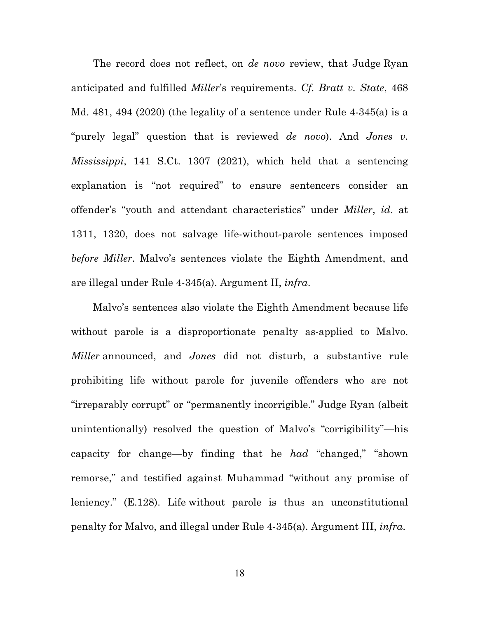The record does not reflect, on *de novo* review, that Judge Ryan anticipated and fulfilled *Miller*'s requirements. *Cf. Bratt v. State*, 468 Md. 481, 494 (2020) (the legality of a sentence under Rule 4-345(a) is a "purely legal" question that is reviewed *de novo*). And *Jones v. Mississippi*, 141 S.Ct. 1307 (2021), which held that a sentencing explanation is "not required" to ensure sentencers consider an offender's "youth and attendant characteristics" under *Miller*, *id*. at 1311, 1320, does not salvage life-without-parole sentences imposed *before Miller*. Malvo's sentences violate the Eighth Amendment, and are illegal under Rule 4-345(a). Argument II, *infra*.

Malvo's sentences also violate the Eighth Amendment because life without parole is a disproportionate penalty as-applied to Malvo. *Miller* announced, and *Jones* did not disturb, a substantive rule prohibiting life without parole for juvenile offenders who are not "irreparably corrupt" or "permanently incorrigible." Judge Ryan (albeit unintentionally) resolved the question of Malvo's "corrigibility"—his capacity for change—by finding that he *had* "changed," "shown remorse," and testified against Muhammad "without any promise of leniency." (E.128). Life without parole is thus an unconstitutional penalty for Malvo, and illegal under Rule 4-345(a). Argument III, *infra*.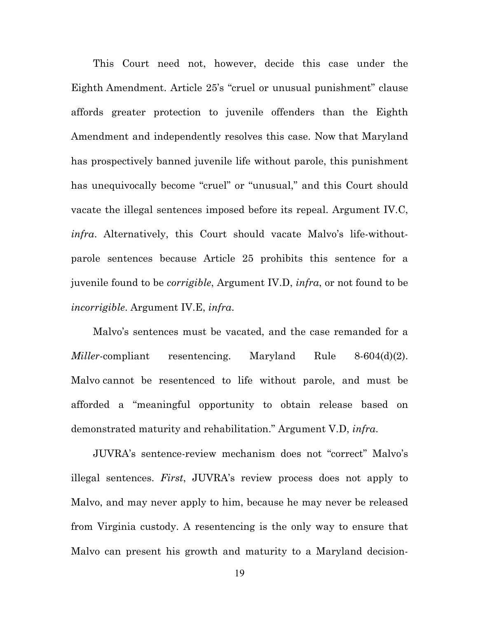This Court need not, however, decide this case under the Eighth Amendment. Article 25's "cruel or unusual punishment" clause affords greater protection to juvenile offenders than the Eighth Amendment and independently resolves this case. Now that Maryland has prospectively banned juvenile life without parole, this punishment has unequivocally become "cruel" or "unusual," and this Court should vacate the illegal sentences imposed before its repeal. Argument IV.C, *infra*. Alternatively, this Court should vacate Malvo's life-withoutparole sentences because Article 25 prohibits this sentence for a juvenile found to be *corrigible*, Argument IV.D, *infra*, or not found to be *incorrigible*. Argument IV.E, *infra*.

Malvo's sentences must be vacated, and the case remanded for a *Miller*-compliant resentencing. Maryland Rule 8-604(d)(2). Malvo cannot be resentenced to life without parole, and must be afforded a "meaningful opportunity to obtain release based on demonstrated maturity and rehabilitation." Argument V.D, *infra*.

JUVRA's sentence-review mechanism does not "correct" Malvo's illegal sentences. *First*, JUVRA's review process does not apply to Malvo, and may never apply to him, because he may never be released from Virginia custody. A resentencing is the only way to ensure that Malvo can present his growth and maturity to a Maryland decision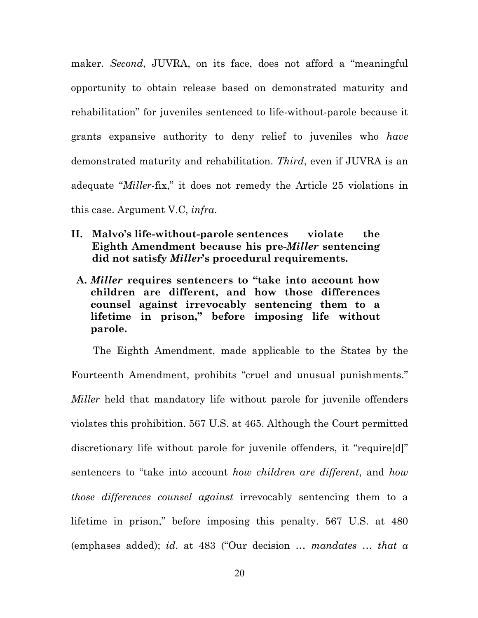maker. *Second*, JUVRA, on its face, does not afford a "meaningful opportunity to obtain release based on demonstrated maturity and rehabilitation" for juveniles sentenced to life-without-parole because it grants expansive authority to deny relief to juveniles who *have* demonstrated maturity and rehabilitation. *Third*, even if JUVRA is an adequate "*Miller*-fix," it does not remedy the Article 25 violations in this case. Argument V.C, *infra*.

- **II. Malvo's life-without-parole sentences violate the Eighth Amendment because his pre-***Miller* **sentencing did not satisfy** *Miller***'s procedural requirements.**
- **A.** *Miller* **requires sentencers to "take into account how children are different, and how those differences counsel against irrevocably sentencing them to a lifetime in prison," before imposing life without parole.**

The Eighth Amendment, made applicable to the States by the Fourteenth Amendment, prohibits "cruel and unusual punishments." *Miller* held that mandatory life without parole for juvenile offenders violates this prohibition. 567 U.S. at 465. Although the Court permitted discretionary life without parole for juvenile offenders, it "require[d]" sentencers to "take into account *how children are different*, and *how those differences counsel against* irrevocably sentencing them to a lifetime in prison," before imposing this penalty. 567 U.S. at 480 (emphases added); *id*. at 483 ("Our decision … *mandates … that a*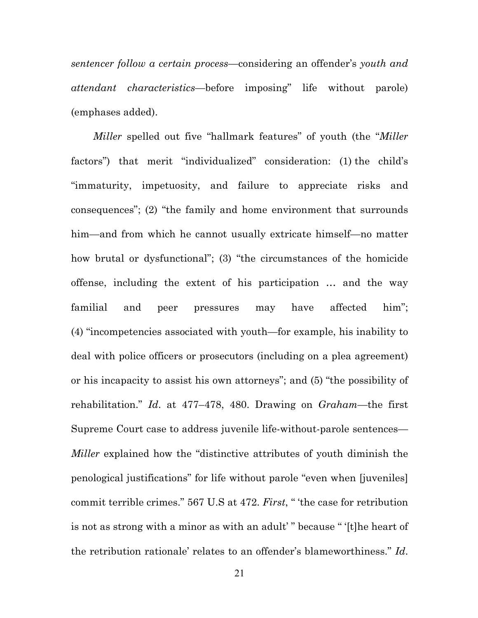*sentencer follow a certain process*—considering an offender's *youth and attendant characteristics*—before imposing" life without parole) (emphases added).

*Miller* spelled out five "hallmark features" of youth (the "*Miller* factors") that merit "individualized" consideration: (1) the child's "immaturity, impetuosity, and failure to appreciate risks and consequences"; (2) "the family and home environment that surrounds him—and from which he cannot usually extricate himself—no matter how brutal or dysfunctional"; (3) "the circumstances of the homicide offense, including the extent of his participation … and the way familial and peer pressures may have affected him"; (4) "incompetencies associated with youth—for example, his inability to deal with police officers or prosecutors (including on a plea agreement) or his incapacity to assist his own attorneys"; and (5) "the possibility of rehabilitation." *Id*. at 477–478, 480. Drawing on *Graham*—the first Supreme Court case to address juvenile life-without-parole sentences— *Miller* explained how the "distinctive attributes of youth diminish the penological justifications" for life without parole "even when [juveniles] commit terrible crimes." 567 U.S at 472. *First*, " 'the case for retribution is not as strong with a minor as with an adult' " because " '[t]he heart of the retribution rationale' relates to an offender's blameworthiness." *Id*.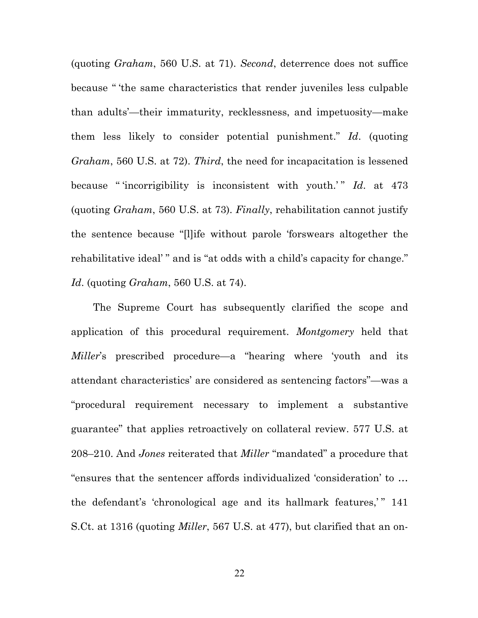(quoting *Graham*, 560 U.S. at 71). *Second*, deterrence does not suffice because " 'the same characteristics that render juveniles less culpable than adults'—their immaturity, recklessness, and impetuosity—make them less likely to consider potential punishment." *Id*. (quoting *Graham*, 560 U.S. at 72). *Third*, the need for incapacitation is lessened because " incorrigibility is inconsistent with youth.'" *Id.* at 473 (quoting *Graham*, 560 U.S. at 73). *Finally*, rehabilitation cannot justify the sentence because "[l]ife without parole 'forswears altogether the rehabilitative ideal' " and is "at odds with a child's capacity for change." *Id*. (quoting *Graham*, 560 U.S. at 74).

The Supreme Court has subsequently clarified the scope and application of this procedural requirement. *Montgomery* held that *Miller*'s prescribed procedure—a "hearing where 'youth and its attendant characteristics' are considered as sentencing factors"—was a "procedural requirement necessary to implement a substantive guarantee" that applies retroactively on collateral review. 577 U.S. at 208–210. And *Jones* reiterated that *Miller* "mandated" a procedure that "ensures that the sentencer affords individualized 'consideration' to … the defendant's 'chronological age and its hallmark features,'" 141 S.Ct. at 1316 (quoting *Miller*, 567 U.S. at 477), but clarified that an on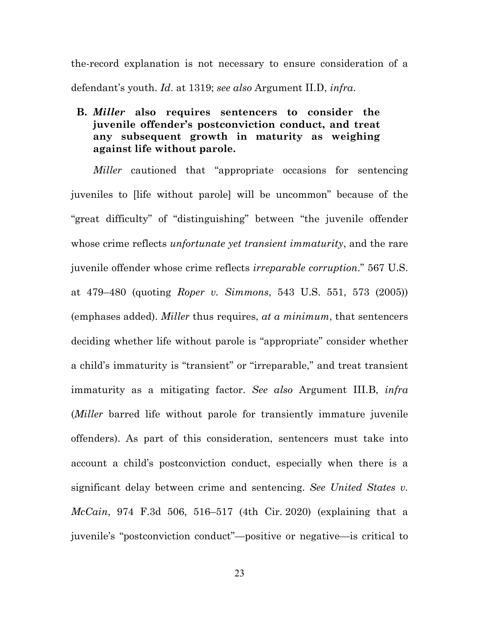the-record explanation is not necessary to ensure consideration of a defendant's youth. *Id*. at 1319; *see also* Argument II.D, *infra*.

## **B.** *Miller* **also requires sentencers to consider the juvenile offender's postconviction conduct, and treat any subsequent growth in maturity as weighing against life without parole.**

*Miller* cautioned that "appropriate occasions for sentencing juveniles to [life without parole] will be uncommon" because of the "great difficulty" of "distinguishing" between "the juvenile offender whose crime reflects *unfortunate yet transient immaturity*, and the rare juvenile offender whose crime reflects *irreparable corruption*." 567 U.S. at 479–480 (quoting *Roper v. Simmons*, 543 U.S. 551, 573 (2005)) (emphases added). *Miller* thus requires, *at a minimum*, that sentencers deciding whether life without parole is "appropriate" consider whether a child's immaturity is "transient" or "irreparable," and treat transient immaturity as a mitigating factor. *See also* Argument III.B, *infra* (*Miller* barred life without parole for transiently immature juvenile offenders). As part of this consideration, sentencers must take into account a child's postconviction conduct, especially when there is a significant delay between crime and sentencing. *See United States v. McCain*, 974 F.3d 506, 516–517 (4th Cir. 2020) (explaining that a juvenile's "postconviction conduct"—positive or negative—is critical to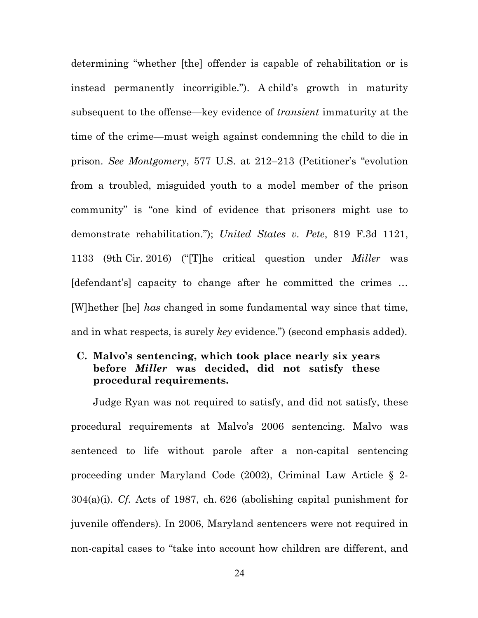determining "whether [the] offender is capable of rehabilitation or is instead permanently incorrigible."). A child's growth in maturity subsequent to the offense—key evidence of *transient* immaturity at the time of the crime—must weigh against condemning the child to die in prison. *See Montgomery*, 577 U.S. at 212–213 (Petitioner's "evolution from a troubled, misguided youth to a model member of the prison community" is "one kind of evidence that prisoners might use to demonstrate rehabilitation."); *United States v. Pete*, 819 F.3d 1121, 1133 (9th Cir. 2016) ("[T]he critical question under *Miller* was [defendant's] capacity to change after he committed the crimes ... [W]hether [he] *has* changed in some fundamental way since that time, and in what respects, is surely *key* evidence.") (second emphasis added).

## **C. Malvo's sentencing, which took place nearly six years before** *Miller* **was decided, did not satisfy these procedural requirements.**

Judge Ryan was not required to satisfy, and did not satisfy, these procedural requirements at Malvo's 2006 sentencing. Malvo was sentenced to life without parole after a non-capital sentencing proceeding under Maryland Code (2002), Criminal Law Article § 2- 304(a)(i). *Cf.* Acts of 1987, ch. 626 (abolishing capital punishment for juvenile offenders). In 2006, Maryland sentencers were not required in non-capital cases to "take into account how children are different, and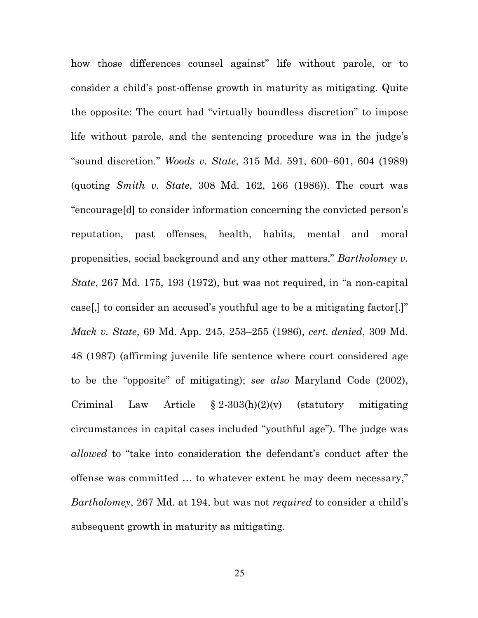how those differences counsel against" life without parole, or to consider a child's post-offense growth in maturity as mitigating. Quite the opposite: The court had "virtually boundless discretion" to impose life without parole, and the sentencing procedure was in the judge's "sound discretion." *Woods v. State*, 315 Md. 591, 600–601, 604 (1989) (quoting *Smith v. State*, 308 Md. 162, 166 (1986)). The court was "encourage[d] to consider information concerning the convicted person's reputation, past offenses, health, habits, mental and moral propensities, social background and any other matters," *Bartholomey v. State*, 267 Md. 175, 193 (1972), but was not required, in "a non-capital case[,] to consider an accused's youthful age to be a mitigating factor[.]" *Mack v. State*, 69 Md. App. 245, 253–255 (1986), *cert. denied*, 309 Md. 48 (1987) (affirming juvenile life sentence where court considered age to be the "opposite" of mitigating); *see also* Maryland Code (2002), Criminal Law Article  $\S 2-303(h)(2)(v)$  (statutory mitigating circumstances in capital cases included "youthful age"). The judge was *allowed* to "take into consideration the defendant's conduct after the offense was committed … to whatever extent he may deem necessary," *Bartholomey*, 267 Md. at 194, but was not *required* to consider a child's subsequent growth in maturity as mitigating.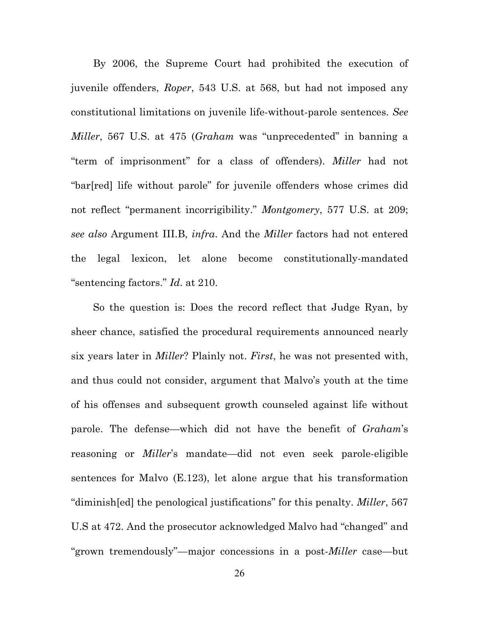By 2006, the Supreme Court had prohibited the execution of juvenile offenders, *Roper*, 543 U.S. at 568, but had not imposed any constitutional limitations on juvenile life-without-parole sentences. *See Miller*, 567 U.S. at 475 (*Graham* was "unprecedented" in banning a "term of imprisonment" for a class of offenders). *Miller* had not "bar[red] life without parole" for juvenile offenders whose crimes did not reflect "permanent incorrigibility." *Montgomery*, 577 U.S. at 209; *see also* Argument III.B, *infra*. And the *Miller* factors had not entered the legal lexicon, let alone become constitutionally-mandated "sentencing factors." *Id*. at 210.

So the question is: Does the record reflect that Judge Ryan, by sheer chance, satisfied the procedural requirements announced nearly six years later in *Miller*? Plainly not. *First*, he was not presented with, and thus could not consider, argument that Malvo's youth at the time of his offenses and subsequent growth counseled against life without parole. The defense—which did not have the benefit of *Graham*'s reasoning or *Miller*'s mandate*—*did not even seek parole-eligible sentences for Malvo (E.123), let alone argue that his transformation "diminish[ed] the penological justifications" for this penalty. *Miller*, 567 U.S at 472. And the prosecutor acknowledged Malvo had "changed" and "grown tremendously"—major concessions in a post-*Miller* case—but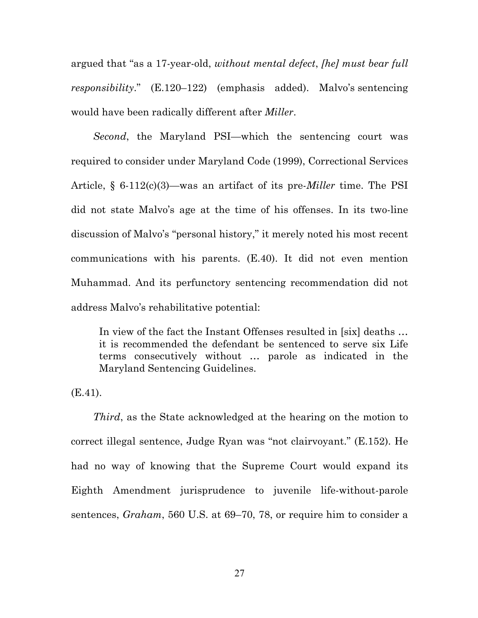argued that "as a 17-year-old, *without mental defect*, *[he] must bear full responsibility*." (E.120–122) (emphasis added). Malvo's sentencing would have been radically different after *Miller*.

*Second*, the Maryland PSI—which the sentencing court was required to consider under Maryland Code (1999), Correctional Services Article, § 6-112(c)(3)—was an artifact of its pre-*Miller* time. The PSI did not state Malvo's age at the time of his offenses. In its two-line discussion of Malvo's "personal history," it merely noted his most recent communications with his parents. (E.40). It did not even mention Muhammad. And its perfunctory sentencing recommendation did not address Malvo's rehabilitative potential:

In view of the fact the Instant Offenses resulted in [six] deaths ... it is recommended the defendant be sentenced to serve six Life terms consecutively without … parole as indicated in the Maryland Sentencing Guidelines.

(E.41).

*Third*, as the State acknowledged at the hearing on the motion to correct illegal sentence, Judge Ryan was "not clairvoyant." (E.152). He had no way of knowing that the Supreme Court would expand its Eighth Amendment jurisprudence to juvenile life-without-parole sentences, *Graham*, 560 U.S. at 69–70, 78, or require him to consider a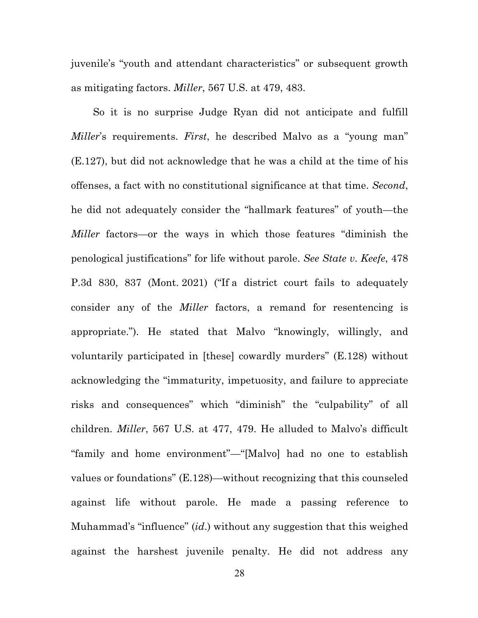juvenile's "youth and attendant characteristics" or subsequent growth as mitigating factors. *Miller*, 567 U.S. at 479, 483.

So it is no surprise Judge Ryan did not anticipate and fulfill *Miller*'s requirements. *First*, he described Malvo as a "young man" (E.127), but did not acknowledge that he was a child at the time of his offenses, a fact with no constitutional significance at that time. *Second*, he did not adequately consider the "hallmark features" of youth—the *Miller* factors—or the ways in which those features "diminish the penological justifications" for life without parole. *See State v. Keefe*, 478 P.3d 830, 837 (Mont. 2021) ("If a district court fails to adequately consider any of the *Miller* factors, a remand for resentencing is appropriate."). He stated that Malvo "knowingly, willingly, and voluntarily participated in [these] cowardly murders" (E.128) without acknowledging the "immaturity, impetuosity, and failure to appreciate risks and consequences" which "diminish" the "culpability" of all children. *Miller*, 567 U.S. at 477, 479. He alluded to Malvo's difficult "family and home environment"—"[Malvo] had no one to establish values or foundations" (E.128)—without recognizing that this counseled against life without parole. He made a passing reference to Muhammad's "influence" (*id*.) without any suggestion that this weighed against the harshest juvenile penalty. He did not address any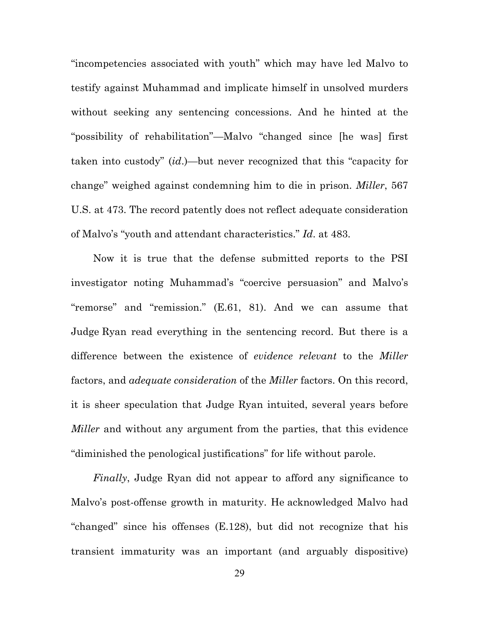"incompetencies associated with youth" which may have led Malvo to testify against Muhammad and implicate himself in unsolved murders without seeking any sentencing concessions. And he hinted at the "possibility of rehabilitation"—Malvo "changed since [he was] first taken into custody" (*id*.)—but never recognized that this "capacity for change" weighed against condemning him to die in prison. *Miller*, 567 U.S. at 473. The record patently does not reflect adequate consideration of Malvo's "youth and attendant characteristics." *Id*. at 483.

Now it is true that the defense submitted reports to the PSI investigator noting Muhammad's "coercive persuasion" and Malvo's "remorse" and "remission." (E.61, 81). And we can assume that Judge Ryan read everything in the sentencing record. But there is a difference between the existence of *evidence relevant* to the *Miller* factors, and *adequate consideration* of the *Miller* factors. On this record, it is sheer speculation that Judge Ryan intuited, several years before *Miller* and without any argument from the parties, that this evidence "diminished the penological justifications" for life without parole.

*Finally*, Judge Ryan did not appear to afford any significance to Malvo's post-offense growth in maturity. He acknowledged Malvo had "changed" since his offenses (E.128), but did not recognize that his transient immaturity was an important (and arguably dispositive)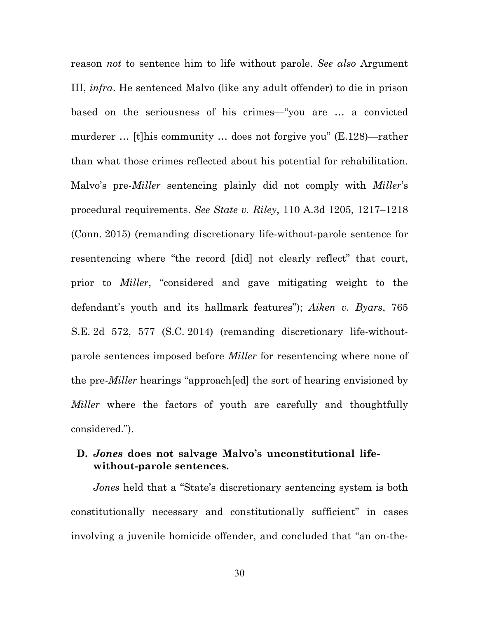reason *not* to sentence him to life without parole. *See also* Argument III, *infra*. He sentenced Malvo (like any adult offender) to die in prison based on the seriousness of his crimes—"you are … a convicted murderer … [t]his community … does not forgive you" (E.128)—rather than what those crimes reflected about his potential for rehabilitation. Malvo's pre-*Miller* sentencing plainly did not comply with *Miller*'s procedural requirements. *See State v. Riley*, 110 A.3d 1205, 1217–1218 (Conn. 2015) (remanding discretionary life-without-parole sentence for resentencing where "the record [did] not clearly reflect" that court, prior to *Miller*, "considered and gave mitigating weight to the defendant's youth and its hallmark features"); *Aiken v. Byars*, 765 S.E. 2d 572, 577 (S.C. 2014) (remanding discretionary life-withoutparole sentences imposed before *Miller* for resentencing where none of the pre-*Miller* hearings "approach[ed] the sort of hearing envisioned by *Miller* where the factors of youth are carefully and thoughtfully considered.").

### **D.** *Jones* **does not salvage Malvo's unconstitutional lifewithout-parole sentences.**

*Jones* held that a "State's discretionary sentencing system is both constitutionally necessary and constitutionally sufficient" in cases involving a juvenile homicide offender, and concluded that "an on-the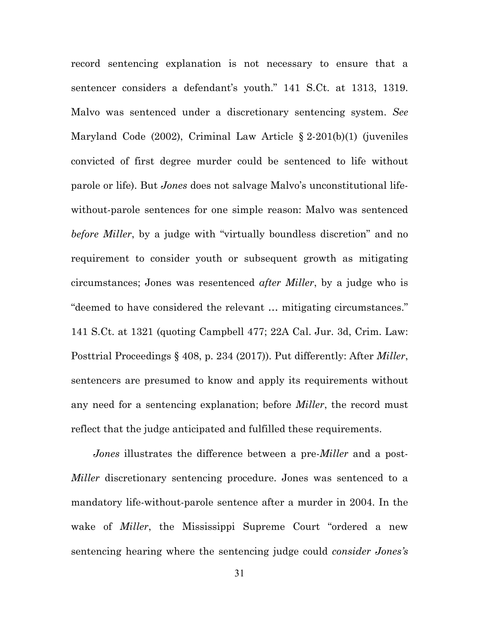record sentencing explanation is not necessary to ensure that a sentencer considers a defendant's youth." 141 S.Ct. at 1313, 1319. Malvo was sentenced under a discretionary sentencing system. *See* Maryland Code (2002), Criminal Law Article § 2-201(b)(1) (juveniles convicted of first degree murder could be sentenced to life without parole or life). But *Jones* does not salvage Malvo's unconstitutional lifewithout-parole sentences for one simple reason: Malvo was sentenced *before Miller*, by a judge with "virtually boundless discretion" and no requirement to consider youth or subsequent growth as mitigating circumstances; Jones was resentenced *after Miller*, by a judge who is "deemed to have considered the relevant … mitigating circumstances." 141 S.Ct. at 1321 (quoting Campbell 477; 22A Cal. Jur. 3d, Crim. Law: Posttrial Proceedings § 408, p. 234 (2017)). Put differently: After *Miller*, sentencers are presumed to know and apply its requirements without any need for a sentencing explanation; before *Miller*, the record must reflect that the judge anticipated and fulfilled these requirements.

*Jones* illustrates the difference between a pre-*Miller* and a post-*Miller* discretionary sentencing procedure. Jones was sentenced to a mandatory life-without-parole sentence after a murder in 2004. In the wake of *Miller*, the Mississippi Supreme Court "ordered a new sentencing hearing where the sentencing judge could *consider Jones's*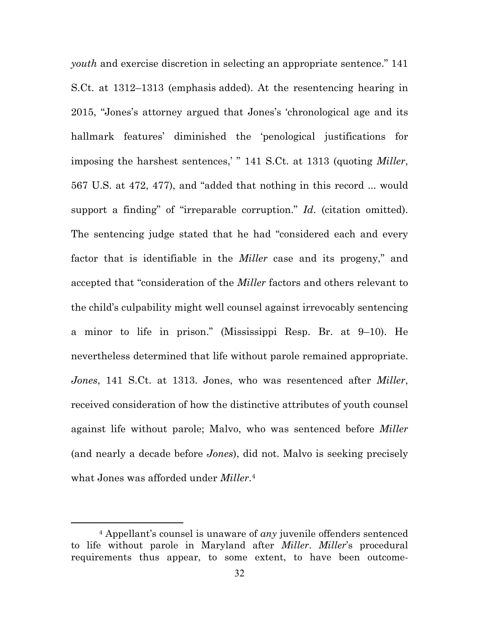*youth* and exercise discretion in selecting an appropriate sentence." 141 S.Ct. at 1312–1313 (emphasis added). At the resentencing hearing in 2015, "Jones's attorney argued that Jones's 'chronological age and its hallmark features' diminished the 'penological justifications for imposing the harshest sentences,' " 141 S.Ct. at 1313 (quoting *Miller*, 567 U.S. at 472, 477), and "added that nothing in this record ... would support a finding" of "irreparable corruption." *Id*. (citation omitted). The sentencing judge stated that he had "considered each and every factor that is identifiable in the *Miller* case and its progeny," and accepted that "consideration of the *Miller* factors and others relevant to the child's culpability might well counsel against irrevocably sentencing a minor to life in prison." (Mississippi Resp. Br. at 9–10). He nevertheless determined that life without parole remained appropriate. *Jones*, 141 S.Ct. at 1313. Jones, who was resentenced after *Miller*, received consideration of how the distinctive attributes of youth counsel against life without parole; Malvo, who was sentenced before *Miller* (and nearly a decade before *Jones*), did not. Malvo is seeking precisely what Jones was afforded under *Miller*.4

<sup>4</sup> Appellant's counsel is unaware of *any* juvenile offenders sentenced to life without parole in Maryland after *Miller*. *Miller*'s procedural requirements thus appear, to some extent, to have been outcome-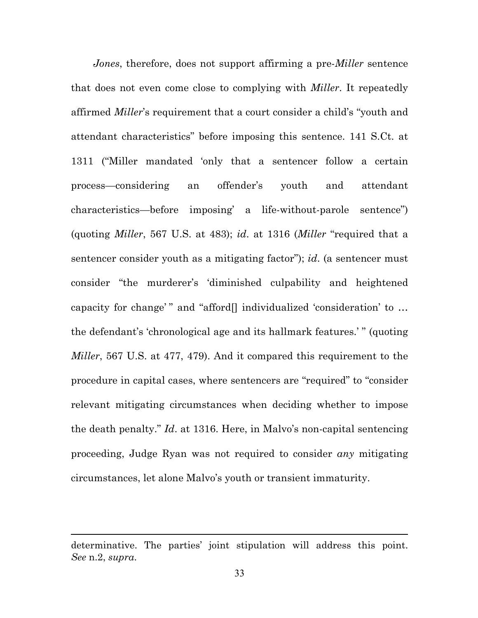*Jones*, therefore, does not support affirming a pre-*Miller* sentence that does not even come close to complying with *Miller*. It repeatedly affirmed *Miller*'s requirement that a court consider a child's "youth and attendant characteristics" before imposing this sentence. 141 S.Ct. at 1311 ("Miller mandated 'only that a sentencer follow a certain process—considering an offender's youth and attendant characteristics—before imposing' a life-without-parole sentence") (quoting *Miller*, 567 U.S. at 483); *id*. at 1316 (*Miller* "required that a sentencer consider youth as a mitigating factor"); *id*. (a sentencer must consider "the murderer's 'diminished culpability and heightened capacity for change' " and "afford[] individualized 'consideration' to … the defendant's 'chronological age and its hallmark features.' " (quoting *Miller*, 567 U.S. at 477, 479). And it compared this requirement to the procedure in capital cases, where sentencers are "required" to "consider relevant mitigating circumstances when deciding whether to impose the death penalty." *Id*. at 1316. Here, in Malvo's non-capital sentencing proceeding, Judge Ryan was not required to consider *any* mitigating circumstances, let alone Malvo's youth or transient immaturity.

determinative. The parties' joint stipulation will address this point. *See* n.2, *supra*.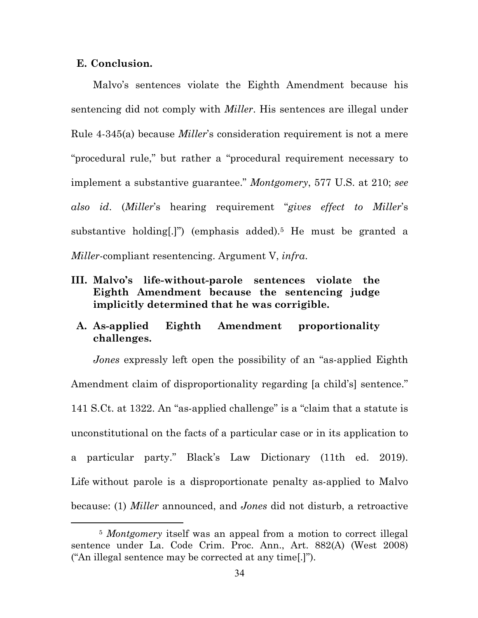#### **E. Conclusion.**

Malvo's sentences violate the Eighth Amendment because his sentencing did not comply with *Miller*. His sentences are illegal under Rule 4-345(a) because *Miller*'s consideration requirement is not a mere "procedural rule," but rather a "procedural requirement necessary to implement a substantive guarantee." *Montgomery*, 577 U.S. at 210; *see also id*. (*Miller*'s hearing requirement "*gives effect to Miller*'s substantive holding.]") (emphasis added).<sup>5</sup> He must be granted a *Miller*-compliant resentencing. Argument V, *infra*.

**III. Malvo's life-without-parole sentences violate the Eighth Amendment because the sentencing judge implicitly determined that he was corrigible.**

## **A. As-applied Eighth Amendment proportionality challenges.**

*Jones* expressly left open the possibility of an "as-applied Eighth Amendment claim of disproportionality regarding [a child's] sentence." 141 S.Ct. at 1322. An "as-applied challenge" is a "claim that a statute is unconstitutional on the facts of a particular case or in its application to a particular party." Black's Law Dictionary (11th ed. 2019). Life without parole is a disproportionate penalty as-applied to Malvo because: (1) *Miller* announced, and *Jones* did not disturb, a retroactive

<sup>5</sup> *Montgomery* itself was an appeal from a motion to correct illegal sentence under La. Code Crim. Proc. Ann., Art. 882(A) (West 2008) ("An illegal sentence may be corrected at any time[.]").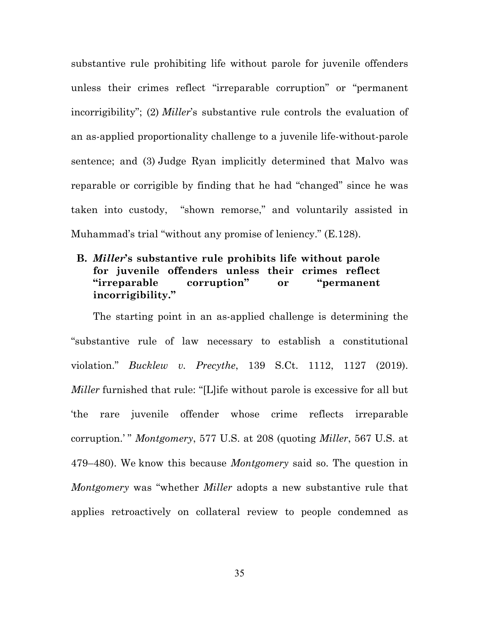substantive rule prohibiting life without parole for juvenile offenders unless their crimes reflect "irreparable corruption" or "permanent incorrigibility"; (2) *Miller*'s substantive rule controls the evaluation of an as-applied proportionality challenge to a juvenile life-without-parole sentence; and (3) Judge Ryan implicitly determined that Malvo was reparable or corrigible by finding that he had "changed" since he was taken into custody, "shown remorse," and voluntarily assisted in Muhammad's trial "without any promise of leniency." (E.128).

## **B.** *Miller***'s substantive rule prohibits life without parole for juvenile offenders unless their crimes reflect "irreparable corruption" or "permanent incorrigibility."**

The starting point in an as-applied challenge is determining the "substantive rule of law necessary to establish a constitutional violation." *Bucklew v. Precythe*, 139 S.Ct. 1112, 1127 (2019). *Miller* furnished that rule: "[L]ife without parole is excessive for all but 'the rare juvenile offender whose crime reflects irreparable corruption.' " *Montgomery*, 577 U.S. at 208 (quoting *Miller*, 567 U.S. at 479–480). We know this because *Montgomery* said so. The question in *Montgomery* was "whether *Miller* adopts a new substantive rule that applies retroactively on collateral review to people condemned as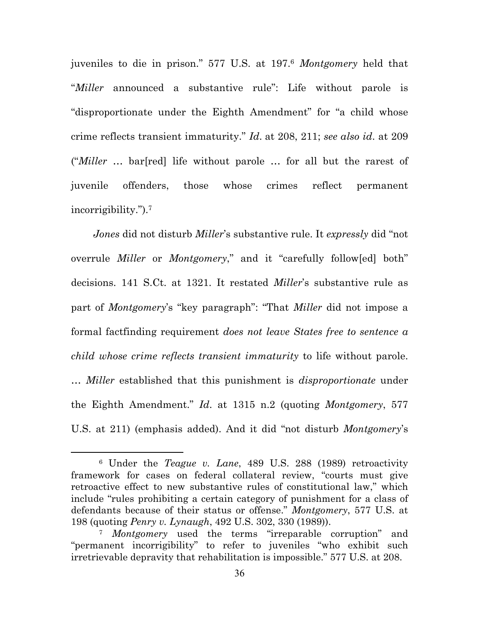juveniles to die in prison." 577 U.S. at 197. <sup>6</sup> *Montgomery* held that "*Miller* announced a substantive rule": Life without parole is "disproportionate under the Eighth Amendment" for "a child whose crime reflects transient immaturity." *Id*. at 208, 211; *see also id*. at 209 ("*Miller* … bar[red] life without parole … for all but the rarest of juvenile offenders, those whose crimes reflect permanent incorrigibility.").7

*Jones* did not disturb *Miller*'s substantive rule. It *expressly* did "not overrule *Miller* or *Montgomery*," and it "carefully follow[ed] both" decisions. 141 S.Ct. at 1321. It restated *Miller*'s substantive rule as part of *Montgomery*'s "key paragraph": "That *Miller* did not impose a formal factfinding requirement *does not leave States free to sentence a child whose crime reflects transient immaturity* to life without parole. … *Miller* established that this punishment is *disproportionate* under the Eighth Amendment." *Id*. at 1315 n.2 (quoting *Montgomery*, 577 U.S. at 211) (emphasis added). And it did "not disturb *Montgomery*'s

<sup>6</sup> Under the *Teague v. Lane*, 489 U.S. 288 (1989) retroactivity framework for cases on federal collateral review, "courts must give retroactive effect to new substantive rules of constitutional law," which include "rules prohibiting a certain category of punishment for a class of defendants because of their status or offense." *Montgomery*, 577 U.S. at 198 (quoting *Penry v. Lynaugh*, 492 U.S. 302, 330 (1989)).

<sup>7</sup> *Montgomery* used the terms "irreparable corruption" and "permanent incorrigibility" to refer to juveniles "who exhibit such irretrievable depravity that rehabilitation is impossible." 577 U.S. at 208.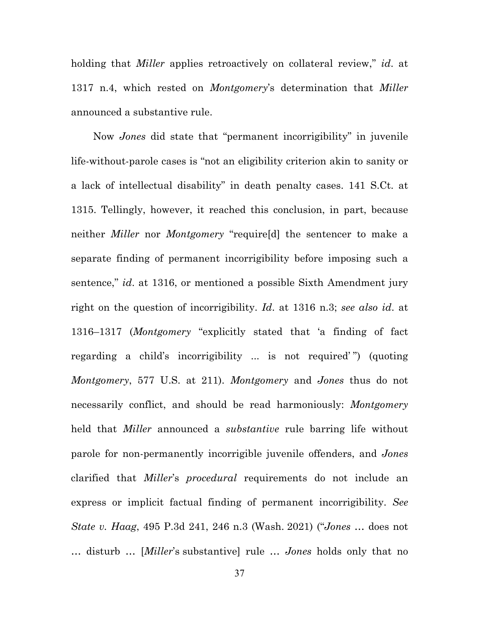holding that *Miller* applies retroactively on collateral review," *id*. at 1317 n.4, which rested on *Montgomery*'s determination that *Miller* announced a substantive rule.

Now *Jones* did state that "permanent incorrigibility" in juvenile life-without-parole cases is "not an eligibility criterion akin to sanity or a lack of intellectual disability" in death penalty cases. 141 S.Ct. at 1315. Tellingly, however, it reached this conclusion, in part, because neither *Miller* nor *Montgomery* "require[d] the sentencer to make a separate finding of permanent incorrigibility before imposing such a sentence," *id*. at 1316, or mentioned a possible Sixth Amendment jury right on the question of incorrigibility. *Id*. at 1316 n.3; *see also id*. at 1316–1317 (*Montgomery* "explicitly stated that 'a finding of fact regarding a child's incorrigibility ... is not required' ") (quoting *Montgomery*, 577 U.S. at 211). *Montgomery* and *Jones* thus do not necessarily conflict, and should be read harmoniously: *Montgomery* held that *Miller* announced a *substantive* rule barring life without parole for non-permanently incorrigible juvenile offenders, and *Jones* clarified that *Miller*'s *procedural* requirements do not include an express or implicit factual finding of permanent incorrigibility. *See State v. Haag*, 495 P.3d 241, 246 n.3 (Wash. 2021) ("*Jones* … does not … disturb … [*Miller*'s substantive] rule … *Jones* holds only that no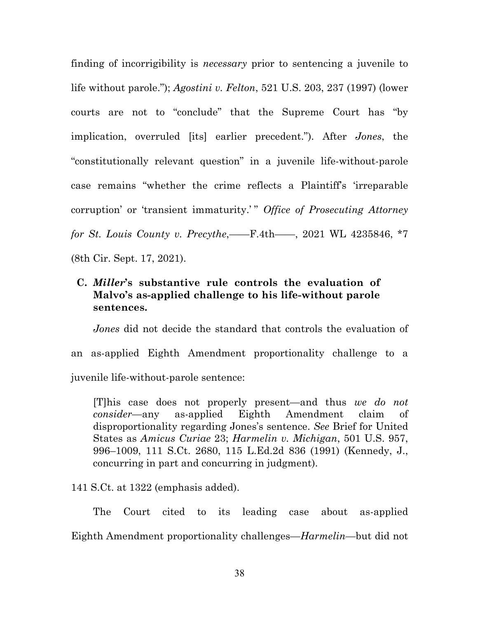finding of incorrigibility is *necessary* prior to sentencing a juvenile to life without parole."); *Agostini v. Felton*, 521 U.S. 203, 237 (1997) (lower courts are not to "conclude" that the Supreme Court has "by implication, overruled [its] earlier precedent."). After *Jones*, the "constitutionally relevant question" in a juvenile life-without-parole case remains "whether the crime reflects a Plaintiff's 'irreparable corruption' or 'transient immaturity.'" *Office of Prosecuting Attorney for St. Louis County v. Precythe*,——F.4th——, 2021 WL 4235846, \*7 (8th Cir. Sept. 17, 2021).

## **C.** *Miller***'s substantive rule controls the evaluation of Malvo's as-applied challenge to his life-without parole sentences.**

*Jones* did not decide the standard that controls the evaluation of an as-applied Eighth Amendment proportionality challenge to a juvenile life-without-parole sentence:

[T]his case does not properly present—and thus *we do not consider*—any as-applied Eighth Amendment claim of disproportionality regarding Jones's sentence. *See* Brief for United States as *Amicus Curiae* 23; *Harmelin v. Michigan*, 501 U.S. 957, 996–1009, 111 S.Ct. 2680, 115 L.Ed.2d 836 (1991) (Kennedy, J., concurring in part and concurring in judgment).

141 S.Ct. at 1322 (emphasis added).

The Court cited to its leading case about as-applied Eighth Amendment proportionality challenges—*Harmelin*—but did not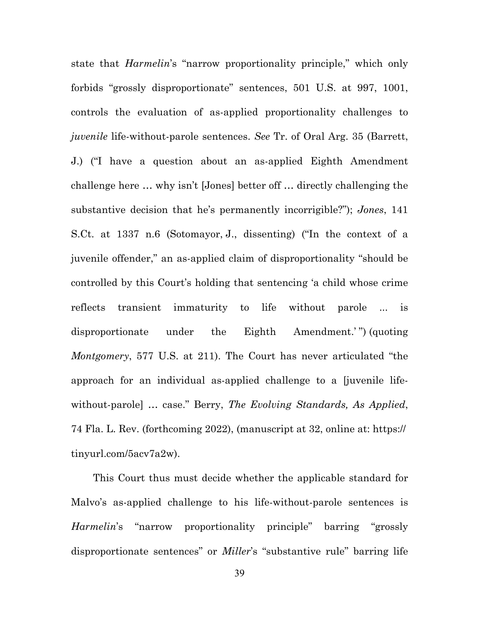state that *Harmelin*'s "narrow proportionality principle," which only forbids "grossly disproportionate" sentences, 501 U.S. at 997, 1001, controls the evaluation of as-applied proportionality challenges to *juvenile* life-without-parole sentences. *See* Tr. of Oral Arg. 35 (Barrett, J.) ("I have a question about an as-applied Eighth Amendment challenge here … why isn't [Jones] better off … directly challenging the substantive decision that he's permanently incorrigible?"); *Jones*, 141 S.Ct. at 1337 n.6 (Sotomayor, J., dissenting) ("In the context of a juvenile offender," an as-applied claim of disproportionality "should be controlled by this Court's holding that sentencing 'a child whose crime reflects transient immaturity to life without parole ... is disproportionate under the Eighth Amendment.' ") (quoting *Montgomery*, 577 U.S. at 211). The Court has never articulated "the approach for an individual as-applied challenge to a [juvenile lifewithout-parole] … case." Berry, *The Evolving Standards, As Applied*, 74 Fla. L. Rev. (forthcoming 2022), (manuscript at 32, online at: https:// tinyurl.com/5acv7a2w).

This Court thus must decide whether the applicable standard for Malvo's as-applied challenge to his life-without-parole sentences is *Harmelin*'s "narrow proportionality principle" barring "grossly disproportionate sentences" or *Miller*'s "substantive rule" barring life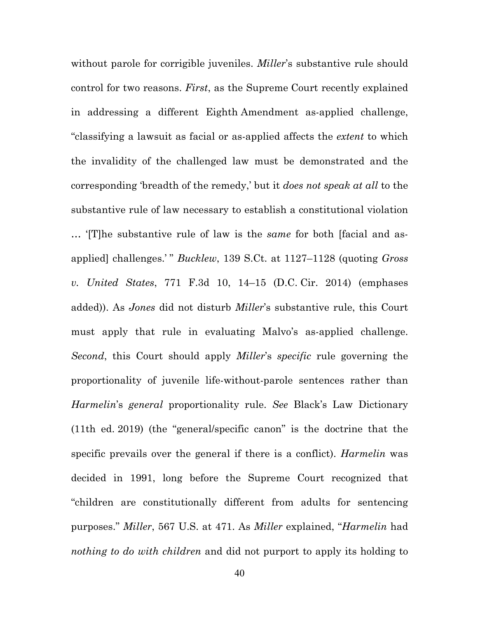without parole for corrigible juveniles. *Miller*'s substantive rule should control for two reasons. *First*, as the Supreme Court recently explained in addressing a different Eighth Amendment as-applied challenge, "classifying a lawsuit as facial or as-applied affects the *extent* to which the invalidity of the challenged law must be demonstrated and the corresponding 'breadth of the remedy,' but it *does not speak at all* to the substantive rule of law necessary to establish a constitutional violation … '[T]he substantive rule of law is the *same* for both [facial and asapplied] challenges.' " *Bucklew*, 139 S.Ct. at 1127–1128 (quoting *Gross v. United States*, 771 F.3d 10, 14–15 (D.C. Cir. 2014) (emphases added)). As *Jones* did not disturb *Miller*'s substantive rule, this Court must apply that rule in evaluating Malvo's as-applied challenge. *Second*, this Court should apply *Miller*'s *specific* rule governing the proportionality of juvenile life-without-parole sentences rather than *Harmelin*'s *general* proportionality rule. *See* Black's Law Dictionary (11th ed. 2019) (the "general/specific canon" is the doctrine that the specific prevails over the general if there is a conflict). *Harmelin* was decided in 1991, long before the Supreme Court recognized that "children are constitutionally different from adults for sentencing purposes." *Miller*, 567 U.S. at 471. As *Miller* explained, "*Harmelin* had *nothing to do with children* and did not purport to apply its holding to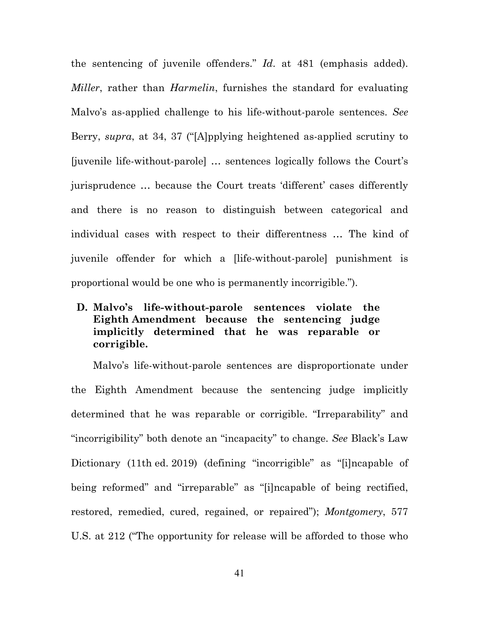the sentencing of juvenile offenders." *Id*. at 481 (emphasis added). *Miller*, rather than *Harmelin*, furnishes the standard for evaluating Malvo's as-applied challenge to his life-without-parole sentences. *See* Berry, *supra*, at 34, 37 ("[A]pplying heightened as-applied scrutiny to [juvenile life-without-parole] … sentences logically follows the Court's jurisprudence … because the Court treats 'different' cases differently and there is no reason to distinguish between categorical and individual cases with respect to their differentness … The kind of juvenile offender for which a [life-without-parole] punishment is proportional would be one who is permanently incorrigible.").

# **D. Malvo's life-without-parole sentences violate the Eighth Amendment because the sentencing judge implicitly determined that he was reparable or corrigible.**

Malvo's life-without-parole sentences are disproportionate under the Eighth Amendment because the sentencing judge implicitly determined that he was reparable or corrigible. "Irreparability" and "incorrigibility" both denote an "incapacity" to change. *See* Black's Law Dictionary (11th ed. 2019) (defining "incorrigible" as "[i]ncapable of being reformed" and "irreparable" as "[i]ncapable of being rectified, restored, remedied, cured, regained, or repaired"); *Montgomery*, 577 U.S. at 212 ("The opportunity for release will be afforded to those who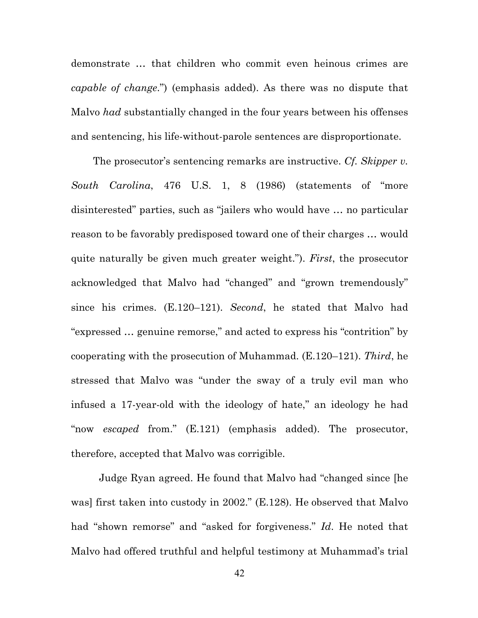demonstrate … that children who commit even heinous crimes are *capable of change*.") (emphasis added). As there was no dispute that Malvo *had* substantially changed in the four years between his offenses and sentencing, his life-without-parole sentences are disproportionate.

The prosecutor's sentencing remarks are instructive. *Cf. Skipper v. South Carolina*, 476 U.S. 1, 8 (1986) (statements of "more disinterested" parties, such as "jailers who would have … no particular reason to be favorably predisposed toward one of their charges … would quite naturally be given much greater weight."). *First*, the prosecutor acknowledged that Malvo had "changed" and "grown tremendously" since his crimes. (E.120–121). *Second*, he stated that Malvo had "expressed … genuine remorse," and acted to express his "contrition" by cooperating with the prosecution of Muhammad. (E.120–121). *Third*, he stressed that Malvo was "under the sway of a truly evil man who infused a 17-year-old with the ideology of hate," an ideology he had "now *escaped* from." (E.121) (emphasis added). The prosecutor, therefore, accepted that Malvo was corrigible.

Judge Ryan agreed. He found that Malvo had "changed since [he was] first taken into custody in 2002." (E.128). He observed that Malvo had "shown remorse" and "asked for forgiveness." *Id*. He noted that Malvo had offered truthful and helpful testimony at Muhammad's trial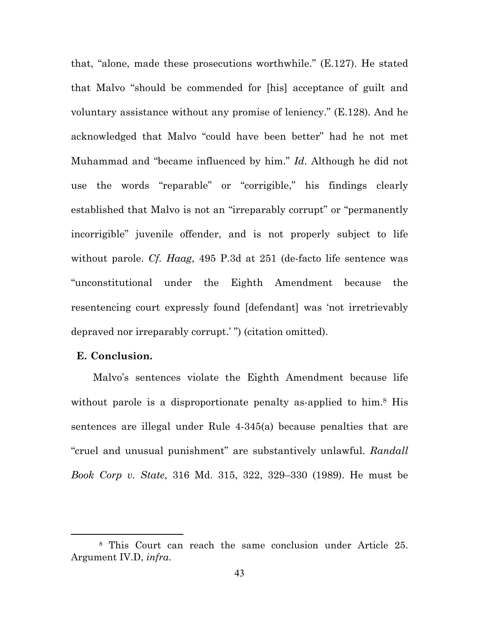that, "alone, made these prosecutions worthwhile." (E.127). He stated that Malvo "should be commended for [his] acceptance of guilt and voluntary assistance without any promise of leniency." (E.128). And he acknowledged that Malvo "could have been better" had he not met Muhammad and "became influenced by him." *Id*. Although he did not use the words "reparable" or "corrigible," his findings clearly established that Malvo is not an "irreparably corrupt" or "permanently incorrigible" juvenile offender, and is not properly subject to life without parole. *Cf. Haag*, 495 P.3d at 251 (de-facto life sentence was "unconstitutional under the Eighth Amendment because the resentencing court expressly found [defendant] was 'not irretrievably depraved nor irreparably corrupt.' ") (citation omitted).

### **E. Conclusion.**

Malvo's sentences violate the Eighth Amendment because life without parole is a disproportionate penalty as-applied to him.<sup>8</sup> His sentences are illegal under Rule 4-345(a) because penalties that are "cruel and unusual punishment" are substantively unlawful. *Randall Book Corp v. State*, 316 Md. 315, 322, 329–330 (1989). He must be

<sup>8</sup> This Court can reach the same conclusion under Article 25. Argument IV.D, *infra*.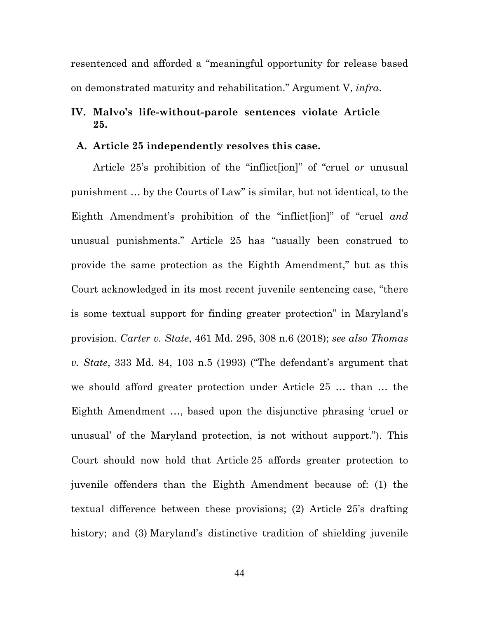resentenced and afforded a "meaningful opportunity for release based on demonstrated maturity and rehabilitation." Argument V, *infra*.

# **IV. Malvo's life-without-parole sentences violate Article 25.**

#### **A. Article 25 independently resolves this case.**

Article 25's prohibition of the "inflict[ion]" of "cruel *or* unusual punishment … by the Courts of Law" is similar, but not identical, to the Eighth Amendment's prohibition of the "inflict[ion]" of "cruel *and* unusual punishments." Article 25 has "usually been construed to provide the same protection as the Eighth Amendment," but as this Court acknowledged in its most recent juvenile sentencing case, "there is some textual support for finding greater protection" in Maryland's provision. *Carter v. State*, 461 Md. 295, 308 n.6 (2018); *see also Thomas v. State*, 333 Md. 84, 103 n.5 (1993) ("The defendant's argument that we should afford greater protection under Article 25 … than … the Eighth Amendment …, based upon the disjunctive phrasing 'cruel or unusual' of the Maryland protection, is not without support."). This Court should now hold that Article 25 affords greater protection to juvenile offenders than the Eighth Amendment because of: (1) the textual difference between these provisions; (2) Article 25's drafting history; and (3) Maryland's distinctive tradition of shielding juvenile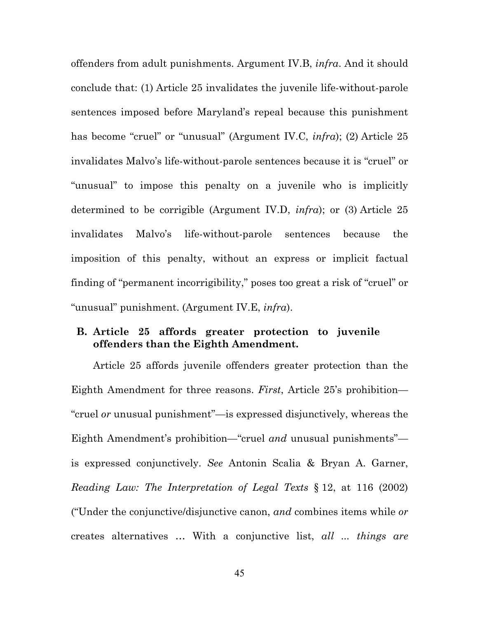offenders from adult punishments. Argument IV.B, *infra*. And it should conclude that: (1) Article 25 invalidates the juvenile life-without-parole sentences imposed before Maryland's repeal because this punishment has become "cruel" or "unusual" (Argument IV.C, *infra*); (2) Article 25 invalidates Malvo's life-without-parole sentences because it is "cruel" or "unusual" to impose this penalty on a juvenile who is implicitly determined to be corrigible (Argument IV.D, *infra*); or (3) Article 25 invalidates Malvo's life-without-parole sentences because the imposition of this penalty, without an express or implicit factual finding of "permanent incorrigibility," poses too great a risk of "cruel" or "unusual" punishment. (Argument IV.E, *infra*).

### **B. Article 25 affords greater protection to juvenile offenders than the Eighth Amendment.**

Article 25 affords juvenile offenders greater protection than the Eighth Amendment for three reasons. *First*, Article 25's prohibition— "cruel *or* unusual punishment"—is expressed disjunctively, whereas the Eighth Amendment's prohibition—"cruel *and* unusual punishments" is expressed conjunctively. *See* Antonin Scalia & Bryan A. Garner, *Reading Law: The Interpretation of Legal Texts* § 12, at 116 (2002) ("Under the conjunctive/disjunctive canon, *and* combines items while *or* creates alternatives … With a conjunctive list, *all ... things are*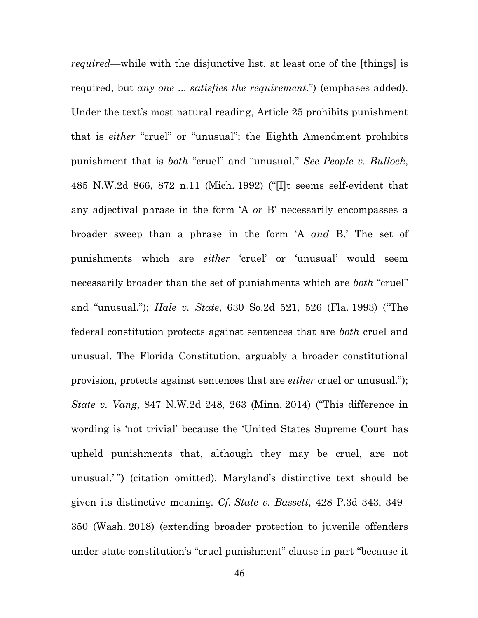*required*—while with the disjunctive list, at least one of the [things] is required, but *any one* ... *satisfies the requirement*.") (emphases added). Under the text's most natural reading, Article 25 prohibits punishment that is *either* "cruel" or "unusual"; the Eighth Amendment prohibits punishment that is *both* "cruel" and "unusual." *See People v. Bullock*, 485 N.W.2d 866, 872 n.11 (Mich. 1992) ("[I]t seems self-evident that any adjectival phrase in the form 'A *or* B' necessarily encompasses a broader sweep than a phrase in the form 'A *and* B.' The set of punishments which are *either* 'cruel' or 'unusual' would seem necessarily broader than the set of punishments which are *both* "cruel" and "unusual."); *Hale v. State*, 630 So.2d 521, 526 (Fla. 1993) ("The federal constitution protects against sentences that are *both* cruel and unusual. The Florida Constitution, arguably a broader constitutional provision, protects against sentences that are *either* cruel or unusual."); *State v. Vang*, 847 N.W.2d 248, 263 (Minn. 2014) ("This difference in wording is 'not trivial' because the 'United States Supreme Court has upheld punishments that, although they may be cruel, are not unusual.' ") (citation omitted). Maryland's distinctive text should be given its distinctive meaning. *Cf. State v. Bassett*, 428 P.3d 343, 349– 350 (Wash. 2018) (extending broader protection to juvenile offenders under state constitution's "cruel punishment" clause in part "because it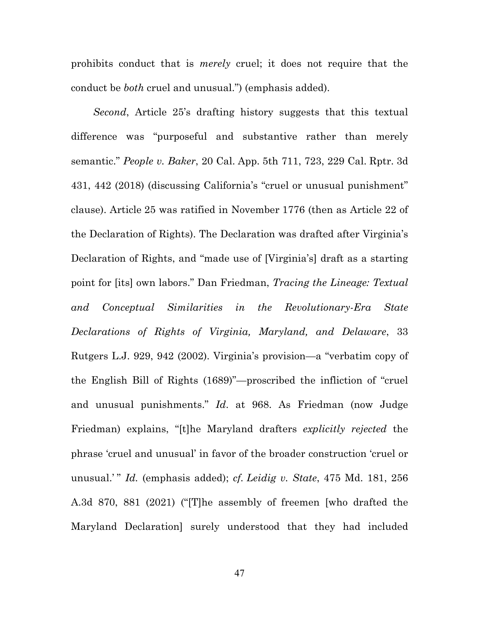prohibits conduct that is *merely* cruel; it does not require that the conduct be *both* cruel and unusual.") (emphasis added).

*Second*, Article 25's drafting history suggests that this textual difference was "purposeful and substantive rather than merely semantic." *People v. Baker*, 20 Cal. App. 5th 711, 723, 229 Cal. Rptr. 3d 431, 442 (2018) (discussing California's "cruel or unusual punishment" clause). Article 25 was ratified in November 1776 (then as Article 22 of the Declaration of Rights). The Declaration was drafted after Virginia's Declaration of Rights, and "made use of [Virginia's] draft as a starting point for [its] own labors." Dan Friedman, *Tracing the Lineage: Textual and Conceptual Similarities in the Revolutionary-Era State Declarations of Rights of Virginia, Maryland, and Delaware*, 33 Rutgers L.J. 929, 942 (2002). Virginia's provision—a "verbatim copy of the English Bill of Rights (1689)"—proscribed the infliction of "cruel and unusual punishments." *Id*. at 968. As Friedman (now Judge Friedman) explains, "[t]he Maryland drafters *explicitly rejected* the phrase 'cruel and unusual' in favor of the broader construction 'cruel or unusual.' " *Id.* (emphasis added); *cf. Leidig v. State*, 475 Md. 181, 256 A.3d 870, 881 (2021) ("[T]he assembly of freemen [who drafted the Maryland Declaration] surely understood that they had included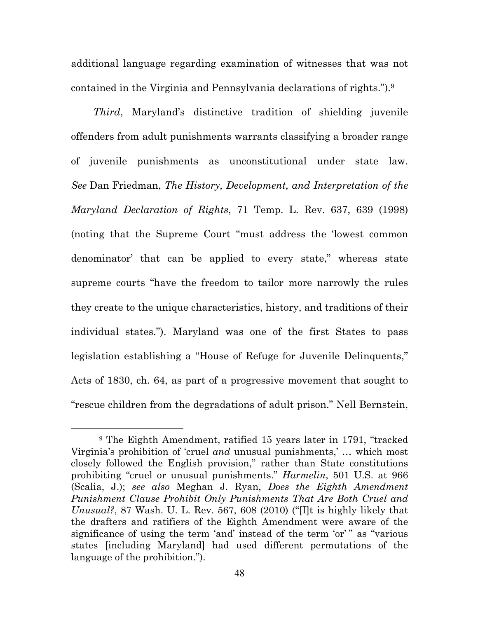additional language regarding examination of witnesses that was not contained in the Virginia and Pennsylvania declarations of rights.").9

*Third*, Maryland's distinctive tradition of shielding juvenile offenders from adult punishments warrants classifying a broader range of juvenile punishments as unconstitutional under state law. *See* Dan Friedman, *The History, Development, and Interpretation of the Maryland Declaration of Rights*, 71 Temp. L. Rev. 637, 639 (1998) (noting that the Supreme Court "must address the 'lowest common denominator' that can be applied to every state," whereas state supreme courts "have the freedom to tailor more narrowly the rules they create to the unique characteristics, history, and traditions of their individual states."). Maryland was one of the first States to pass legislation establishing a "House of Refuge for Juvenile Delinquents," Acts of 1830, ch. 64, as part of a progressive movement that sought to "rescue children from the degradations of adult prison." Nell Bernstein,

<sup>9</sup> The Eighth Amendment, ratified 15 years later in 1791, "tracked Virginia's prohibition of 'cruel *and* unusual punishments,' … which most closely followed the English provision," rather than State constitutions prohibiting "cruel or unusual punishments." *Harmelin*, 501 U.S. at 966 (Scalia, J.); *see also* Meghan J. Ryan, *Does the Eighth Amendment Punishment Clause Prohibit Only Punishments That Are Both Cruel and Unusual?*, 87 Wash. U. L. Rev. 567, 608 (2010) ("[I]t is highly likely that the drafters and ratifiers of the Eighth Amendment were aware of the significance of using the term 'and' instead of the term 'or' " as "various states [including Maryland] had used different permutations of the language of the prohibition.").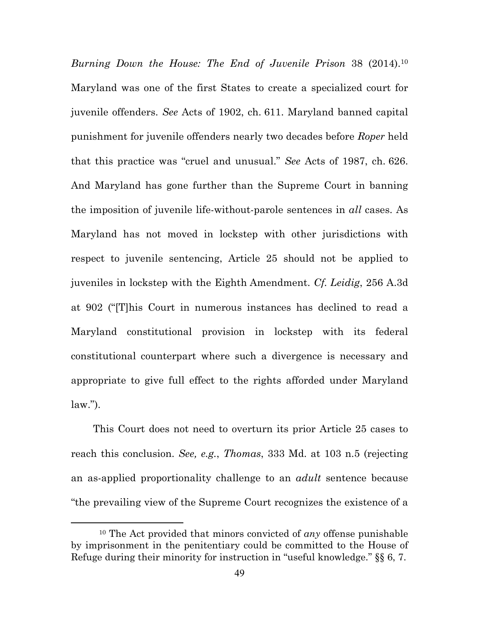*Burning Down the House: The End of Juvenile Prison* 38 (2014).10 Maryland was one of the first States to create a specialized court for juvenile offenders. *See* Acts of 1902, ch. 611. Maryland banned capital punishment for juvenile offenders nearly two decades before *Roper* held that this practice was "cruel and unusual." *See* Acts of 1987, ch. 626. And Maryland has gone further than the Supreme Court in banning the imposition of juvenile life-without-parole sentences in *all* cases. As Maryland has not moved in lockstep with other jurisdictions with respect to juvenile sentencing, Article 25 should not be applied to juveniles in lockstep with the Eighth Amendment. *Cf. Leidig*, 256 A.3d at 902 ("[T]his Court in numerous instances has declined to read a Maryland constitutional provision in lockstep with its federal constitutional counterpart where such a divergence is necessary and appropriate to give full effect to the rights afforded under Maryland  $law.'$ ).

This Court does not need to overturn its prior Article 25 cases to reach this conclusion. *See, e.g.*, *Thomas*, 333 Md. at 103 n.5 (rejecting an as-applied proportionality challenge to an *adult* sentence because "the prevailing view of the Supreme Court recognizes the existence of a

<sup>10</sup> The Act provided that minors convicted of *any* offense punishable by imprisonment in the penitentiary could be committed to the House of Refuge during their minority for instruction in "useful knowledge." §§ 6, 7.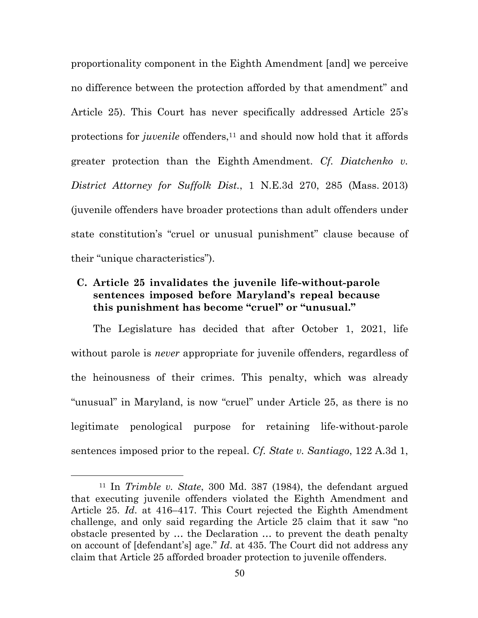proportionality component in the Eighth Amendment [and] we perceive no difference between the protection afforded by that amendment" and Article 25). This Court has never specifically addressed Article 25's protections for *juvenile* offenders,<sup>11</sup> and should now hold that it affords greater protection than the Eighth Amendment. *Cf. Diatchenko v. District Attorney for Suffolk Dist.*, 1 N.E.3d 270, 285 (Mass. 2013) (juvenile offenders have broader protections than adult offenders under state constitution's "cruel or unusual punishment" clause because of their "unique characteristics").

# **C. Article 25 invalidates the juvenile life-without-parole sentences imposed before Maryland's repeal because this punishment has become "cruel" or "unusual."**

The Legislature has decided that after October 1, 2021, life without parole is *never* appropriate for juvenile offenders, regardless of the heinousness of their crimes. This penalty, which was already "unusual" in Maryland, is now "cruel" under Article 25, as there is no legitimate penological purpose for retaining life-without-parole sentences imposed prior to the repeal. *Cf. State v. Santiago*, 122 A.3d 1,

<sup>11</sup> In *Trimble v. State*, 300 Md. 387 (1984), the defendant argued that executing juvenile offenders violated the Eighth Amendment and Article 25. *Id*. at 416–417. This Court rejected the Eighth Amendment challenge, and only said regarding the Article 25 claim that it saw "no obstacle presented by … the Declaration … to prevent the death penalty on account of [defendant's] age." *Id*. at 435. The Court did not address any claim that Article 25 afforded broader protection to juvenile offenders.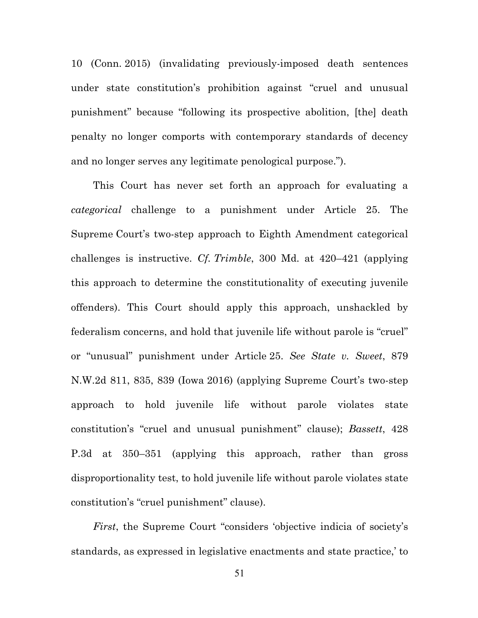10 (Conn. 2015) (invalidating previously-imposed death sentences under state constitution's prohibition against "cruel and unusual punishment" because "following its prospective abolition, [the] death penalty no longer comports with contemporary standards of decency and no longer serves any legitimate penological purpose.").

This Court has never set forth an approach for evaluating a *categorical* challenge to a punishment under Article 25. The Supreme Court's two-step approach to Eighth Amendment categorical challenges is instructive. *Cf. Trimble*, 300 Md. at 420–421 (applying this approach to determine the constitutionality of executing juvenile offenders). This Court should apply this approach, unshackled by federalism concerns, and hold that juvenile life without parole is "cruel" or "unusual" punishment under Article 25. *See State v. Sweet*, 879 N.W.2d 811, 835, 839 (Iowa 2016) (applying Supreme Court's two-step approach to hold juvenile life without parole violates state constitution's "cruel and unusual punishment" clause); *Bassett*, 428 P.3d at 350–351 (applying this approach, rather than gross disproportionality test, to hold juvenile life without parole violates state constitution's "cruel punishment" clause).

*First*, the Supreme Court "considers 'objective indicia of society's standards, as expressed in legislative enactments and state practice,' to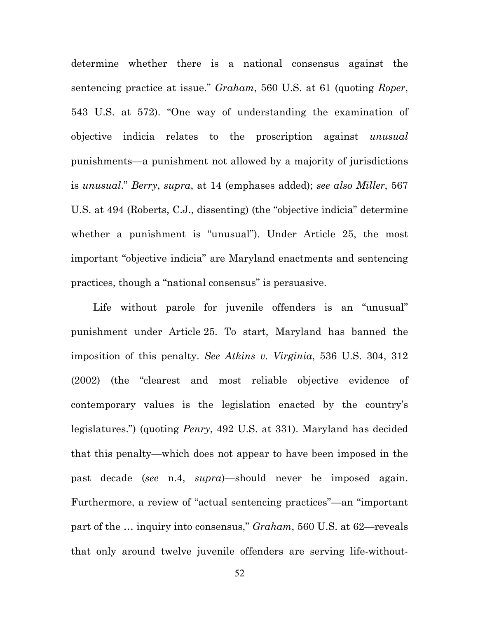determine whether there is a national consensus against the sentencing practice at issue." *Graham*, 560 U.S. at 61 (quoting *Roper*, 543 U.S. at 572). "One way of understanding the examination of objective indicia relates to the proscription against *unusual* punishments—a punishment not allowed by a majority of jurisdictions is *unusual*." *Berry*, *supra*, at 14 (emphases added); *see also Miller*, 567 U.S. at 494 (Roberts, C.J., dissenting) (the "objective indicia" determine whether a punishment is "unusual"). Under Article 25, the most important "objective indicia" are Maryland enactments and sentencing practices, though a "national consensus" is persuasive.

Life without parole for juvenile offenders is an "unusual" punishment under Article 25. To start, Maryland has banned the imposition of this penalty. *See Atkins v. Virginia*, 536 U.S. 304, 312 (2002) (the "clearest and most reliable objective evidence of contemporary values is the legislation enacted by the country's legislatures.") (quoting *Penry*, 492 U.S. at 331). Maryland has decided that this penalty—which does not appear to have been imposed in the past decade (*see* n.4, *supra*)—should never be imposed again. Furthermore, a review of "actual sentencing practices"—an "important part of the … inquiry into consensus," *Graham*, 560 U.S. at 62—reveals that only around twelve juvenile offenders are serving life-without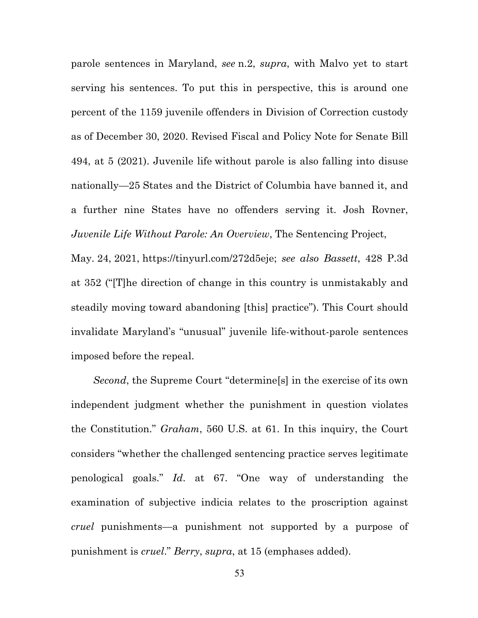parole sentences in Maryland, *see* n.2, *supra*, with Malvo yet to start serving his sentences. To put this in perspective, this is around one percent of the 1159 juvenile offenders in Division of Correction custody as of December 30, 2020. Revised Fiscal and Policy Note for Senate Bill 494, at 5 (2021). Juvenile life without parole is also falling into disuse nationally—25 States and the District of Columbia have banned it, and a further nine States have no offenders serving it. Josh Rovner, *Juvenile Life Without Parole: An Overview*, The Sentencing Project,

May. 24, 2021, https://tinyurl.com/272d5eje; *see also Bassett*, 428 P.3d at 352 ("[T]he direction of change in this country is unmistakably and steadily moving toward abandoning [this] practice"). This Court should invalidate Maryland's "unusual" juvenile life-without-parole sentences imposed before the repeal.

*Second*, the Supreme Court "determine[s] in the exercise of its own independent judgment whether the punishment in question violates the Constitution." *Graham*, 560 U.S. at 61. In this inquiry, the Court considers "whether the challenged sentencing practice serves legitimate penological goals." *Id*. at 67. "One way of understanding the examination of subjective indicia relates to the proscription against *cruel* punishments—a punishment not supported by a purpose of punishment is *cruel*." *Berry*, *supra*, at 15 (emphases added).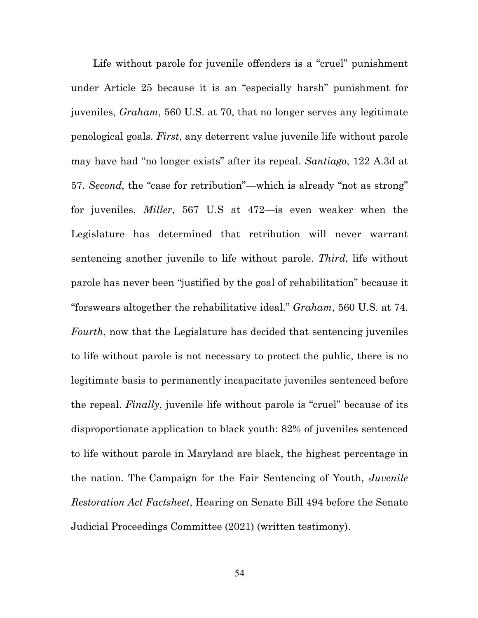Life without parole for juvenile offenders is a "cruel" punishment under Article 25 because it is an "especially harsh" punishment for juveniles, *Graham*, 560 U.S. at 70, that no longer serves any legitimate penological goals. *First*, any deterrent value juvenile life without parole may have had "no longer exists" after its repeal. *Santiago*, 122 A.3d at 57. *Second,* the "case for retribution"—which is already "not as strong" for juveniles, *Miller*, 567 U.S at 472—is even weaker when the Legislature has determined that retribution will never warrant sentencing another juvenile to life without parole. *Third*, life without parole has never been "justified by the goal of rehabilitation" because it "forswears altogether the rehabilitative ideal." *Graham*, 560 U.S. at 74. *Fourth*, now that the Legislature has decided that sentencing juveniles to life without parole is not necessary to protect the public, there is no legitimate basis to permanently incapacitate juveniles sentenced before the repeal. *Finally*, juvenile life without parole is "cruel" because of its disproportionate application to black youth: 82% of juveniles sentenced to life without parole in Maryland are black, the highest percentage in the nation. The Campaign for the Fair Sentencing of Youth, *Juvenile Restoration Act Factsheet*, Hearing on Senate Bill 494 before the Senate Judicial Proceedings Committee (2021) (written testimony).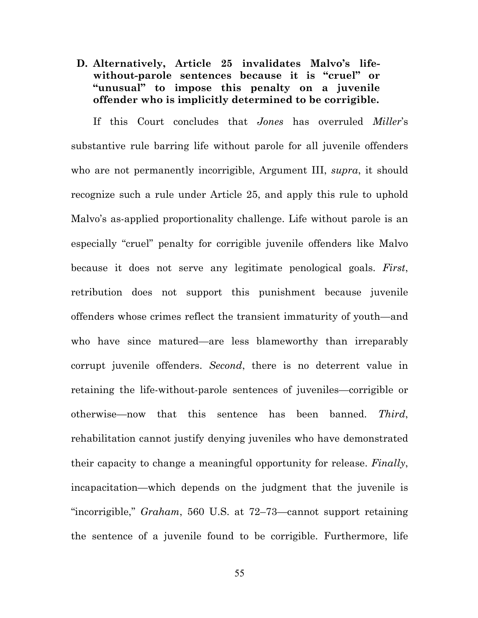**D. Alternatively, Article 25 invalidates Malvo's lifewithout-parole sentences because it is "cruel" or "unusual" to impose this penalty on a juvenile offender who is implicitly determined to be corrigible.**

If this Court concludes that *Jones* has overruled *Miller*'s substantive rule barring life without parole for all juvenile offenders who are not permanently incorrigible, Argument III, *supra*, it should recognize such a rule under Article 25, and apply this rule to uphold Malvo's as-applied proportionality challenge. Life without parole is an especially "cruel" penalty for corrigible juvenile offenders like Malvo because it does not serve any legitimate penological goals. *First*, retribution does not support this punishment because juvenile offenders whose crimes reflect the transient immaturity of youth—and who have since matured—are less blameworthy than irreparably corrupt juvenile offenders. *Second*, there is no deterrent value in retaining the life-without-parole sentences of juveniles—corrigible or otherwise—now that this sentence has been banned. *Third*, rehabilitation cannot justify denying juveniles who have demonstrated their capacity to change a meaningful opportunity for release. *Finally*, incapacitation—which depends on the judgment that the juvenile is "incorrigible," *Graham*, 560 U.S. at 72–73—cannot support retaining the sentence of a juvenile found to be corrigible. Furthermore, life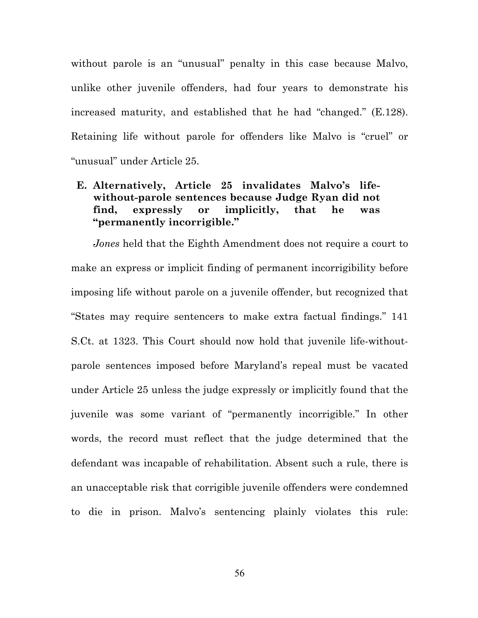without parole is an "unusual" penalty in this case because Malvo, unlike other juvenile offenders, had four years to demonstrate his increased maturity, and established that he had "changed." (E.128). Retaining life without parole for offenders like Malvo is "cruel" or "unusual" under Article 25.

### **E. Alternatively, Article 25 invalidates Malvo's lifewithout-parole sentences because Judge Ryan did not find, expressly or implicitly, that he was "permanently incorrigible."**

*Jones* held that the Eighth Amendment does not require a court to make an express or implicit finding of permanent incorrigibility before imposing life without parole on a juvenile offender, but recognized that "States may require sentencers to make extra factual findings." 141 S.Ct. at 1323. This Court should now hold that juvenile life-withoutparole sentences imposed before Maryland's repeal must be vacated under Article 25 unless the judge expressly or implicitly found that the juvenile was some variant of "permanently incorrigible." In other words, the record must reflect that the judge determined that the defendant was incapable of rehabilitation. Absent such a rule, there is an unacceptable risk that corrigible juvenile offenders were condemned to die in prison. Malvo's sentencing plainly violates this rule: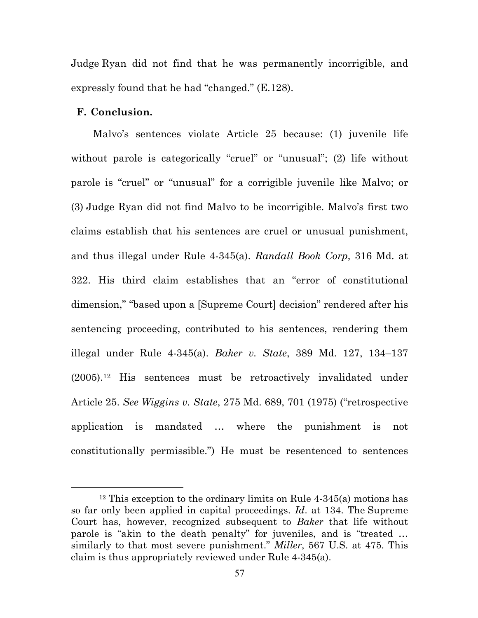Judge Ryan did not find that he was permanently incorrigible, and expressly found that he had "changed." (E.128).

### **F. Conclusion.**

Malvo's sentences violate Article 25 because: (1) juvenile life without parole is categorically "cruel" or "unusual"; (2) life without parole is "cruel" or "unusual" for a corrigible juvenile like Malvo; or (3) Judge Ryan did not find Malvo to be incorrigible. Malvo's first two claims establish that his sentences are cruel or unusual punishment, and thus illegal under Rule 4-345(a). *Randall Book Corp*, 316 Md. at 322. His third claim establishes that an "error of constitutional dimension," "based upon a [Supreme Court] decision" rendered after his sentencing proceeding, contributed to his sentences, rendering them illegal under Rule 4-345(a). *Baker v. State*, 389 Md. 127, 134–137 (2005).12 His sentences must be retroactively invalidated under Article 25. *See Wiggins v. State*, 275 Md. 689, 701 (1975) ("retrospective application is mandated … where the punishment is not constitutionally permissible.") He must be resentenced to sentences

<sup>12</sup> This exception to the ordinary limits on Rule 4-345(a) motions has so far only been applied in capital proceedings. *Id*. at 134. The Supreme Court has, however, recognized subsequent to *Baker* that life without parole is "akin to the death penalty" for juveniles, and is "treated … similarly to that most severe punishment." *Miller*, 567 U.S. at 475. This claim is thus appropriately reviewed under Rule 4-345(a).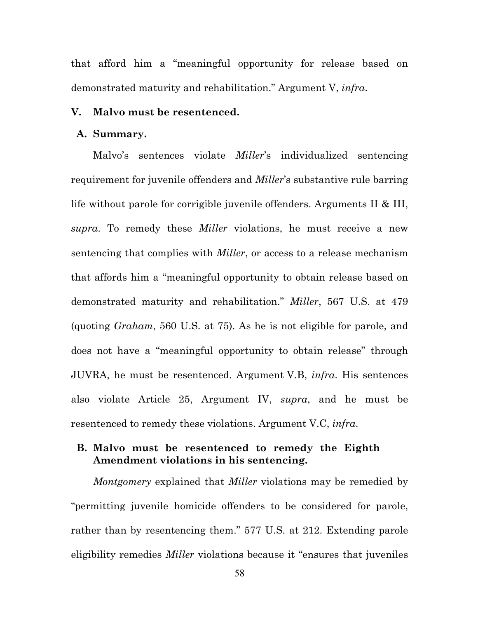that afford him a "meaningful opportunity for release based on demonstrated maturity and rehabilitation." Argument V, *infra*.

#### **V. Malvo must be resentenced.**

#### **A. Summary.**

Malvo's sentences violate *Miller*'s individualized sentencing requirement for juvenile offenders and *Miller*'s substantive rule barring life without parole for corrigible juvenile offenders. Arguments II & III, *supra*. To remedy these *Miller* violations, he must receive a new sentencing that complies with *Miller*, or access to a release mechanism that affords him a "meaningful opportunity to obtain release based on demonstrated maturity and rehabilitation." *Miller*, 567 U.S. at 479 (quoting *Graham*, 560 U.S. at 75). As he is not eligible for parole, and does not have a "meaningful opportunity to obtain release" through JUVRA, he must be resentenced. Argument V.B, *infra*. His sentences also violate Article 25, Argument IV, *supra*, and he must be resentenced to remedy these violations. Argument V.C, *infra*.

### **B. Malvo must be resentenced to remedy the Eighth Amendment violations in his sentencing.**

*Montgomery* explained that *Miller* violations may be remedied by "permitting juvenile homicide offenders to be considered for parole, rather than by resentencing them." 577 U.S. at 212. Extending parole eligibility remedies *Miller* violations because it "ensures that juveniles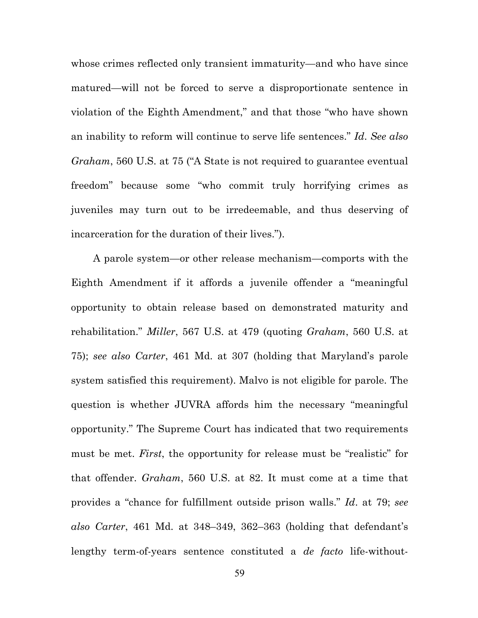whose crimes reflected only transient immaturity—and who have since matured—will not be forced to serve a disproportionate sentence in violation of the Eighth Amendment," and that those "who have shown an inability to reform will continue to serve life sentences." *Id*. *See also Graham*, 560 U.S. at 75 ("A State is not required to guarantee eventual freedom" because some "who commit truly horrifying crimes as juveniles may turn out to be irredeemable, and thus deserving of incarceration for the duration of their lives.").

A parole system—or other release mechanism—comports with the Eighth Amendment if it affords a juvenile offender a "meaningful opportunity to obtain release based on demonstrated maturity and rehabilitation." *Miller*, 567 U.S. at 479 (quoting *Graham*, 560 U.S. at 75); *see also Carter*, 461 Md. at 307 (holding that Maryland's parole system satisfied this requirement). Malvo is not eligible for parole. The question is whether JUVRA affords him the necessary "meaningful opportunity." The Supreme Court has indicated that two requirements must be met. *First*, the opportunity for release must be "realistic" for that offender. *Graham*, 560 U.S. at 82. It must come at a time that provides a "chance for fulfillment outside prison walls." *Id*. at 79; *see also Carter*, 461 Md. at 348–349, 362–363 (holding that defendant's lengthy term-of-years sentence constituted a *de facto* life-without-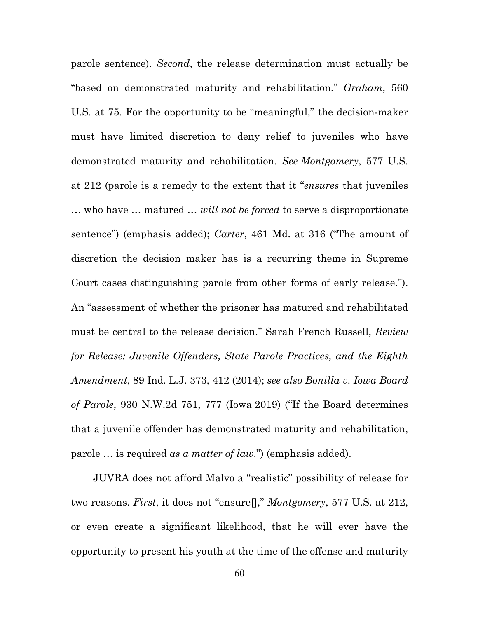parole sentence). *Second*, the release determination must actually be "based on demonstrated maturity and rehabilitation." *Graham*, 560 U.S. at 75. For the opportunity to be "meaningful," the decision-maker must have limited discretion to deny relief to juveniles who have demonstrated maturity and rehabilitation. *See Montgomery*, 577 U.S. at 212 (parole is a remedy to the extent that it "*ensures* that juveniles … who have … matured … *will not be forced* to serve a disproportionate sentence") (emphasis added); *Carter*, 461 Md. at 316 ("The amount of discretion the decision maker has is a recurring theme in Supreme Court cases distinguishing parole from other forms of early release."). An "assessment of whether the prisoner has matured and rehabilitated must be central to the release decision." Sarah French Russell, *Review for Release: Juvenile Offenders, State Parole Practices, and the Eighth Amendment*, 89 Ind. L.J. 373, 412 (2014); *see also Bonilla v. Iowa Board of Parole*, 930 N.W.2d 751, 777 (Iowa 2019) ("If the Board determines that a juvenile offender has demonstrated maturity and rehabilitation, parole … is required *as a matter of law*.") (emphasis added).

JUVRA does not afford Malvo a "realistic" possibility of release for two reasons. *First*, it does not "ensure[]," *Montgomery*, 577 U.S. at 212, or even create a significant likelihood, that he will ever have the opportunity to present his youth at the time of the offense and maturity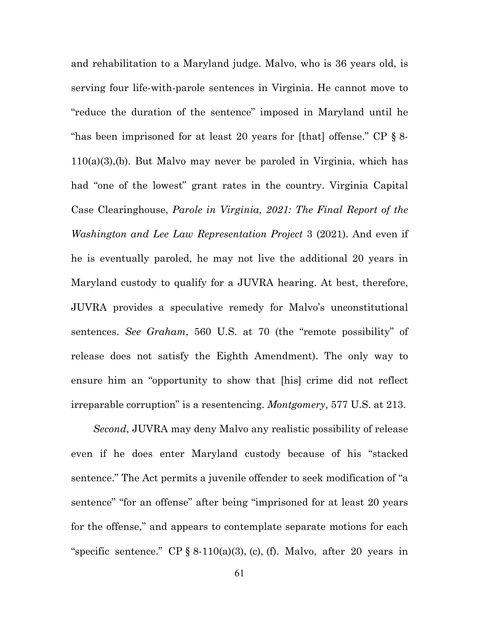and rehabilitation to a Maryland judge. Malvo, who is 36 years old, is serving four life-with-parole sentences in Virginia. He cannot move to "reduce the duration of the sentence" imposed in Maryland until he "has been imprisoned for at least 20 years for [that] offense." CP § 8- 110(a)(3),(b). But Malvo may never be paroled in Virginia, which has had "one of the lowest" grant rates in the country. Virginia Capital Case Clearinghouse, *Parole in Virginia, 2021: The Final Report of the Washington and Lee Law Representation Project* 3 (2021). And even if he is eventually paroled, he may not live the additional 20 years in Maryland custody to qualify for a JUVRA hearing. At best, therefore, JUVRA provides a speculative remedy for Malvo's unconstitutional sentences. *See Graham*, 560 U.S. at 70 (the "remote possibility" of release does not satisfy the Eighth Amendment). The only way to ensure him an "opportunity to show that [his] crime did not reflect irreparable corruption" is a resentencing. *Montgomery*, 577 U.S. at 213.

*Second*, JUVRA may deny Malvo any realistic possibility of release even if he does enter Maryland custody because of his "stacked sentence." The Act permits a juvenile offender to seek modification of "a sentence" "for an offense" after being "imprisoned for at least 20 years for the offense," and appears to contemplate separate motions for each "specific sentence." CP  $\S$  8-110(a)(3), (c), (f). Malvo, after 20 years in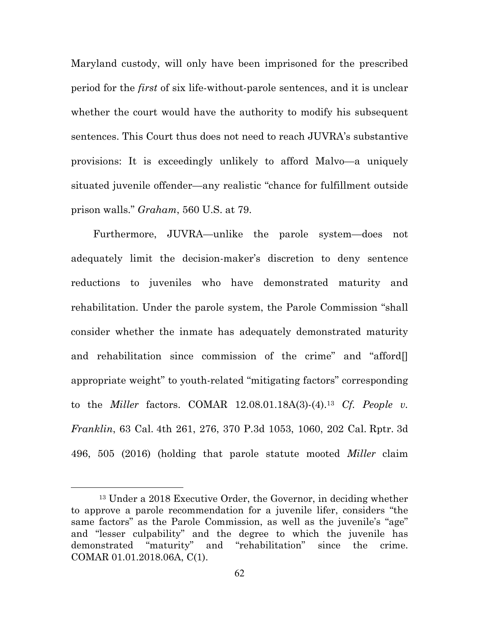Maryland custody, will only have been imprisoned for the prescribed period for the *first* of six life-without-parole sentences, and it is unclear whether the court would have the authority to modify his subsequent sentences. This Court thus does not need to reach JUVRA's substantive provisions: It is exceedingly unlikely to afford Malvo—a uniquely situated juvenile offender—any realistic "chance for fulfillment outside prison walls." *Graham*, 560 U.S. at 79.

Furthermore, JUVRA—unlike the parole system—does not adequately limit the decision-maker's discretion to deny sentence reductions to juveniles who have demonstrated maturity and rehabilitation. Under the parole system, the Parole Commission "shall consider whether the inmate has adequately demonstrated maturity and rehabilitation since commission of the crime" and "afford appropriate weight" to youth-related "mitigating factors" corresponding to the *Miller* factors. COMAR 12.08.01.18A(3)-(4).13 *Cf. People v. Franklin*, 63 Cal. 4th 261, 276, 370 P.3d 1053, 1060, 202 Cal. Rptr. 3d 496, 505 (2016) (holding that parole statute mooted *Miller* claim

<sup>13</sup> Under a 2018 Executive Order, the Governor, in deciding whether to approve a parole recommendation for a juvenile lifer, considers "the same factors" as the Parole Commission, as well as the juvenile's "age" and "lesser culpability" and the degree to which the juvenile has demonstrated "maturity" and "rehabilitation" since the crime. COMAR 01.01.2018.06A, C(1).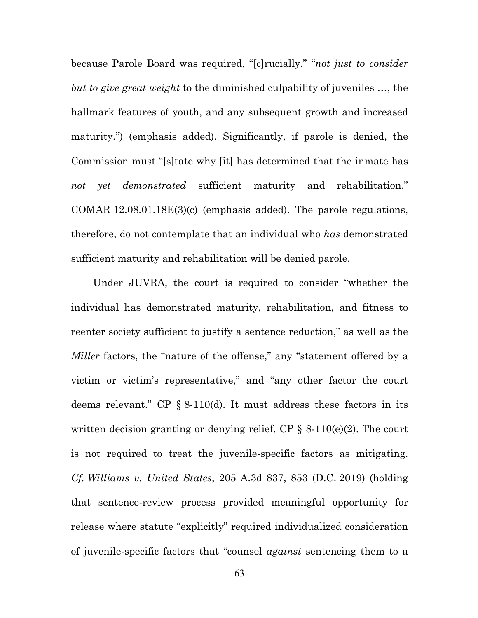because Parole Board was required, "[c]rucially," "*not just to consider but to give great weight* to the diminished culpability of juveniles …, the hallmark features of youth, and any subsequent growth and increased maturity.") (emphasis added). Significantly, if parole is denied, the Commission must "[s]tate why [it] has determined that the inmate has *not yet demonstrated* sufficient maturity and rehabilitation." COMAR 12.08.01.18E(3)(c) (emphasis added). The parole regulations, therefore, do not contemplate that an individual who *has* demonstrated sufficient maturity and rehabilitation will be denied parole.

Under JUVRA, the court is required to consider "whether the individual has demonstrated maturity, rehabilitation, and fitness to reenter society sufficient to justify a sentence reduction," as well as the *Miller* factors, the "nature of the offense," any "statement offered by a victim or victim's representative," and "any other factor the court deems relevant." CP § 8-110(d). It must address these factors in its written decision granting or denying relief. CP  $\S$  8-110(e)(2). The court is not required to treat the juvenile-specific factors as mitigating. *Cf. Williams v. United States*, 205 A.3d 837, 853 (D.C. 2019) (holding that sentence-review process provided meaningful opportunity for release where statute "explicitly" required individualized consideration of juvenile-specific factors that "counsel *against* sentencing them to a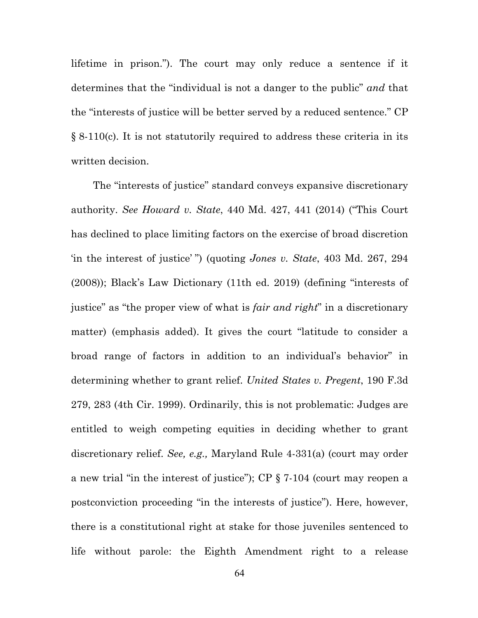lifetime in prison."). The court may only reduce a sentence if it determines that the "individual is not a danger to the public" *and* that the "interests of justice will be better served by a reduced sentence." CP § 8-110(c). It is not statutorily required to address these criteria in its written decision.

The "interests of justice" standard conveys expansive discretionary authority. *See Howard v. State*, 440 Md. 427, 441 (2014) ("This Court has declined to place limiting factors on the exercise of broad discretion 'in the interest of justice' ") (quoting *Jones v. State*, 403 Md. 267, 294 (2008)); Black's Law Dictionary (11th ed. 2019) (defining "interests of justice" as "the proper view of what is *fair and right*" in a discretionary matter) (emphasis added). It gives the court "latitude to consider a broad range of factors in addition to an individual's behavior" in determining whether to grant relief. *United States v. Pregent*, 190 F.3d 279, 283 (4th Cir. 1999). Ordinarily, this is not problematic: Judges are entitled to weigh competing equities in deciding whether to grant discretionary relief. *See, e.g.,* Maryland Rule 4-331(a) (court may order a new trial "in the interest of justice"); CP § 7-104 (court may reopen a postconviction proceeding "in the interests of justice"). Here, however, there is a constitutional right at stake for those juveniles sentenced to life without parole: the Eighth Amendment right to a release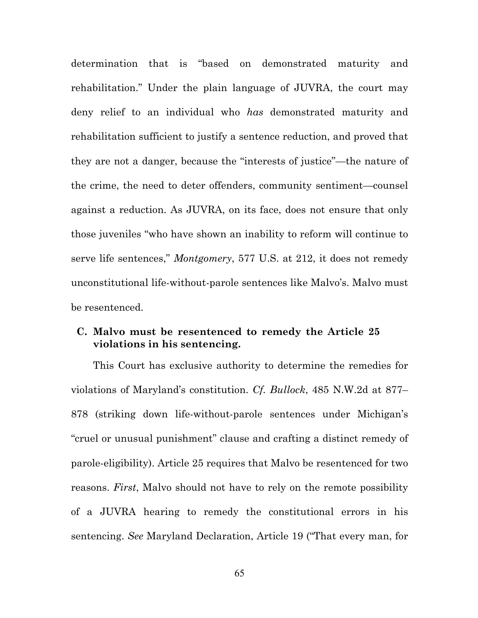determination that is "based on demonstrated maturity and rehabilitation." Under the plain language of JUVRA, the court may deny relief to an individual who *has* demonstrated maturity and rehabilitation sufficient to justify a sentence reduction, and proved that they are not a danger, because the "interests of justice"—the nature of the crime, the need to deter offenders, community sentiment—counsel against a reduction. As JUVRA, on its face, does not ensure that only those juveniles "who have shown an inability to reform will continue to serve life sentences," *Montgomery*, 577 U.S. at 212, it does not remedy unconstitutional life-without-parole sentences like Malvo's. Malvo must be resentenced.

#### **C. Malvo must be resentenced to remedy the Article 25 violations in his sentencing.**

This Court has exclusive authority to determine the remedies for violations of Maryland's constitution. *Cf. Bullock*, 485 N.W.2d at 877– 878 (striking down life-without-parole sentences under Michigan's "cruel or unusual punishment" clause and crafting a distinct remedy of parole-eligibility). Article 25 requires that Malvo be resentenced for two reasons. *First*, Malvo should not have to rely on the remote possibility of a JUVRA hearing to remedy the constitutional errors in his sentencing. *See* Maryland Declaration, Article 19 ("That every man, for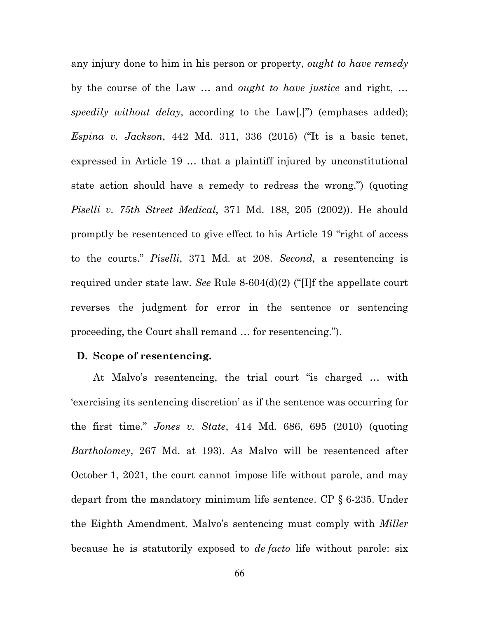any injury done to him in his person or property, *ought to have remedy* by the course of the Law … and *ought to have justice* and right, … *speedily without delay*, according to the Law[.]") (emphases added); *Espina v. Jackson*, 442 Md. 311, 336 (2015) ("It is a basic tenet, expressed in Article 19 … that a plaintiff injured by unconstitutional state action should have a remedy to redress the wrong.") (quoting *Piselli v. 75th Street Medical*, 371 Md. 188, 205 (2002)). He should promptly be resentenced to give effect to his Article 19 "right of access to the courts." *Piselli*, 371 Md. at 208. *Second*, a resentencing is required under state law. *See* Rule 8-604(d)(2) ("[I]f the appellate court reverses the judgment for error in the sentence or sentencing proceeding, the Court shall remand … for resentencing.").

#### **D. Scope of resentencing.**

At Malvo's resentencing, the trial court "is charged … with 'exercising its sentencing discretion' as if the sentence was occurring for the first time." *Jones v. State*, 414 Md. 686, 695 (2010) (quoting *Bartholomey*, 267 Md. at 193). As Malvo will be resentenced after October 1, 2021, the court cannot impose life without parole, and may depart from the mandatory minimum life sentence. CP § 6-235. Under the Eighth Amendment, Malvo's sentencing must comply with *Miller* because he is statutorily exposed to *de facto* life without parole: six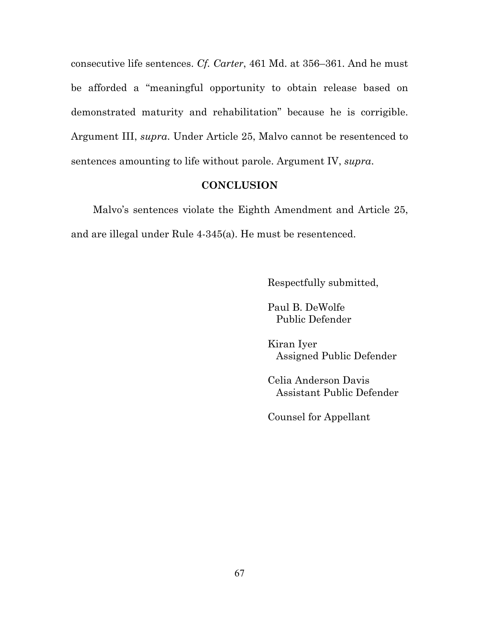consecutive life sentences. *Cf. Carter*, 461 Md. at 356–361. And he must be afforded a "meaningful opportunity to obtain release based on demonstrated maturity and rehabilitation" because he is corrigible. Argument III, *supra*. Under Article 25, Malvo cannot be resentenced to sentences amounting to life without parole. Argument IV, *supra*.

#### **CONCLUSION**

Malvo's sentences violate the Eighth Amendment and Article 25, and are illegal under Rule 4-345(a). He must be resentenced.

Respectfully submitted,

Paul B. DeWolfe Public Defender

Kiran Iyer Assigned Public Defender

Celia Anderson Davis Assistant Public Defender

Counsel for Appellant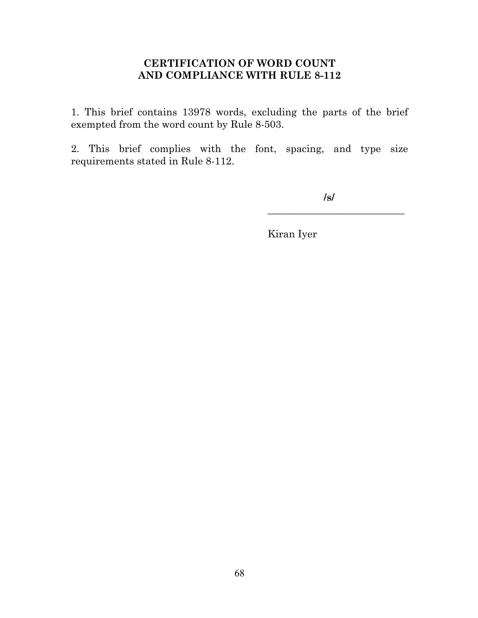#### **CERTIFICATION OF WORD COUNT AND COMPLIANCE WITH RULE 8-112**

1. This brief contains 13978 words, excluding the parts of the brief exempted from the word count by Rule 8-503.

2. This brief complies with the font, spacing, and type size requirements stated in Rule 8-112.

**/s/**

\_\_\_\_\_\_\_\_\_\_\_\_\_\_\_\_\_\_\_\_\_\_\_\_\_\_\_

Kiran Iyer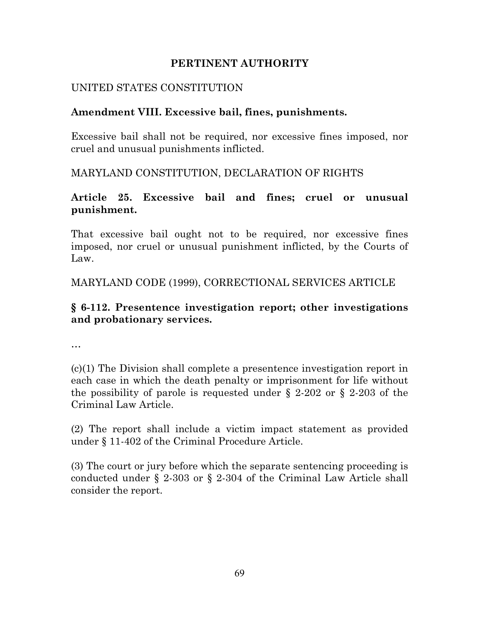#### **PERTINENT AUTHORITY**

#### UNITED STATES CONSTITUTION

#### **Amendment VIII. Excessive bail, fines, punishments.**

Excessive bail shall not be required, nor excessive fines imposed, nor cruel and unusual punishments inflicted.

MARYLAND CONSTITUTION, DECLARATION OF RIGHTS

#### **Article 25. Excessive bail and fines; cruel or unusual punishment.**

That excessive bail ought not to be required, nor excessive fines imposed, nor cruel or unusual punishment inflicted, by the Courts of Law.

MARYLAND CODE (1999), CORRECTIONAL SERVICES ARTICLE

### **§ 6-112. Presentence investigation report; other investigations and probationary services.**

…

(c)(1) The Division shall complete a presentence investigation report in each case in which the death penalty or imprisonment for life without the possibility of parole is requested under § 2-202 or § 2-203 of the Criminal Law Article.

(2) The report shall include a victim impact statement as provided under § 11-402 of the Criminal Procedure Article.

(3) The court or jury before which the separate sentencing proceeding is conducted under § 2-303 or § 2-304 of the Criminal Law Article shall consider the report.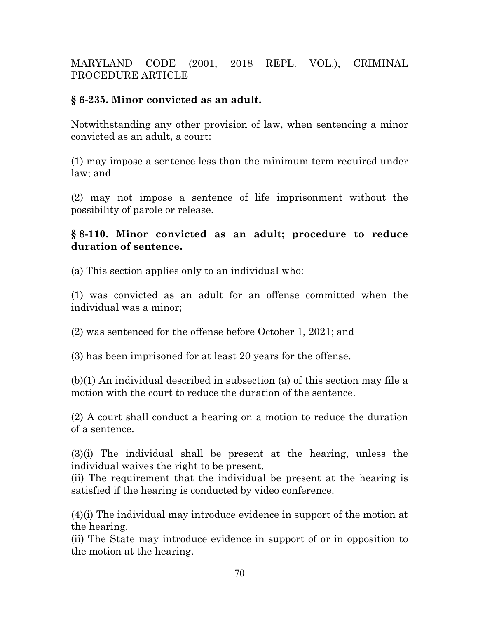MARYLAND CODE (2001, 2018 REPL. VOL.), CRIMINAL PROCEDURE ARTICLE

### **§ 6-235. Minor convicted as an adult.**

Notwithstanding any other provision of law, when sentencing a minor convicted as an adult, a court:

(1) may impose a sentence less than the minimum term required under law; and

(2) may not impose a sentence of life imprisonment without the possibility of parole or release.

#### **§ 8-110. Minor convicted as an adult; procedure to reduce duration of sentence.**

(a) This section applies only to an individual who:

(1) was convicted as an adult for an offense committed when the individual was a minor;

(2) was sentenced for the offense before October 1, 2021; and

(3) has been imprisoned for at least 20 years for the offense.

(b)(1) An individual described in subsection (a) of this section may file a motion with the court to reduce the duration of the sentence.

(2) A court shall conduct a hearing on a motion to reduce the duration of a sentence.

(3)(i) The individual shall be present at the hearing, unless the individual waives the right to be present.

(ii) The requirement that the individual be present at the hearing is satisfied if the hearing is conducted by video conference.

(4)(i) The individual may introduce evidence in support of the motion at the hearing.

(ii) The State may introduce evidence in support of or in opposition to the motion at the hearing.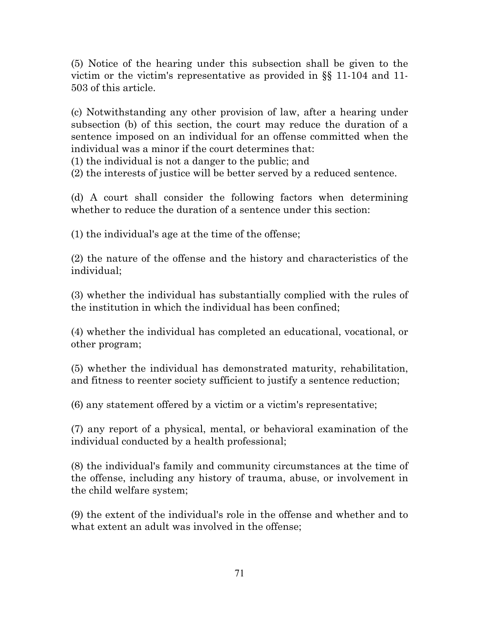(5) Notice of the hearing under this subsection shall be given to the victim or the victim's representative as provided in §§ 11-104 and 11- 503 of this article.

(c) Notwithstanding any other provision of law, after a hearing under subsection (b) of this section, the court may reduce the duration of a sentence imposed on an individual for an offense committed when the individual was a minor if the court determines that:

(1) the individual is not a danger to the public; and

(2) the interests of justice will be better served by a reduced sentence.

(d) A court shall consider the following factors when determining whether to reduce the duration of a sentence under this section:

(1) the individual's age at the time of the offense;

(2) the nature of the offense and the history and characteristics of the individual;

(3) whether the individual has substantially complied with the rules of the institution in which the individual has been confined;

(4) whether the individual has completed an educational, vocational, or other program;

(5) whether the individual has demonstrated maturity, rehabilitation, and fitness to reenter society sufficient to justify a sentence reduction;

(6) any statement offered by a victim or a victim's representative;

(7) any report of a physical, mental, or behavioral examination of the individual conducted by a health professional;

(8) the individual's family and community circumstances at the time of the offense, including any history of trauma, abuse, or involvement in the child welfare system;

(9) the extent of the individual's role in the offense and whether and to what extent an adult was involved in the offense;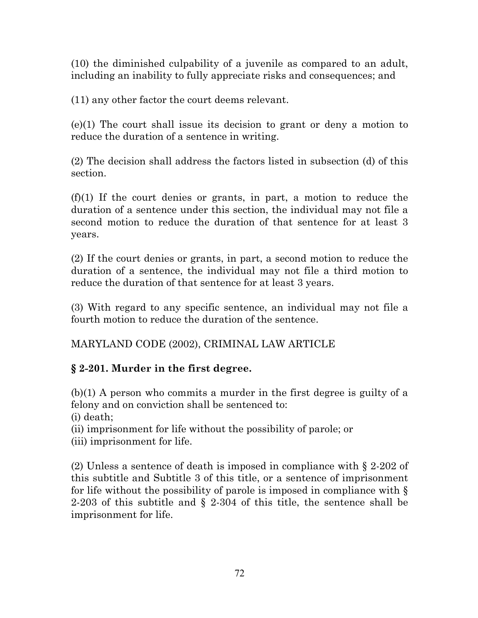(10) the diminished culpability of a juvenile as compared to an adult, including an inability to fully appreciate risks and consequences; and

(11) any other factor the court deems relevant.

(e)(1) The court shall issue its decision to grant or deny a motion to reduce the duration of a sentence in writing.

(2) The decision shall address the factors listed in subsection (d) of this section.

(f)(1) If the court denies or grants, in part, a motion to reduce the duration of a sentence under this section, the individual may not file a second motion to reduce the duration of that sentence for at least 3 years.

(2) If the court denies or grants, in part, a second motion to reduce the duration of a sentence, the individual may not file a third motion to reduce the duration of that sentence for at least 3 years.

(3) With regard to any specific sentence, an individual may not file a fourth motion to reduce the duration of the sentence.

MARYLAND CODE (2002), CRIMINAL LAW ARTICLE

# **§ 2-201. Murder in the first degree.**

(b)(1) A person who commits a murder in the first degree is guilty of a felony and on conviction shall be sentenced to:

(i) death;

(ii) imprisonment for life without the possibility of parole; or

(iii) imprisonment for life.

(2) Unless a sentence of death is imposed in compliance with § 2-202 of this subtitle and Subtitle 3 of this title, or a sentence of imprisonment for life without the possibility of parole is imposed in compliance with § 2-203 of this subtitle and § 2-304 of this title, the sentence shall be imprisonment for life.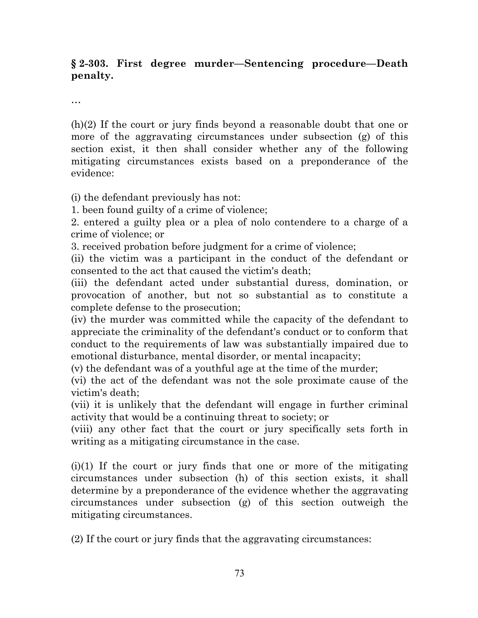## **§ 2-303. First degree murder—Sentencing procedure—Death penalty.**

…

(h)(2) If the court or jury finds beyond a reasonable doubt that one or more of the aggravating circumstances under subsection (g) of this section exist, it then shall consider whether any of the following mitigating circumstances exists based on a preponderance of the evidence:

(i) the defendant previously has not:

1. been found guilty of a crime of violence;

2. entered a guilty plea or a plea of nolo contendere to a charge of a crime of violence; or

3. received probation before judgment for a crime of violence;

(ii) the victim was a participant in the conduct of the defendant or consented to the act that caused the victim's death;

(iii) the defendant acted under substantial duress, domination, or provocation of another, but not so substantial as to constitute a complete defense to the prosecution;

(iv) the murder was committed while the capacity of the defendant to appreciate the criminality of the defendant's conduct or to conform that conduct to the requirements of law was substantially impaired due to emotional disturbance, mental disorder, or mental incapacity;

(v) the defendant was of a youthful age at the time of the murder;

(vi) the act of the defendant was not the sole proximate cause of the victim's death;

(vii) it is unlikely that the defendant will engage in further criminal activity that would be a continuing threat to society; or

(viii) any other fact that the court or jury specifically sets forth in writing as a mitigating circumstance in the case.

 $(i)(1)$  If the court or jury finds that one or more of the mitigating circumstances under subsection (h) of this section exists, it shall determine by a preponderance of the evidence whether the aggravating circumstances under subsection (g) of this section outweigh the mitigating circumstances.

(2) If the court or jury finds that the aggravating circumstances: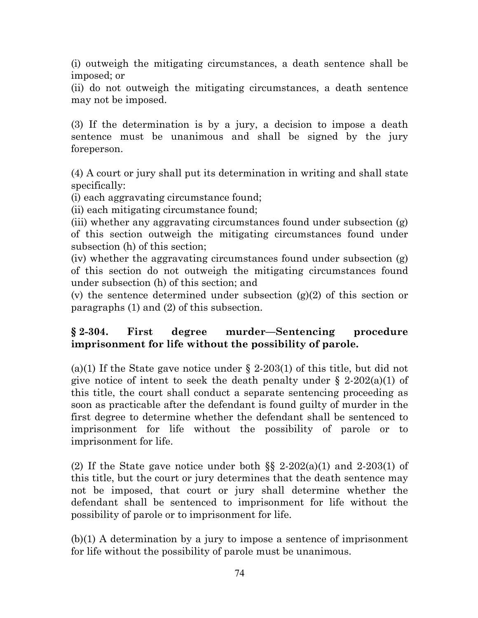(i) outweigh the mitigating circumstances, a death sentence shall be imposed; or

(ii) do not outweigh the mitigating circumstances, a death sentence may not be imposed.

(3) If the determination is by a jury, a decision to impose a death sentence must be unanimous and shall be signed by the jury foreperson.

(4) A court or jury shall put its determination in writing and shall state specifically:

(i) each aggravating circumstance found;

(ii) each mitigating circumstance found;

(iii) whether any aggravating circumstances found under subsection (g) of this section outweigh the mitigating circumstances found under subsection (h) of this section;

(iv) whether the aggravating circumstances found under subsection (g) of this section do not outweigh the mitigating circumstances found under subsection (h) of this section; and

(v) the sentence determined under subsection  $(g)(2)$  of this section or paragraphs (1) and (2) of this subsection.

## **§ 2-304. First degree murder—Sentencing procedure imprisonment for life without the possibility of parole.**

(a)(1) If the State gave notice under  $\S$  2-203(1) of this title, but did not give notice of intent to seek the death penalty under  $\S$  2-202(a)(1) of this title, the court shall conduct a separate sentencing proceeding as soon as practicable after the defendant is found guilty of murder in the first degree to determine whether the defendant shall be sentenced to imprisonment for life without the possibility of parole or to imprisonment for life.

(2) If the State gave notice under both  $\S$  2-202(a)(1) and 2-203(1) of this title, but the court or jury determines that the death sentence may not be imposed, that court or jury shall determine whether the defendant shall be sentenced to imprisonment for life without the possibility of parole or to imprisonment for life.

(b)(1) A determination by a jury to impose a sentence of imprisonment for life without the possibility of parole must be unanimous.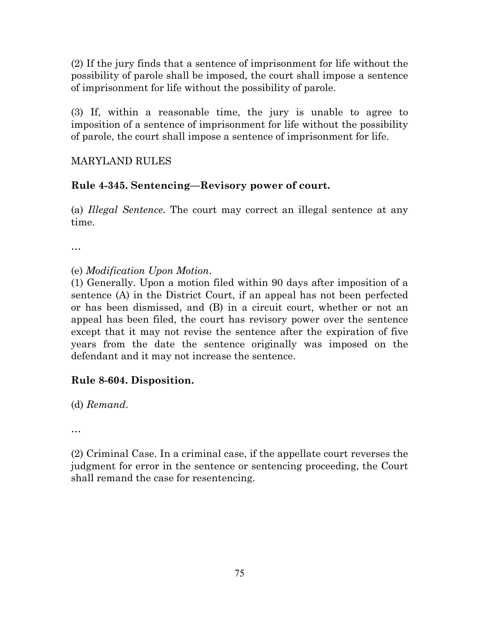(2) If the jury finds that a sentence of imprisonment for life without the possibility of parole shall be imposed, the court shall impose a sentence of imprisonment for life without the possibility of parole.

(3) If, within a reasonable time, the jury is unable to agree to imposition of a sentence of imprisonment for life without the possibility of parole, the court shall impose a sentence of imprisonment for life.

## MARYLAND RULES

## **Rule 4-345. Sentencing—Revisory power of court.**

(a) *Illegal Sentence*. The court may correct an illegal sentence at any time.

…

(e) *Modification Upon Motion*.

(1) Generally. Upon a motion filed within 90 days after imposition of a sentence (A) in the District Court, if an appeal has not been perfected or has been dismissed, and (B) in a circuit court, whether or not an appeal has been filed, the court has revisory power over the sentence except that it may not revise the sentence after the expiration of five years from the date the sentence originally was imposed on the defendant and it may not increase the sentence.

## **Rule 8-604. Disposition.**

(d) *Remand*.

…

(2) Criminal Case. In a criminal case, if the appellate court reverses the judgment for error in the sentence or sentencing proceeding, the Court shall remand the case for resentencing.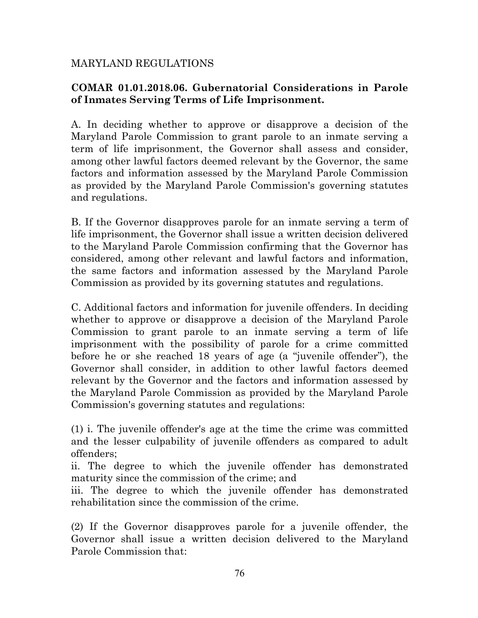### MARYLAND REGULATIONS

### **COMAR 01.01.2018.06. Gubernatorial Considerations in Parole of Inmates Serving Terms of Life Imprisonment.**

A. In deciding whether to approve or disapprove a decision of the Maryland Parole Commission to grant parole to an inmate serving a term of life imprisonment, the Governor shall assess and consider, among other lawful factors deemed relevant by the Governor, the same factors and information assessed by the Maryland Parole Commission as provided by the Maryland Parole Commission's governing statutes and regulations.

B. If the Governor disapproves parole for an inmate serving a term of life imprisonment, the Governor shall issue a written decision delivered to the Maryland Parole Commission confirming that the Governor has considered, among other relevant and lawful factors and information, the same factors and information assessed by the Maryland Parole Commission as provided by its governing statutes and regulations.

C. Additional factors and information for juvenile offenders. In deciding whether to approve or disapprove a decision of the Maryland Parole Commission to grant parole to an inmate serving a term of life imprisonment with the possibility of parole for a crime committed before he or she reached 18 years of age (a "juvenile offender"), the Governor shall consider, in addition to other lawful factors deemed relevant by the Governor and the factors and information assessed by the Maryland Parole Commission as provided by the Maryland Parole Commission's governing statutes and regulations:

(1) i. The juvenile offender's age at the time the crime was committed and the lesser culpability of juvenile offenders as compared to adult offenders;

ii. The degree to which the juvenile offender has demonstrated maturity since the commission of the crime; and

iii. The degree to which the juvenile offender has demonstrated rehabilitation since the commission of the crime.

(2) If the Governor disapproves parole for a juvenile offender, the Governor shall issue a written decision delivered to the Maryland Parole Commission that: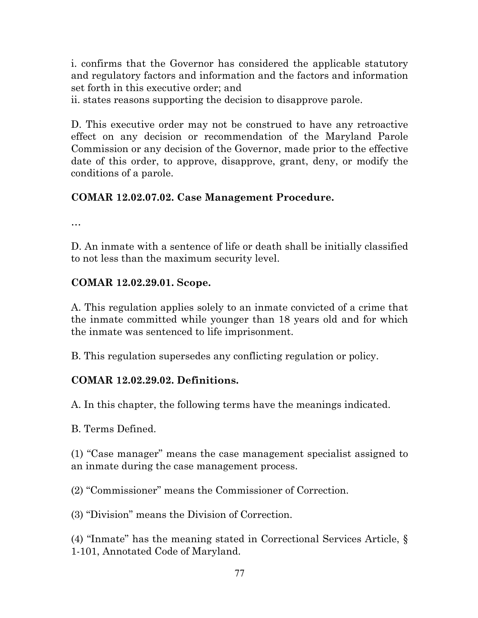i. confirms that the Governor has considered the applicable statutory and regulatory factors and information and the factors and information set forth in this executive order; and

ii. states reasons supporting the decision to disapprove parole.

D. This executive order may not be construed to have any retroactive effect on any decision or recommendation of the Maryland Parole Commission or any decision of the Governor, made prior to the effective date of this order, to approve, disapprove, grant, deny, or modify the conditions of a parole.

## **COMAR 12.02.07.02. Case Management Procedure.**

…

D. An inmate with a sentence of life or death shall be initially classified to not less than the maximum security level.

## **COMAR 12.02.29.01. Scope.**

A. This regulation applies solely to an inmate convicted of a crime that the inmate committed while younger than 18 years old and for which the inmate was sentenced to life imprisonment.

B. This regulation supersedes any conflicting regulation or policy.

## **COMAR 12.02.29.02. Definitions.**

A. In this chapter, the following terms have the meanings indicated.

B. Terms Defined.

(1) "Case manager" means the case management specialist assigned to an inmate during the case management process.

(2) "Commissioner" means the Commissioner of Correction.

(3) "Division" means the Division of Correction.

(4) "Inmate" has the meaning stated in Correctional Services Article, § 1-101, Annotated Code of Maryland.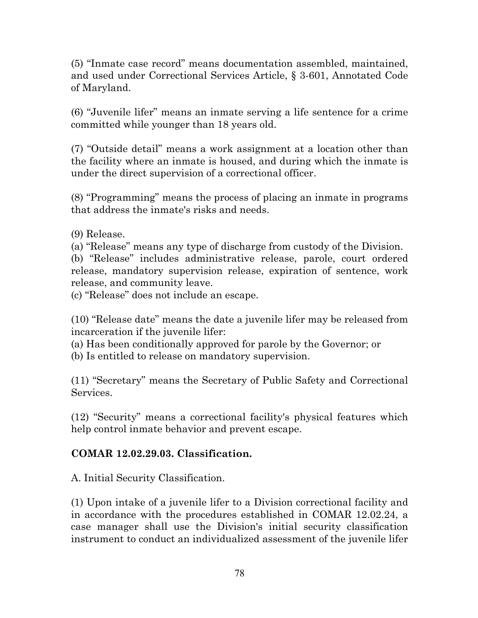(5) "Inmate case record" means documentation assembled, maintained, and used under Correctional Services Article, § 3-601, Annotated Code of Maryland.

(6) "Juvenile lifer" means an inmate serving a life sentence for a crime committed while younger than 18 years old.

(7) "Outside detail" means a work assignment at a location other than the facility where an inmate is housed, and during which the inmate is under the direct supervision of a correctional officer.

(8) "Programming" means the process of placing an inmate in programs that address the inmate's risks and needs.

(9) Release.

(a) "Release" means any type of discharge from custody of the Division.

(b) "Release" includes administrative release, parole, court ordered release, mandatory supervision release, expiration of sentence, work release, and community leave.

(c) "Release" does not include an escape.

(10) "Release date" means the date a juvenile lifer may be released from incarceration if the juvenile lifer:

(a) Has been conditionally approved for parole by the Governor; or

(b) Is entitled to release on mandatory supervision.

(11) "Secretary" means the Secretary of Public Safety and Correctional Services.

(12) "Security" means a correctional facility's physical features which help control inmate behavior and prevent escape.

## **COMAR 12.02.29.03. Classification.**

A. Initial Security Classification.

(1) Upon intake of a juvenile lifer to a Division correctional facility and in accordance with the procedures established in COMAR 12.02.24, a case manager shall use the Division's initial security classification instrument to conduct an individualized assessment of the juvenile lifer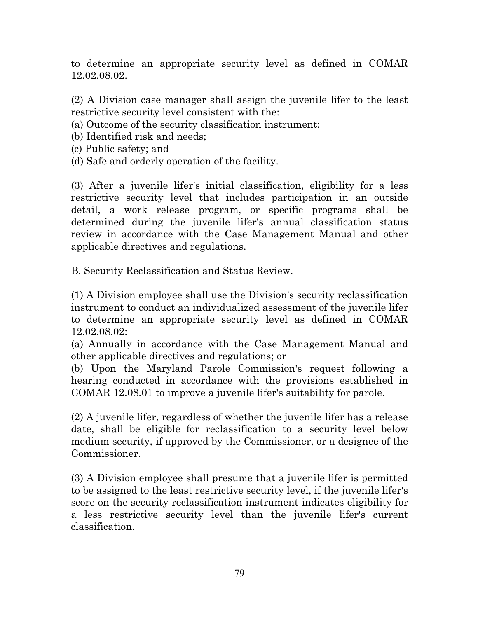to determine an appropriate security level as defined in COMAR 12.02.08.02.

(2) A Division case manager shall assign the juvenile lifer to the least restrictive security level consistent with the:

(a) Outcome of the security classification instrument;

(b) Identified risk and needs;

- (c) Public safety; and
- (d) Safe and orderly operation of the facility.

(3) After a juvenile lifer's initial classification, eligibility for a less restrictive security level that includes participation in an outside detail, a work release program, or specific programs shall be determined during the juvenile lifer's annual classification status review in accordance with the Case Management Manual and other applicable directives and regulations.

B. Security Reclassification and Status Review.

(1) A Division employee shall use the Division's security reclassification instrument to conduct an individualized assessment of the juvenile lifer to determine an appropriate security level as defined in COMAR 12.02.08.02:

(a) Annually in accordance with the Case Management Manual and other applicable directives and regulations; or

(b) Upon the Maryland Parole Commission's request following a hearing conducted in accordance with the provisions established in COMAR 12.08.01 to improve a juvenile lifer's suitability for parole.

(2) A juvenile lifer, regardless of whether the juvenile lifer has a release date, shall be eligible for reclassification to a security level below medium security, if approved by the Commissioner, or a designee of the Commissioner.

(3) A Division employee shall presume that a juvenile lifer is permitted to be assigned to the least restrictive security level, if the juvenile lifer's score on the security reclassification instrument indicates eligibility for a less restrictive security level than the juvenile lifer's current classification.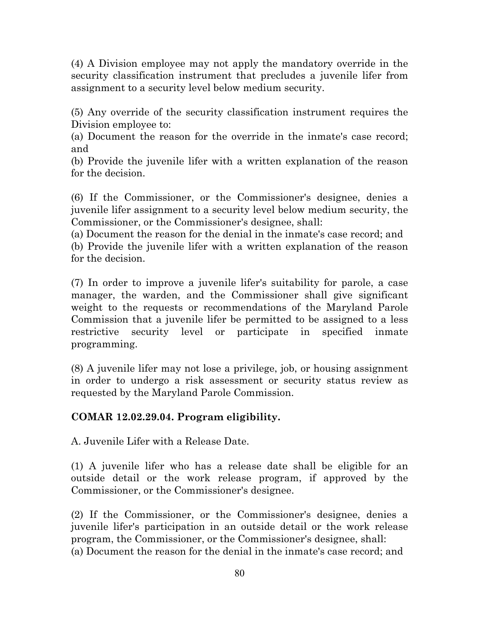(4) A Division employee may not apply the mandatory override in the security classification instrument that precludes a juvenile lifer from assignment to a security level below medium security.

(5) Any override of the security classification instrument requires the Division employee to:

(a) Document the reason for the override in the inmate's case record; and

(b) Provide the juvenile lifer with a written explanation of the reason for the decision.

(6) If the Commissioner, or the Commissioner's designee, denies a juvenile lifer assignment to a security level below medium security, the Commissioner, or the Commissioner's designee, shall:

(a) Document the reason for the denial in the inmate's case record; and (b) Provide the juvenile lifer with a written explanation of the reason for the decision.

(7) In order to improve a juvenile lifer's suitability for parole, a case manager, the warden, and the Commissioner shall give significant weight to the requests or recommendations of the Maryland Parole Commission that a juvenile lifer be permitted to be assigned to a less restrictive security level or participate in specified inmate programming.

(8) A juvenile lifer may not lose a privilege, job, or housing assignment in order to undergo a risk assessment or security status review as requested by the Maryland Parole Commission.

## **COMAR 12.02.29.04. Program eligibility.**

A. Juvenile Lifer with a Release Date.

(1) A juvenile lifer who has a release date shall be eligible for an outside detail or the work release program, if approved by the Commissioner, or the Commissioner's designee.

(2) If the Commissioner, or the Commissioner's designee, denies a juvenile lifer's participation in an outside detail or the work release program, the Commissioner, or the Commissioner's designee, shall: (a) Document the reason for the denial in the inmate's case record; and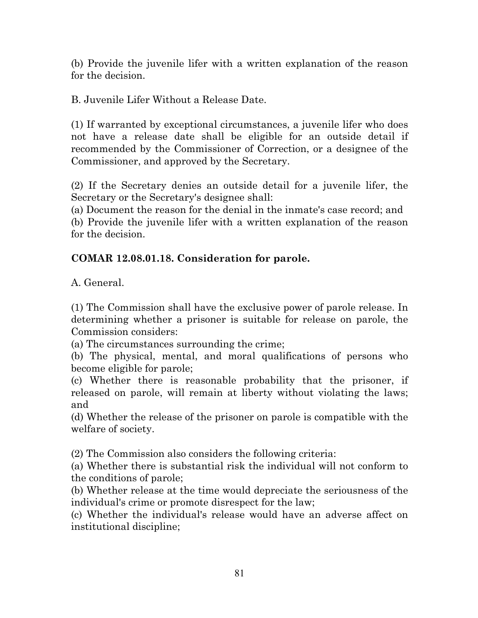(b) Provide the juvenile lifer with a written explanation of the reason for the decision.

B. Juvenile Lifer Without a Release Date.

(1) If warranted by exceptional circumstances, a juvenile lifer who does not have a release date shall be eligible for an outside detail if recommended by the Commissioner of Correction, or a designee of the Commissioner, and approved by the Secretary.

(2) If the Secretary denies an outside detail for a juvenile lifer, the Secretary or the Secretary's designee shall:

(a) Document the reason for the denial in the inmate's case record; and (b) Provide the juvenile lifer with a written explanation of the reason for the decision.

## **COMAR 12.08.01.18. Consideration for parole.**

A. General.

(1) The Commission shall have the exclusive power of parole release. In determining whether a prisoner is suitable for release on parole, the Commission considers:

(a) The circumstances surrounding the crime;

(b) The physical, mental, and moral qualifications of persons who become eligible for parole;

(c) Whether there is reasonable probability that the prisoner, if released on parole, will remain at liberty without violating the laws; and

(d) Whether the release of the prisoner on parole is compatible with the welfare of society.

(2) The Commission also considers the following criteria:

(a) Whether there is substantial risk the individual will not conform to the conditions of parole;

(b) Whether release at the time would depreciate the seriousness of the individual's crime or promote disrespect for the law;

(c) Whether the individual's release would have an adverse affect on institutional discipline;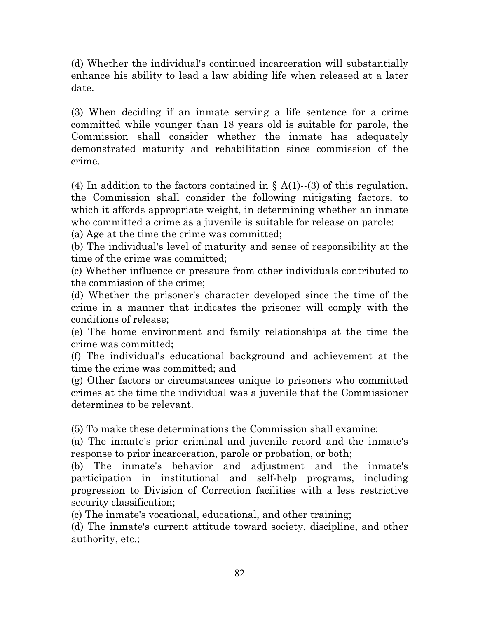(d) Whether the individual's continued incarceration will substantially enhance his ability to lead a law abiding life when released at a later date.

(3) When deciding if an inmate serving a life sentence for a crime committed while younger than 18 years old is suitable for parole, the Commission shall consider whether the inmate has adequately demonstrated maturity and rehabilitation since commission of the crime.

(4) In addition to the factors contained in  $\S A(1)$ -(3) of this regulation, the Commission shall consider the following mitigating factors, to which it affords appropriate weight, in determining whether an inmate who committed a crime as a juvenile is suitable for release on parole:

(a) Age at the time the crime was committed;

(b) The individual's level of maturity and sense of responsibility at the time of the crime was committed;

(c) Whether influence or pressure from other individuals contributed to the commission of the crime;

(d) Whether the prisoner's character developed since the time of the crime in a manner that indicates the prisoner will comply with the conditions of release;

(e) The home environment and family relationships at the time the crime was committed;

(f) The individual's educational background and achievement at the time the crime was committed; and

(g) Other factors or circumstances unique to prisoners who committed crimes at the time the individual was a juvenile that the Commissioner determines to be relevant.

(5) To make these determinations the Commission shall examine:

(a) The inmate's prior criminal and juvenile record and the inmate's response to prior incarceration, parole or probation, or both;

(b) The inmate's behavior and adjustment and the inmate's participation in institutional and self-help programs, including progression to Division of Correction facilities with a less restrictive security classification;

(c) The inmate's vocational, educational, and other training;

(d) The inmate's current attitude toward society, discipline, and other authority, etc.;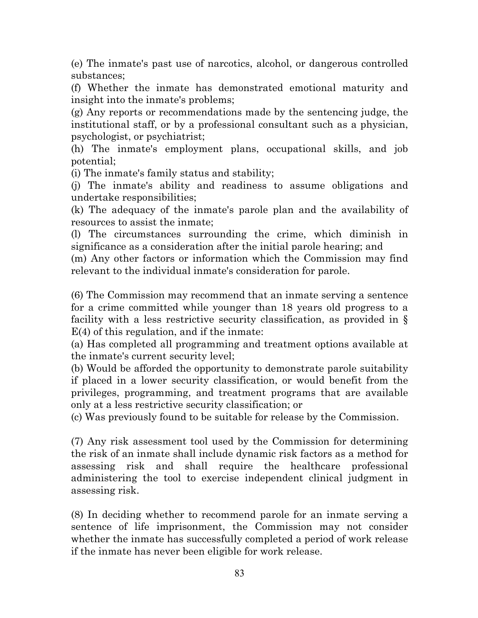(e) The inmate's past use of narcotics, alcohol, or dangerous controlled substances;

(f) Whether the inmate has demonstrated emotional maturity and insight into the inmate's problems;

(g) Any reports or recommendations made by the sentencing judge, the institutional staff, or by a professional consultant such as a physician, psychologist, or psychiatrist;

(h) The inmate's employment plans, occupational skills, and job potential;

(i) The inmate's family status and stability;

(j) The inmate's ability and readiness to assume obligations and undertake responsibilities;

(k) The adequacy of the inmate's parole plan and the availability of resources to assist the inmate;

(l) The circumstances surrounding the crime, which diminish in significance as a consideration after the initial parole hearing; and

(m) Any other factors or information which the Commission may find relevant to the individual inmate's consideration for parole.

(6) The Commission may recommend that an inmate serving a sentence for a crime committed while younger than 18 years old progress to a facility with a less restrictive security classification, as provided in § E(4) of this regulation, and if the inmate:

(a) Has completed all programming and treatment options available at the inmate's current security level;

(b) Would be afforded the opportunity to demonstrate parole suitability if placed in a lower security classification, or would benefit from the privileges, programming, and treatment programs that are available only at a less restrictive security classification; or

(c) Was previously found to be suitable for release by the Commission.

(7) Any risk assessment tool used by the Commission for determining the risk of an inmate shall include dynamic risk factors as a method for assessing risk and shall require the healthcare professional administering the tool to exercise independent clinical judgment in assessing risk.

(8) In deciding whether to recommend parole for an inmate serving a sentence of life imprisonment, the Commission may not consider whether the inmate has successfully completed a period of work release if the inmate has never been eligible for work release.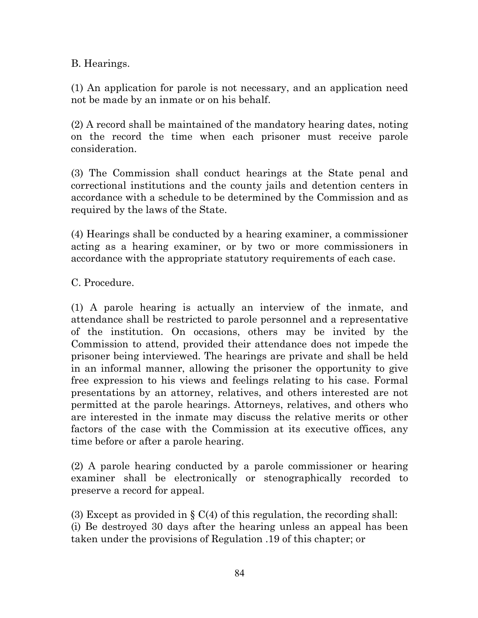B. Hearings.

(1) An application for parole is not necessary, and an application need not be made by an inmate or on his behalf.

(2) A record shall be maintained of the mandatory hearing dates, noting on the record the time when each prisoner must receive parole consideration.

(3) The Commission shall conduct hearings at the State penal and correctional institutions and the county jails and detention centers in accordance with a schedule to be determined by the Commission and as required by the laws of the State.

(4) Hearings shall be conducted by a hearing examiner, a commissioner acting as a hearing examiner, or by two or more commissioners in accordance with the appropriate statutory requirements of each case.

C. Procedure.

(1) A parole hearing is actually an interview of the inmate, and attendance shall be restricted to parole personnel and a representative of the institution. On occasions, others may be invited by the Commission to attend, provided their attendance does not impede the prisoner being interviewed. The hearings are private and shall be held in an informal manner, allowing the prisoner the opportunity to give free expression to his views and feelings relating to his case. Formal presentations by an attorney, relatives, and others interested are not permitted at the parole hearings. Attorneys, relatives, and others who are interested in the inmate may discuss the relative merits or other factors of the case with the Commission at its executive offices, any time before or after a parole hearing.

(2) A parole hearing conducted by a parole commissioner or hearing examiner shall be electronically or stenographically recorded to preserve a record for appeal.

(3) Except as provided in  $\S \mathcal{C}(4)$  of this regulation, the recording shall: (i) Be destroyed 30 days after the hearing unless an appeal has been taken under the provisions of Regulation .19 of this chapter; or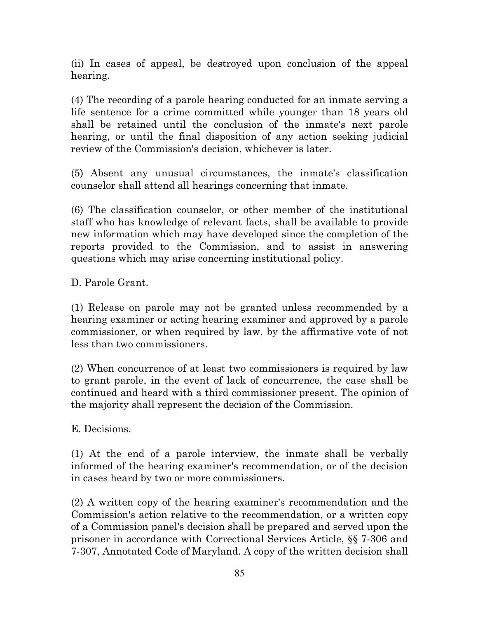(ii) In cases of appeal, be destroyed upon conclusion of the appeal hearing.

(4) The recording of a parole hearing conducted for an inmate serving a life sentence for a crime committed while younger than 18 years old shall be retained until the conclusion of the inmate's next parole hearing, or until the final disposition of any action seeking judicial review of the Commission's decision, whichever is later.

(5) Absent any unusual circumstances, the inmate's classification counselor shall attend all hearings concerning that inmate.

(6) The classification counselor, or other member of the institutional staff who has knowledge of relevant facts, shall be available to provide new information which may have developed since the completion of the reports provided to the Commission, and to assist in answering questions which may arise concerning institutional policy.

D. Parole Grant.

(1) Release on parole may not be granted unless recommended by a hearing examiner or acting hearing examiner and approved by a parole commissioner, or when required by law, by the affirmative vote of not less than two commissioners.

(2) When concurrence of at least two commissioners is required by law to grant parole, in the event of lack of concurrence, the case shall be continued and heard with a third commissioner present. The opinion of the majority shall represent the decision of the Commission.

E. Decisions.

(1) At the end of a parole interview, the inmate shall be verbally informed of the hearing examiner's recommendation, or of the decision in cases heard by two or more commissioners.

(2) A written copy of the hearing examiner's recommendation and the Commission's action relative to the recommendation, or a written copy of a Commission panel's decision shall be prepared and served upon the prisoner in accordance with Correctional Services Article, §§ 7-306 and 7-307, Annotated Code of Maryland. A copy of the written decision shall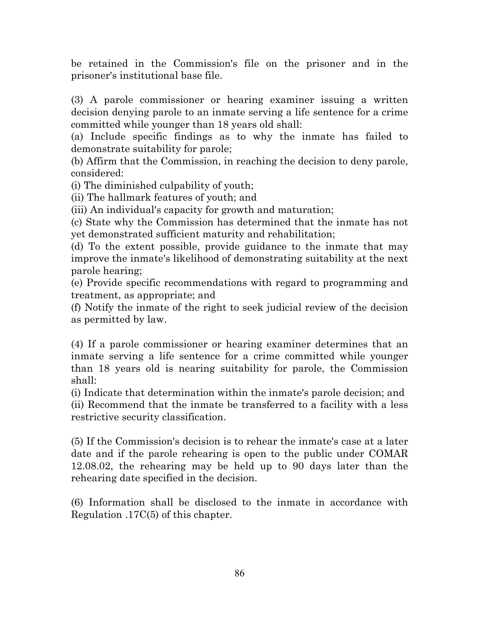be retained in the Commission's file on the prisoner and in the prisoner's institutional base file.

(3) A parole commissioner or hearing examiner issuing a written decision denying parole to an inmate serving a life sentence for a crime committed while younger than 18 years old shall:

(a) Include specific findings as to why the inmate has failed to demonstrate suitability for parole;

(b) Affirm that the Commission, in reaching the decision to deny parole, considered:

(i) The diminished culpability of youth;

(ii) The hallmark features of youth; and

(iii) An individual's capacity for growth and maturation;

(c) State why the Commission has determined that the inmate has not yet demonstrated sufficient maturity and rehabilitation;

(d) To the extent possible, provide guidance to the inmate that may improve the inmate's likelihood of demonstrating suitability at the next parole hearing;

(e) Provide specific recommendations with regard to programming and treatment, as appropriate; and

(f) Notify the inmate of the right to seek judicial review of the decision as permitted by law.

(4) If a parole commissioner or hearing examiner determines that an inmate serving a life sentence for a crime committed while younger than 18 years old is nearing suitability for parole, the Commission shall:

(i) Indicate that determination within the inmate's parole decision; and (ii) Recommend that the inmate be transferred to a facility with a less restrictive security classification.

(5) If the Commission's decision is to rehear the inmate's case at a later date and if the parole rehearing is open to the public under COMAR 12.08.02, the rehearing may be held up to 90 days later than the rehearing date specified in the decision.

(6) Information shall be disclosed to the inmate in accordance with Regulation .17C(5) of this chapter.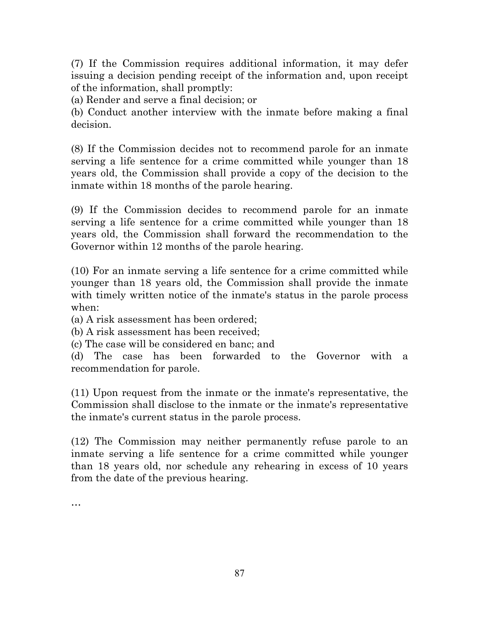(7) If the Commission requires additional information, it may defer issuing a decision pending receipt of the information and, upon receipt of the information, shall promptly:

(a) Render and serve a final decision; or

(b) Conduct another interview with the inmate before making a final decision.

(8) If the Commission decides not to recommend parole for an inmate serving a life sentence for a crime committed while younger than 18 years old, the Commission shall provide a copy of the decision to the inmate within 18 months of the parole hearing.

(9) If the Commission decides to recommend parole for an inmate serving a life sentence for a crime committed while younger than 18 years old, the Commission shall forward the recommendation to the Governor within 12 months of the parole hearing.

(10) For an inmate serving a life sentence for a crime committed while younger than 18 years old, the Commission shall provide the inmate with timely written notice of the inmate's status in the parole process when:

(a) A risk assessment has been ordered;

(b) A risk assessment has been received;

(c) The case will be considered en banc; and

(d) The case has been forwarded to the Governor with a recommendation for parole.

(11) Upon request from the inmate or the inmate's representative, the Commission shall disclose to the inmate or the inmate's representative the inmate's current status in the parole process.

(12) The Commission may neither permanently refuse parole to an inmate serving a life sentence for a crime committed while younger than 18 years old, nor schedule any rehearing in excess of 10 years from the date of the previous hearing.

…